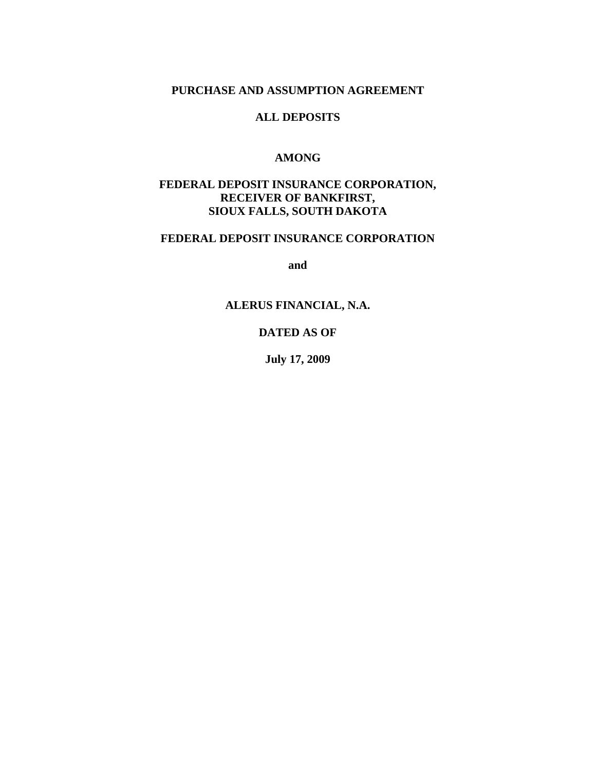#### **PURCHASE AND ASSUMPTION AGREEMENT**

#### **ALL DEPOSITS**

#### **AMONG**

### **FEDERAL DEPOSIT INSURANCE CORPORATION, RECEIVER OF BANKFIRST, SIOUX FALLS, SOUTH DAKOTA**

#### **FEDERAL DEPOSIT INSURANCE CORPORATION**

**and** 

### **ALERUS FINANCIAL, N.A.**

#### **DATED AS OF**

**July 17, 2009**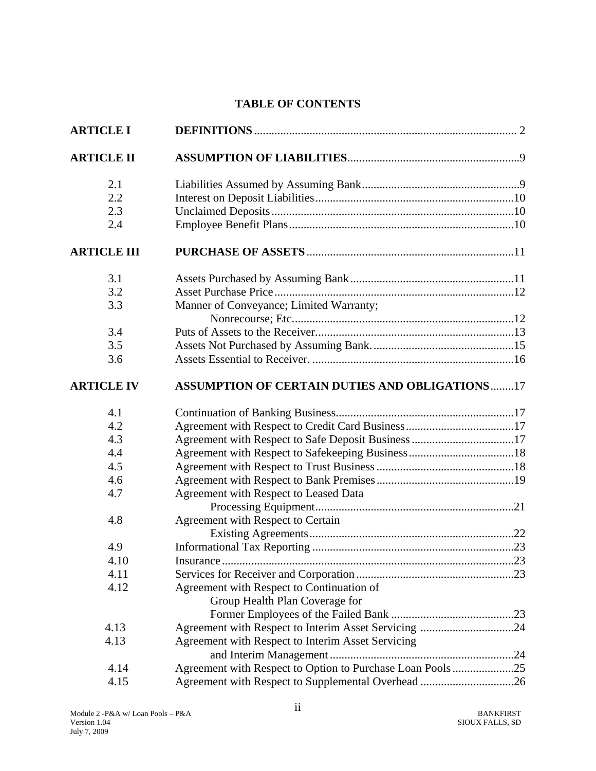# **TABLE OF CONTENTS**

| <b>ARTICLE I</b>   |                                                           |  |
|--------------------|-----------------------------------------------------------|--|
| <b>ARTICLE II</b>  |                                                           |  |
| 2.1                |                                                           |  |
| 2.2                |                                                           |  |
| 2.3                |                                                           |  |
| 2.4                |                                                           |  |
| <b>ARTICLE III</b> |                                                           |  |
| 3.1                |                                                           |  |
| 3.2                |                                                           |  |
| 3.3                | Manner of Conveyance; Limited Warranty;                   |  |
|                    |                                                           |  |
| 3.4                |                                                           |  |
| 3.5                |                                                           |  |
| 3.6                |                                                           |  |
| <b>ARTICLE IV</b>  | <b>ASSUMPTION OF CERTAIN DUTIES AND OBLIGATIONS17</b>     |  |
| 4.1                |                                                           |  |
| 4.2                |                                                           |  |
| 4.3                |                                                           |  |
| 4.4                |                                                           |  |
| 4.5                |                                                           |  |
| 4.6                |                                                           |  |
| 4.7                | Agreement with Respect to Leased Data                     |  |
|                    |                                                           |  |
| 4.8                | Agreement with Respect to Certain                         |  |
|                    |                                                           |  |
| 4.9                |                                                           |  |
| 4.10               |                                                           |  |
| 4.11               |                                                           |  |
| 4.12               | Agreement with Respect to Continuation of                 |  |
|                    | Group Health Plan Coverage for                            |  |
|                    |                                                           |  |
| 4.13               | Agreement with Respect to Interim Asset Servicing 24      |  |
| 4.13               | Agreement with Respect to Interim Asset Servicing         |  |
|                    |                                                           |  |
| 4.14               | Agreement with Respect to Option to Purchase Loan Pools25 |  |
| 4.15               |                                                           |  |
|                    |                                                           |  |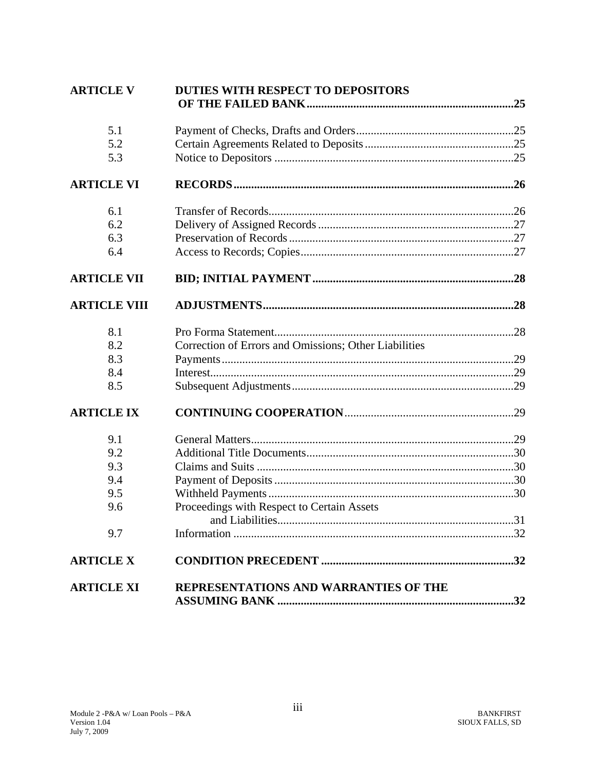| <b>ARTICLE V</b>    | DUTIES WITH RESPECT TO DEPOSITORS                     |  |
|---------------------|-------------------------------------------------------|--|
| 5.1                 |                                                       |  |
| 5.2                 |                                                       |  |
| 5.3                 |                                                       |  |
| <b>ARTICLE VI</b>   |                                                       |  |
| 6.1                 |                                                       |  |
| 6.2                 |                                                       |  |
| 6.3                 |                                                       |  |
| 6.4                 |                                                       |  |
| <b>ARTICLE VII</b>  |                                                       |  |
| <b>ARTICLE VIII</b> |                                                       |  |
| 8.1                 |                                                       |  |
| 8.2                 | Correction of Errors and Omissions; Other Liabilities |  |
| 8.3                 |                                                       |  |
| 8.4                 |                                                       |  |
| 8.5                 |                                                       |  |
| <b>ARTICLE IX</b>   |                                                       |  |
| 9.1                 |                                                       |  |
| 9.2                 |                                                       |  |
| 9.3                 |                                                       |  |
| 9.4                 |                                                       |  |
| 9.5                 |                                                       |  |
| 9.6                 | Proceedings with Respect to Certain Assets            |  |
| 9.7                 |                                                       |  |
| <b>ARTICLE X</b>    |                                                       |  |
| <b>ARTICLE XI</b>   | REPRESENTATIONS AND WARRANTIES OF THE                 |  |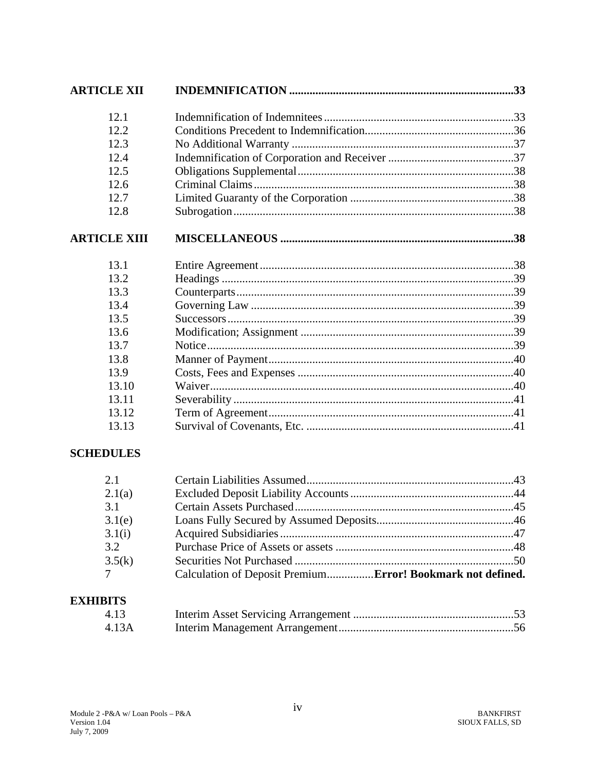| <b>ARTICLE XII</b>  |  |
|---------------------|--|
| 12.1                |  |
| 12.2                |  |
| 12.3                |  |
| 12.4                |  |
| 12.5                |  |
| 12.6                |  |
| 12.7                |  |
| 12.8                |  |
| <b>ARTICLE XIII</b> |  |
| 13.1                |  |
| 13.2                |  |
| 13.3                |  |
| 13.4                |  |
| 13.5                |  |
| 13.6                |  |
| 13.7                |  |
| 13.8                |  |
| 13.9                |  |
| 13.10               |  |
| 13.11               |  |
| 13.12               |  |
| 13.13               |  |

# **SCHEDULES**

| 2.1             |                                                            |  |
|-----------------|------------------------------------------------------------|--|
| 2.1(a)          |                                                            |  |
| 3.1             |                                                            |  |
| 3.1(e)          |                                                            |  |
| 3.1(i)          |                                                            |  |
| 3.2             |                                                            |  |
| 3.5(k)          |                                                            |  |
| $7\overline{ }$ | Calculation of Deposit PremiumError! Bookmark not defined. |  |

## **EXHIBITS**

| 4.13  |  |
|-------|--|
| 4.13A |  |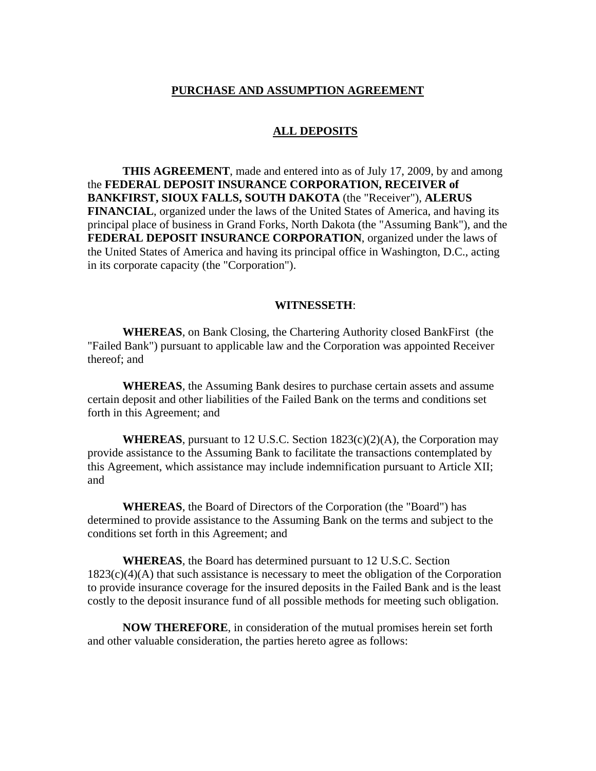#### **PURCHASE AND ASSUMPTION AGREEMENT**

#### **ALL DEPOSITS**

**THIS AGREEMENT**, made and entered into as of July 17, 2009, by and among the **FEDERAL DEPOSIT INSURANCE CORPORATION, RECEIVER of BANKFIRST, SIOUX FALLS, SOUTH DAKOTA** (the "Receiver"), **ALERUS FINANCIAL**, organized under the laws of the United States of America, and having its principal place of business in Grand Forks, North Dakota (the "Assuming Bank"), and the **FEDERAL DEPOSIT INSURANCE CORPORATION**, organized under the laws of the United States of America and having its principal office in Washington, D.C., acting in its corporate capacity (the "Corporation").

#### **WITNESSETH**:

**WHEREAS**, on Bank Closing, the Chartering Authority closed BankFirst (the "Failed Bank") pursuant to applicable law and the Corporation was appointed Receiver thereof; and

**WHEREAS**, the Assuming Bank desires to purchase certain assets and assume certain deposit and other liabilities of the Failed Bank on the terms and conditions set forth in this Agreement; and

**WHEREAS**, pursuant to 12 U.S.C. Section 1823(c)(2)(A), the Corporation may provide assistance to the Assuming Bank to facilitate the transactions contemplated by this Agreement, which assistance may include indemnification pursuant to Article XII; and

**WHEREAS**, the Board of Directors of the Corporation (the "Board") has determined to provide assistance to the Assuming Bank on the terms and subject to the conditions set forth in this Agreement; and

**WHEREAS**, the Board has determined pursuant to 12 U.S.C. Section  $1823(c)(4)(A)$  that such assistance is necessary to meet the obligation of the Corporation to provide insurance coverage for the insured deposits in the Failed Bank and is the least costly to the deposit insurance fund of all possible methods for meeting such obligation.

**NOW THEREFORE**, in consideration of the mutual promises herein set forth and other valuable consideration, the parties hereto agree as follows: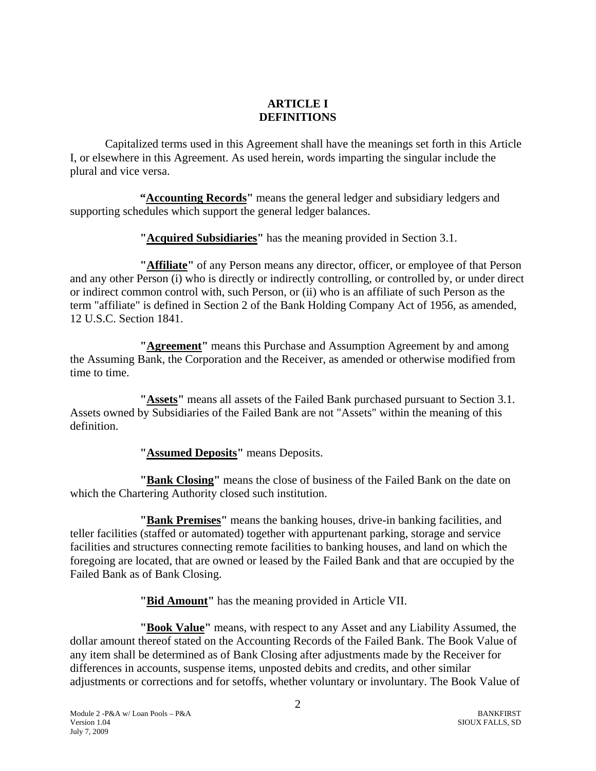### **ARTICLE I DEFINITIONS**

Capitalized terms used in this Agreement shall have the meanings set forth in this Article I, or elsewhere in this Agreement. As used herein, words imparting the singular include the plural and vice versa.

**"Accounting Records"** means the general ledger and subsidiary ledgers and supporting schedules which support the general ledger balances.

**"Acquired Subsidiaries"** has the meaning provided in Section 3.1.

**"Affiliate"** of any Person means any director, officer, or employee of that Person and any other Person (i) who is directly or indirectly controlling, or controlled by, or under direct or indirect common control with, such Person, or (ii) who is an affiliate of such Person as the term "affiliate" is defined in Section 2 of the Bank Holding Company Act of 1956, as amended, 12 U.S.C. Section 1841.

**"Agreement"** means this Purchase and Assumption Agreement by and among the Assuming Bank, the Corporation and the Receiver, as amended or otherwise modified from time to time.

**"Assets"** means all assets of the Failed Bank purchased pursuant to Section 3.1. Assets owned by Subsidiaries of the Failed Bank are not "Assets" within the meaning of this definition.

**"Assumed Deposits"** means Deposits.

**"Bank Closing"** means the close of business of the Failed Bank on the date on which the Chartering Authority closed such institution.

**"Bank Premises"** means the banking houses, drive-in banking facilities, and teller facilities (staffed or automated) together with appurtenant parking, storage and service facilities and structures connecting remote facilities to banking houses, and land on which the foregoing are located, that are owned or leased by the Failed Bank and that are occupied by the Failed Bank as of Bank Closing.

**"Bid Amount"** has the meaning provided in Article VII.

**"Book Value"** means, with respect to any Asset and any Liability Assumed, the dollar amount thereof stated on the Accounting Records of the Failed Bank. The Book Value of any item shall be determined as of Bank Closing after adjustments made by the Receiver for differences in accounts, suspense items, unposted debits and credits, and other similar adjustments or corrections and for setoffs, whether voluntary or involuntary. The Book Value of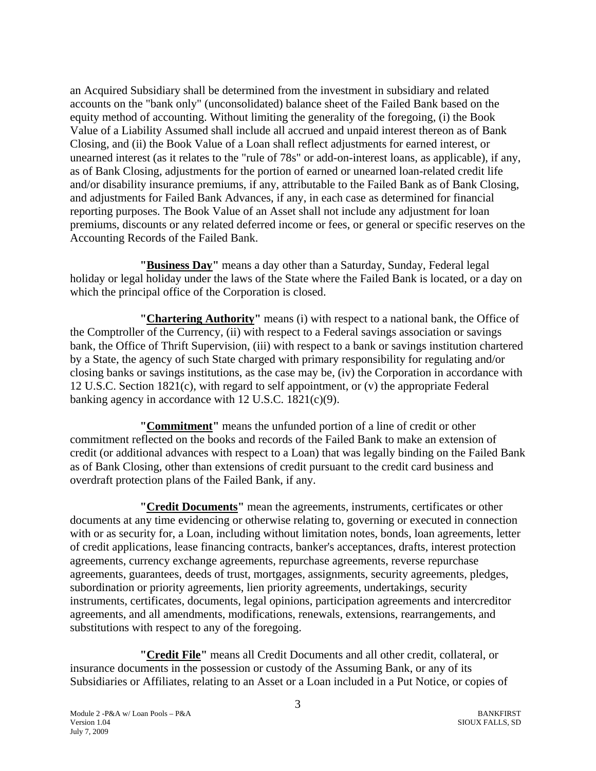an Acquired Subsidiary shall be determined from the investment in subsidiary and related accounts on the "bank only" (unconsolidated) balance sheet of the Failed Bank based on the equity method of accounting. Without limiting the generality of the foregoing, (i) the Book Value of a Liability Assumed shall include all accrued and unpaid interest thereon as of Bank Closing, and (ii) the Book Value of a Loan shall reflect adjustments for earned interest, or unearned interest (as it relates to the "rule of 78s" or add-on-interest loans, as applicable), if any, as of Bank Closing, adjustments for the portion of earned or unearned loan-related credit life and/or disability insurance premiums, if any, attributable to the Failed Bank as of Bank Closing, and adjustments for Failed Bank Advances, if any, in each case as determined for financial reporting purposes. The Book Value of an Asset shall not include any adjustment for loan premiums, discounts or any related deferred income or fees, or general or specific reserves on the Accounting Records of the Failed Bank.

**"Business Day"** means a day other than a Saturday, Sunday, Federal legal holiday or legal holiday under the laws of the State where the Failed Bank is located, or a day on which the principal office of the Corporation is closed.

**"Chartering Authority"** means (i) with respect to a national bank, the Office of the Comptroller of the Currency, (ii) with respect to a Federal savings association or savings bank, the Office of Thrift Supervision, (iii) with respect to a bank or savings institution chartered by a State, the agency of such State charged with primary responsibility for regulating and/or closing banks or savings institutions, as the case may be, (iv) the Corporation in accordance with 12 U.S.C. Section 1821(c), with regard to self appointment, or (v) the appropriate Federal banking agency in accordance with 12 U.S.C. 1821(c)(9).

**"Commitment"** means the unfunded portion of a line of credit or other commitment reflected on the books and records of the Failed Bank to make an extension of credit (or additional advances with respect to a Loan) that was legally binding on the Failed Bank as of Bank Closing, other than extensions of credit pursuant to the credit card business and overdraft protection plans of the Failed Bank, if any.

**"Credit Documents"** mean the agreements, instruments, certificates or other documents at any time evidencing or otherwise relating to, governing or executed in connection with or as security for, a Loan, including without limitation notes, bonds, loan agreements, letter of credit applications, lease financing contracts, banker's acceptances, drafts, interest protection agreements, currency exchange agreements, repurchase agreements, reverse repurchase agreements, guarantees, deeds of trust, mortgages, assignments, security agreements, pledges, subordination or priority agreements, lien priority agreements, undertakings, security instruments, certificates, documents, legal opinions, participation agreements and intercreditor agreements, and all amendments, modifications, renewals, extensions, rearrangements, and substitutions with respect to any of the foregoing.

**"Credit File"** means all Credit Documents and all other credit, collateral, or insurance documents in the possession or custody of the Assuming Bank, or any of its Subsidiaries or Affiliates, relating to an Asset or a Loan included in a Put Notice, or copies of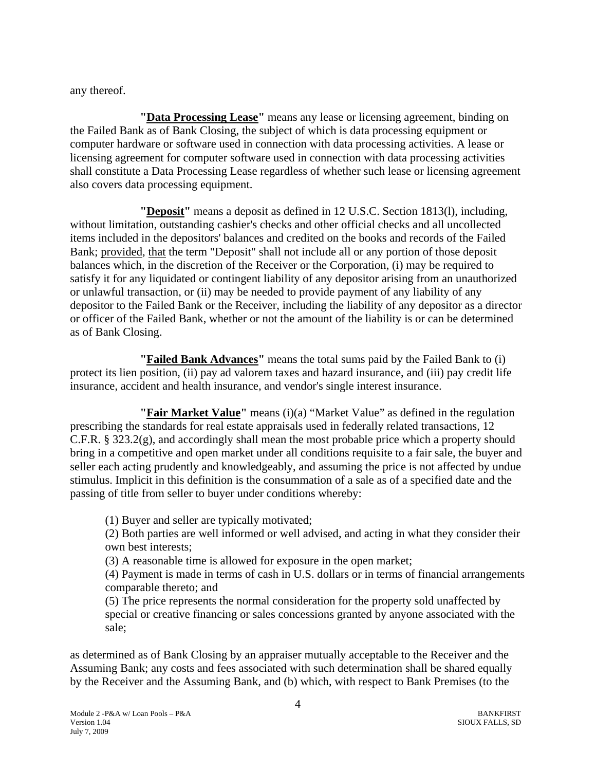any thereof.

**"Data Processing Lease"** means any lease or licensing agreement, binding on the Failed Bank as of Bank Closing, the subject of which is data processing equipment or computer hardware or software used in connection with data processing activities. A lease or licensing agreement for computer software used in connection with data processing activities shall constitute a Data Processing Lease regardless of whether such lease or licensing agreement also covers data processing equipment.

**"Deposit"** means a deposit as defined in 12 U.S.C. Section 1813(l), including, without limitation, outstanding cashier's checks and other official checks and all uncollected items included in the depositors' balances and credited on the books and records of the Failed Bank; provided, that the term "Deposit" shall not include all or any portion of those deposit balances which, in the discretion of the Receiver or the Corporation, (i) may be required to satisfy it for any liquidated or contingent liability of any depositor arising from an unauthorized or unlawful transaction, or (ii) may be needed to provide payment of any liability of any depositor to the Failed Bank or the Receiver, including the liability of any depositor as a director or officer of the Failed Bank, whether or not the amount of the liability is or can be determined as of Bank Closing.

**"Failed Bank Advances"** means the total sums paid by the Failed Bank to (i) protect its lien position, (ii) pay ad valorem taxes and hazard insurance, and (iii) pay credit life insurance, accident and health insurance, and vendor's single interest insurance.

**"Fair Market Value"** means (i)(a) "Market Value" as defined in the regulation prescribing the standards for real estate appraisals used in federally related transactions, 12 C.F.R. § 323.2(g), and accordingly shall mean the most probable price which a property should bring in a competitive and open market under all conditions requisite to a fair sale, the buyer and seller each acting prudently and knowledgeably, and assuming the price is not affected by undue stimulus. Implicit in this definition is the consummation of a sale as of a specified date and the passing of title from seller to buyer under conditions whereby:

(1) Buyer and seller are typically motivated;

(2) Both parties are well informed or well advised, and acting in what they consider their own best interests;

(3) A reasonable time is allowed for exposure in the open market;

(4) Payment is made in terms of cash in U.S. dollars or in terms of financial arrangements comparable thereto; and

(5) The price represents the normal consideration for the property sold unaffected by special or creative financing or sales concessions granted by anyone associated with the sale;

as determined as of Bank Closing by an appraiser mutually acceptable to the Receiver and the Assuming Bank; any costs and fees associated with such determination shall be shared equally by the Receiver and the Assuming Bank, and (b) which, with respect to Bank Premises (to the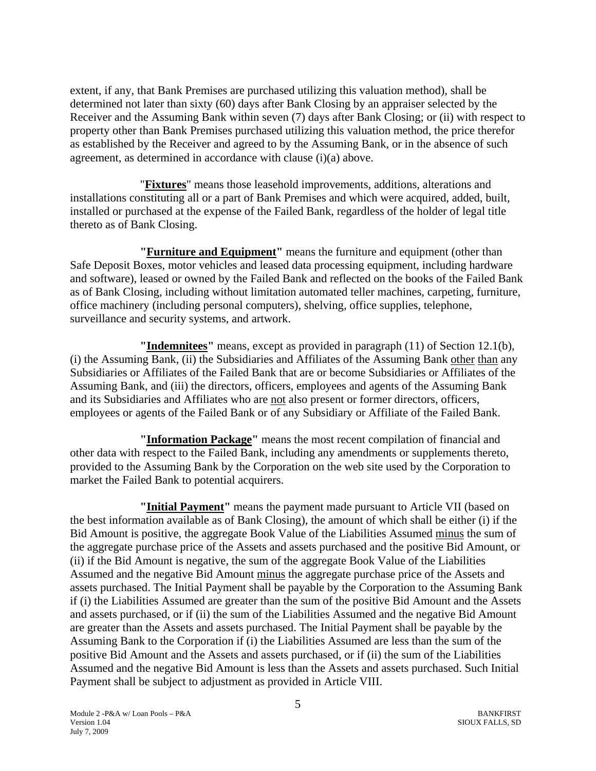extent, if any, that Bank Premises are purchased utilizing this valuation method), shall be determined not later than sixty (60) days after Bank Closing by an appraiser selected by the Receiver and the Assuming Bank within seven (7) days after Bank Closing; or (ii) with respect to property other than Bank Premises purchased utilizing this valuation method, the price therefor as established by the Receiver and agreed to by the Assuming Bank, or in the absence of such agreement, as determined in accordance with clause (i)(a) above.

"**Fixtures**" means those leasehold improvements, additions, alterations and installations constituting all or a part of Bank Premises and which were acquired, added, built, installed or purchased at the expense of the Failed Bank, regardless of the holder of legal title thereto as of Bank Closing.

**"Furniture and Equipment"** means the furniture and equipment (other than Safe Deposit Boxes, motor vehicles and leased data processing equipment, including hardware and software), leased or owned by the Failed Bank and reflected on the books of the Failed Bank as of Bank Closing, including without limitation automated teller machines, carpeting, furniture, office machinery (including personal computers), shelving, office supplies, telephone, surveillance and security systems, and artwork.

**"Indemnitees"** means, except as provided in paragraph (11) of Section 12.1(b), (i) the Assuming Bank, (ii) the Subsidiaries and Affiliates of the Assuming Bank other than any Subsidiaries or Affiliates of the Failed Bank that are or become Subsidiaries or Affiliates of the Assuming Bank, and (iii) the directors, officers, employees and agents of the Assuming Bank and its Subsidiaries and Affiliates who are not also present or former directors, officers, employees or agents of the Failed Bank or of any Subsidiary or Affiliate of the Failed Bank.

**"Information Package"** means the most recent compilation of financial and other data with respect to the Failed Bank, including any amendments or supplements thereto, provided to the Assuming Bank by the Corporation on the web site used by the Corporation to market the Failed Bank to potential acquirers.

**"Initial Payment"** means the payment made pursuant to Article VII (based on the best information available as of Bank Closing), the amount of which shall be either (i) if the Bid Amount is positive, the aggregate Book Value of the Liabilities Assumed minus the sum of the aggregate purchase price of the Assets and assets purchased and the positive Bid Amount, or (ii) if the Bid Amount is negative, the sum of the aggregate Book Value of the Liabilities Assumed and the negative Bid Amount minus the aggregate purchase price of the Assets and assets purchased. The Initial Payment shall be payable by the Corporation to the Assuming Bank if (i) the Liabilities Assumed are greater than the sum of the positive Bid Amount and the Assets and assets purchased, or if (ii) the sum of the Liabilities Assumed and the negative Bid Amount are greater than the Assets and assets purchased. The Initial Payment shall be payable by the Assuming Bank to the Corporation if (i) the Liabilities Assumed are less than the sum of the positive Bid Amount and the Assets and assets purchased, or if (ii) the sum of the Liabilities Assumed and the negative Bid Amount is less than the Assets and assets purchased. Such Initial Payment shall be subject to adjustment as provided in Article VIII.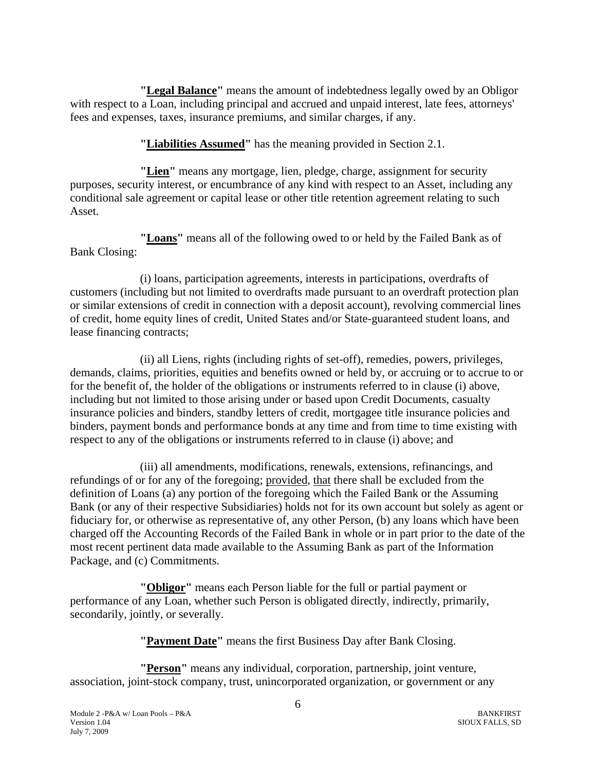**"Legal Balance"** means the amount of indebtedness legally owed by an Obligor with respect to a Loan, including principal and accrued and unpaid interest, late fees, attorneys' fees and expenses, taxes, insurance premiums, and similar charges, if any.

**"Liabilities Assumed"** has the meaning provided in Section 2.1.

**"Lien"** means any mortgage, lien, pledge, charge, assignment for security purposes, security interest, or encumbrance of any kind with respect to an Asset, including any conditional sale agreement or capital lease or other title retention agreement relating to such Asset.

**"Loans"** means all of the following owed to or held by the Failed Bank as of Bank Closing:

(i) loans, participation agreements, interests in participations, overdrafts of customers (including but not limited to overdrafts made pursuant to an overdraft protection plan or similar extensions of credit in connection with a deposit account), revolving commercial lines of credit, home equity lines of credit, United States and/or State-guaranteed student loans, and lease financing contracts;

(ii) all Liens, rights (including rights of set-off), remedies, powers, privileges, demands, claims, priorities, equities and benefits owned or held by, or accruing or to accrue to or for the benefit of, the holder of the obligations or instruments referred to in clause (i) above, including but not limited to those arising under or based upon Credit Documents, casualty insurance policies and binders, standby letters of credit, mortgagee title insurance policies and binders, payment bonds and performance bonds at any time and from time to time existing with respect to any of the obligations or instruments referred to in clause (i) above; and

(iii) all amendments, modifications, renewals, extensions, refinancings, and refundings of or for any of the foregoing; provided, that there shall be excluded from the definition of Loans (a) any portion of the foregoing which the Failed Bank or the Assuming Bank (or any of their respective Subsidiaries) holds not for its own account but solely as agent or fiduciary for, or otherwise as representative of, any other Person, (b) any loans which have been charged off the Accounting Records of the Failed Bank in whole or in part prior to the date of the most recent pertinent data made available to the Assuming Bank as part of the Information Package, and (c) Commitments.

**"Obligor"** means each Person liable for the full or partial payment or performance of any Loan, whether such Person is obligated directly, indirectly, primarily, secondarily, jointly, or severally.

**"Payment Date"** means the first Business Day after Bank Closing.

**"Person"** means any individual, corporation, partnership, joint venture, association, joint-stock company, trust, unincorporated organization, or government or any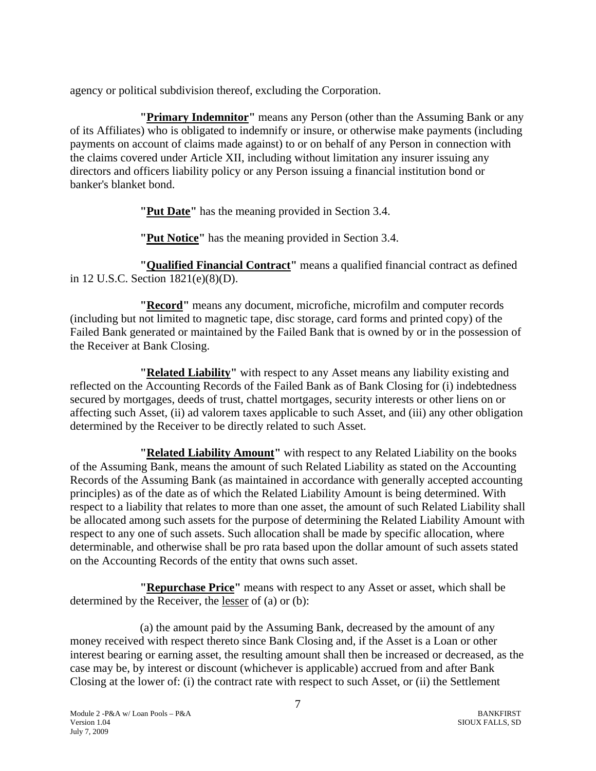agency or political subdivision thereof, excluding the Corporation.

**"Primary Indemnitor"** means any Person (other than the Assuming Bank or any of its Affiliates) who is obligated to indemnify or insure, or otherwise make payments (including payments on account of claims made against) to or on behalf of any Person in connection with the claims covered under Article XII, including without limitation any insurer issuing any directors and officers liability policy or any Person issuing a financial institution bond or banker's blanket bond.

**"Put Date"** has the meaning provided in Section 3.4.

**"Put Notice"** has the meaning provided in Section 3.4.

**"Qualified Financial Contract"** means a qualified financial contract as defined in 12 U.S.C. Section 1821(e)(8)(D).

**"Record"** means any document, microfiche, microfilm and computer records (including but not limited to magnetic tape, disc storage, card forms and printed copy) of the Failed Bank generated or maintained by the Failed Bank that is owned by or in the possession of the Receiver at Bank Closing.

**"Related Liability"** with respect to any Asset means any liability existing and reflected on the Accounting Records of the Failed Bank as of Bank Closing for (i) indebtedness secured by mortgages, deeds of trust, chattel mortgages, security interests or other liens on or affecting such Asset, (ii) ad valorem taxes applicable to such Asset, and (iii) any other obligation determined by the Receiver to be directly related to such Asset.

**"Related Liability Amount"** with respect to any Related Liability on the books of the Assuming Bank, means the amount of such Related Liability as stated on the Accounting Records of the Assuming Bank (as maintained in accordance with generally accepted accounting principles) as of the date as of which the Related Liability Amount is being determined. With respect to a liability that relates to more than one asset, the amount of such Related Liability shall be allocated among such assets for the purpose of determining the Related Liability Amount with respect to any one of such assets. Such allocation shall be made by specific allocation, where determinable, and otherwise shall be pro rata based upon the dollar amount of such assets stated on the Accounting Records of the entity that owns such asset.

**"Repurchase Price"** means with respect to any Asset or asset, which shall be determined by the Receiver, the lesser of (a) or (b):

(a) the amount paid by the Assuming Bank, decreased by the amount of any money received with respect thereto since Bank Closing and, if the Asset is a Loan or other interest bearing or earning asset, the resulting amount shall then be increased or decreased, as the case may be, by interest or discount (whichever is applicable) accrued from and after Bank Closing at the lower of: (i) the contract rate with respect to such Asset, or (ii) the Settlement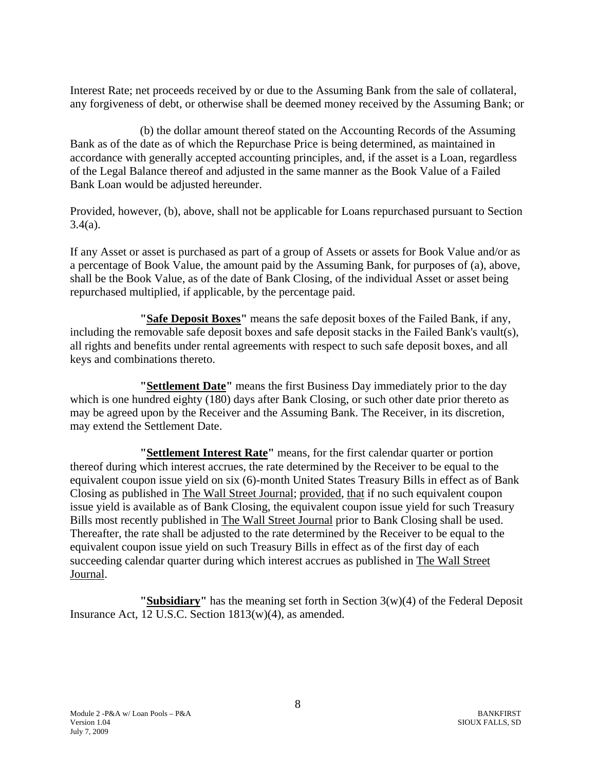Interest Rate; net proceeds received by or due to the Assuming Bank from the sale of collateral, any forgiveness of debt, or otherwise shall be deemed money received by the Assuming Bank; or

(b) the dollar amount thereof stated on the Accounting Records of the Assuming Bank as of the date as of which the Repurchase Price is being determined, as maintained in accordance with generally accepted accounting principles, and, if the asset is a Loan, regardless of the Legal Balance thereof and adjusted in the same manner as the Book Value of a Failed Bank Loan would be adjusted hereunder.

Provided, however, (b), above, shall not be applicable for Loans repurchased pursuant to Section 3.4(a).

If any Asset or asset is purchased as part of a group of Assets or assets for Book Value and/or as a percentage of Book Value, the amount paid by the Assuming Bank, for purposes of (a), above, shall be the Book Value, as of the date of Bank Closing, of the individual Asset or asset being repurchased multiplied, if applicable, by the percentage paid.

**"Safe Deposit Boxes"** means the safe deposit boxes of the Failed Bank, if any, including the removable safe deposit boxes and safe deposit stacks in the Failed Bank's vault(s), all rights and benefits under rental agreements with respect to such safe deposit boxes, and all keys and combinations thereto.

**"Settlement Date"** means the first Business Day immediately prior to the day which is one hundred eighty (180) days after Bank Closing, or such other date prior thereto as may be agreed upon by the Receiver and the Assuming Bank. The Receiver, in its discretion, may extend the Settlement Date.

**"Settlement Interest Rate"** means, for the first calendar quarter or portion thereof during which interest accrues, the rate determined by the Receiver to be equal to the equivalent coupon issue yield on six (6)-month United States Treasury Bills in effect as of Bank Closing as published in The Wall Street Journal; provided, that if no such equivalent coupon issue yield is available as of Bank Closing, the equivalent coupon issue yield for such Treasury Bills most recently published in The Wall Street Journal prior to Bank Closing shall be used. Thereafter, the rate shall be adjusted to the rate determined by the Receiver to be equal to the equivalent coupon issue yield on such Treasury Bills in effect as of the first day of each succeeding calendar quarter during which interest accrues as published in The Wall Street Journal.

**"Subsidiary"** has the meaning set forth in Section 3(w)(4) of the Federal Deposit Insurance Act, 12 U.S.C. Section 1813(w)(4), as amended.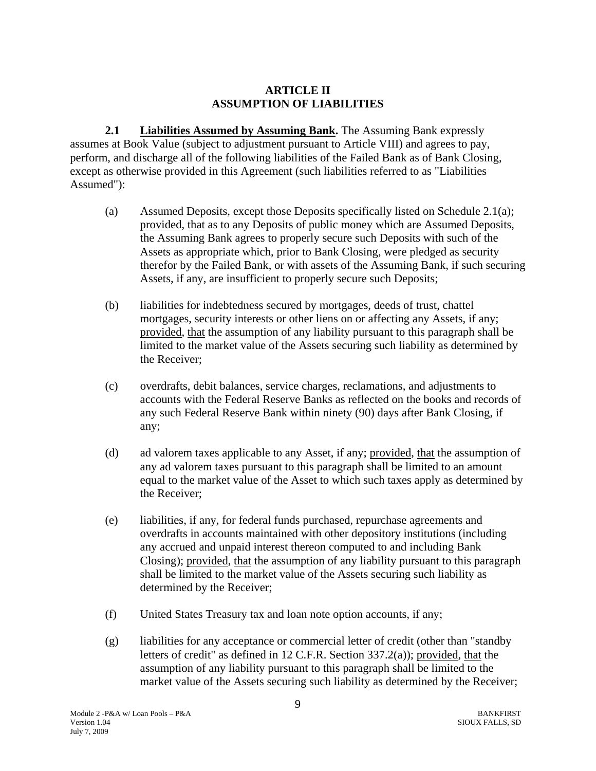### **ARTICLE II ASSUMPTION OF LIABILITIES**

<span id="page-12-0"></span>**2.1 Liabilities Assumed by Assuming Bank.** The Assuming Bank expressly assumes at Book Value (subject to adjustment pursuant to Article VIII) and agrees to pay, perform, and discharge all of the following liabilities of the Failed Bank as of Bank Closing, except as otherwise provided in this Agreement (such liabilities referred to as "Liabilities Assumed"):

- (a) Assumed Deposits, except those Deposits specifically listed on Schedule 2.1(a); provided, that as to any Deposits of public money which are Assumed Deposits, the Assuming Bank agrees to properly secure such Deposits with such of the Assets as appropriate which, prior to Bank Closing, were pledged as security therefor by the Failed Bank, or with assets of the Assuming Bank, if such securing Assets, if any, are insufficient to properly secure such Deposits;
- (b) liabilities for indebtedness secured by mortgages, deeds of trust, chattel mortgages, security interests or other liens on or affecting any Assets, if any; provided, that the assumption of any liability pursuant to this paragraph shall be limited to the market value of the Assets securing such liability as determined by the Receiver;
- (c) overdrafts, debit balances, service charges, reclamations, and adjustments to accounts with the Federal Reserve Banks as reflected on the books and records of any such Federal Reserve Bank within ninety (90) days after Bank Closing, if any;
- (d) ad valorem taxes applicable to any Asset, if any; provided, that the assumption of any ad valorem taxes pursuant to this paragraph shall be limited to an amount equal to the market value of the Asset to which such taxes apply as determined by the Receiver;
- (e) liabilities, if any, for federal funds purchased, repurchase agreements and overdrafts in accounts maintained with other depository institutions (including any accrued and unpaid interest thereon computed to and including Bank Closing); provided, that the assumption of any liability pursuant to this paragraph shall be limited to the market value of the Assets securing such liability as determined by the Receiver;
- (f) United States Treasury tax and loan note option accounts, if any;
- (g) liabilities for any acceptance or commercial letter of credit (other than "standby letters of credit" as defined in 12 C.F.R. Section 337.2(a)); provided, that the assumption of any liability pursuant to this paragraph shall be limited to the market value of the Assets securing such liability as determined by the Receiver;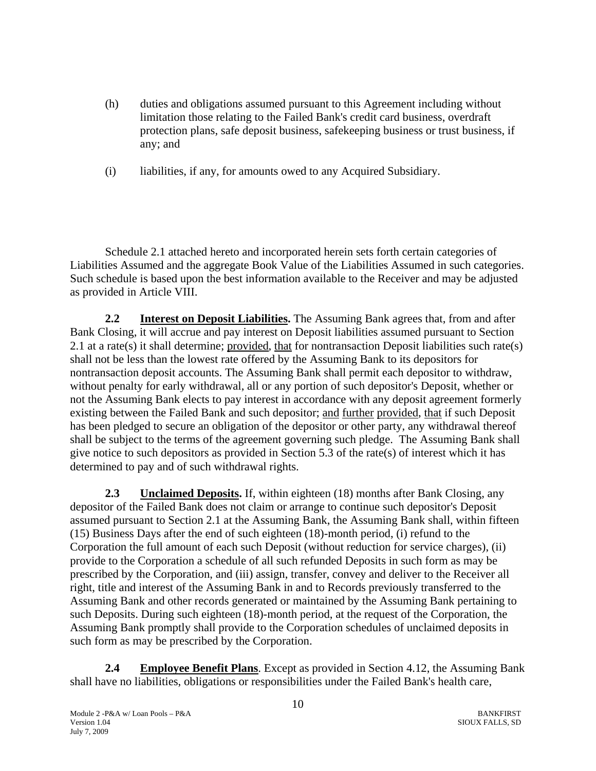- <span id="page-13-0"></span>(h) duties and obligations assumed pursuant to this Agreement including without limitation those relating to the Failed Bank's credit card business, overdraft protection plans, safe deposit business, safekeeping business or trust business, if any; and
- (i) liabilities, if any, for amounts owed to any Acquired Subsidiary.

Schedule 2.1 attached hereto and incorporated herein sets forth certain categories of Liabilities Assumed and the aggregate Book Value of the Liabilities Assumed in such categories. Such schedule is based upon the best information available to the Receiver and may be adjusted as provided in Article VIII.

**2.2 Interest on Deposit Liabilities.** The Assuming Bank agrees that, from and after Bank Closing, it will accrue and pay interest on Deposit liabilities assumed pursuant to Section 2.1 at a rate(s) it shall determine; provided, that for nontransaction Deposit liabilities such rate(s) shall not be less than the lowest rate offered by the Assuming Bank to its depositors for nontransaction deposit accounts. The Assuming Bank shall permit each depositor to withdraw, without penalty for early withdrawal, all or any portion of such depositor's Deposit, whether or not the Assuming Bank elects to pay interest in accordance with any deposit agreement formerly existing between the Failed Bank and such depositor; and further provided, that if such Deposit has been pledged to secure an obligation of the depositor or other party, any withdrawal thereof shall be subject to the terms of the agreement governing such pledge. The Assuming Bank shall give notice to such depositors as provided in Section 5.3 of the rate(s) of interest which it has determined to pay and of such withdrawal rights.

**2.3 Unclaimed Deposits.** If, within eighteen (18) months after Bank Closing, any depositor of the Failed Bank does not claim or arrange to continue such depositor's Deposit assumed pursuant to Section 2.1 at the Assuming Bank, the Assuming Bank shall, within fifteen (15) Business Days after the end of such eighteen (18)-month period, (i) refund to the Corporation the full amount of each such Deposit (without reduction for service charges), (ii) provide to the Corporation a schedule of all such refunded Deposits in such form as may be prescribed by the Corporation, and (iii) assign, transfer, convey and deliver to the Receiver all right, title and interest of the Assuming Bank in and to Records previously transferred to the Assuming Bank and other records generated or maintained by the Assuming Bank pertaining to such Deposits. During such eighteen (18)-month period, at the request of the Corporation, the Assuming Bank promptly shall provide to the Corporation schedules of unclaimed deposits in such form as may be prescribed by the Corporation.

**2.4 Employee Benefit Plans**. Except as provided in Section 4.12, the Assuming Bank shall have no liabilities, obligations or responsibilities under the Failed Bank's health care,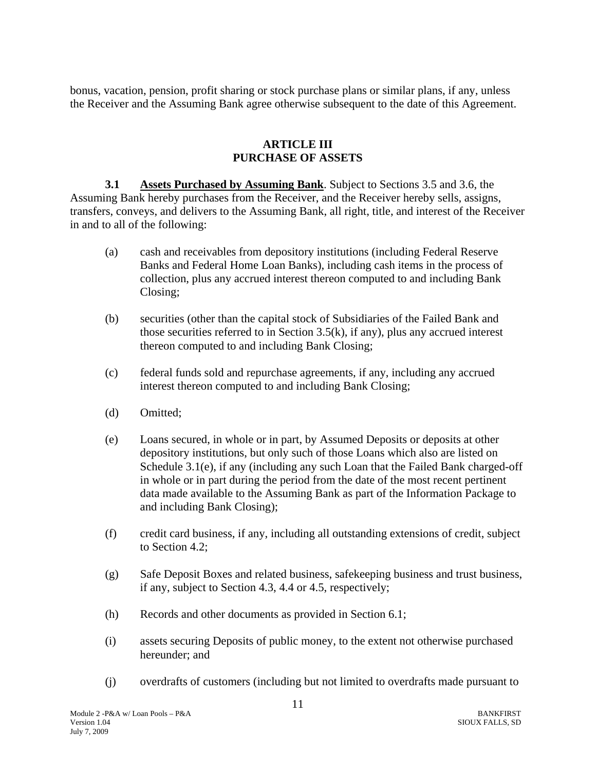<span id="page-14-0"></span>bonus, vacation, pension, profit sharing or stock purchase plans or similar plans, if any, unless the Receiver and the Assuming Bank agree otherwise subsequent to the date of this Agreement.

### **ARTICLE III PURCHASE OF ASSETS**

**3.1 Assets Purchased by Assuming Bank**. Subject to Sections 3.5 and 3.6, the Assuming Bank hereby purchases from the Receiver, and the Receiver hereby sells, assigns, transfers, conveys, and delivers to the Assuming Bank, all right, title, and interest of the Receiver in and to all of the following:

- (a) cash and receivables from depository institutions (including Federal Reserve Banks and Federal Home Loan Banks), including cash items in the process of collection, plus any accrued interest thereon computed to and including Bank Closing;
- (b) securities (other than the capital stock of Subsidiaries of the Failed Bank and those securities referred to in Section  $3.5(k)$ , if any), plus any accrued interest thereon computed to and including Bank Closing;
- (c) federal funds sold and repurchase agreements, if any, including any accrued interest thereon computed to and including Bank Closing;
- (d) Omitted;
- (e) Loans secured, in whole or in part, by Assumed Deposits or deposits at other depository institutions, but only such of those Loans which also are listed on Schedule  $3.1(e)$ , if any (including any such Loan that the Failed Bank charged-off in whole or in part during the period from the date of the most recent pertinent data made available to the Assuming Bank as part of the Information Package to and including Bank Closing);
- (f) credit card business, if any, including all outstanding extensions of credit, subject to Section 4.2;
- (g) Safe Deposit Boxes and related business, safekeeping business and trust business, if any, subject to Section 4.3, 4.4 or 4.5, respectively;
- (h) Records and other documents as provided in Section 6.1;
- (i) assets securing Deposits of public money, to the extent not otherwise purchased hereunder; and
- (j) overdrafts of customers (including but not limited to overdrafts made pursuant to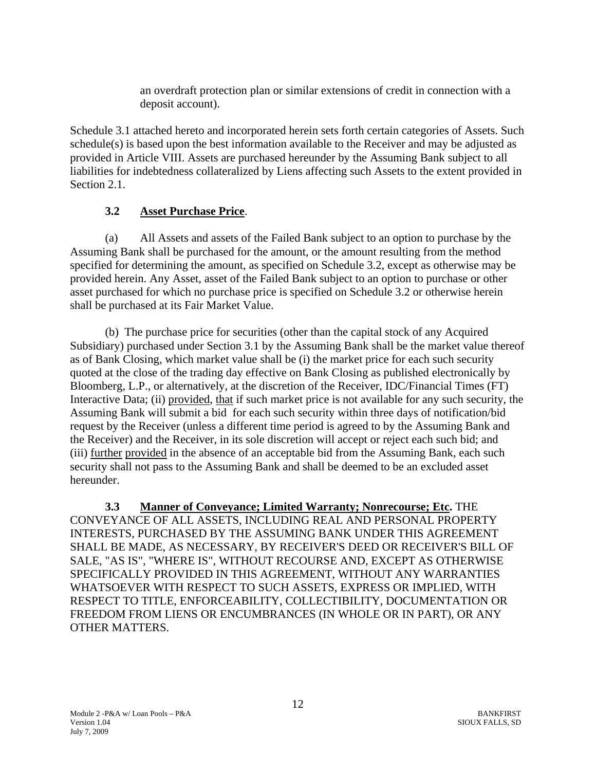an overdraft protection plan or similar extensions of credit in connection with a deposit account).

<span id="page-15-0"></span>Schedule 3.1 attached hereto and incorporated herein sets forth certain categories of Assets. Such schedule(s) is based upon the best information available to the Receiver and may be adjusted as provided in Article VIII. Assets are purchased hereunder by the Assuming Bank subject to all liabilities for indebtedness collateralized by Liens affecting such Assets to the extent provided in Section 2.1.

## **3.2 Asset Purchase Price**.

(a) All Assets and assets of the Failed Bank subject to an option to purchase by the Assuming Bank shall be purchased for the amount, or the amount resulting from the method specified for determining the amount, as specified on Schedule 3.2, except as otherwise may be provided herein. Any Asset, asset of the Failed Bank subject to an option to purchase or other asset purchased for which no purchase price is specified on Schedule 3.2 or otherwise herein shall be purchased at its Fair Market Value.

(b) The purchase price for securities (other than the capital stock of any Acquired Subsidiary) purchased under Section 3.1 by the Assuming Bank shall be the market value thereof as of Bank Closing, which market value shall be (i) the market price for each such security quoted at the close of the trading day effective on Bank Closing as published electronically by Bloomberg, L.P., or alternatively, at the discretion of the Receiver, IDC/Financial Times (FT) Interactive Data; (ii) provided, that if such market price is not available for any such security, the Assuming Bank will submit a bid for each such security within three days of notification/bid request by the Receiver (unless a different time period is agreed to by the Assuming Bank and the Receiver) and the Receiver, in its sole discretion will accept or reject each such bid; and (iii) further provided in the absence of an acceptable bid from the Assuming Bank, each such security shall not pass to the Assuming Bank and shall be deemed to be an excluded asset hereunder.

**3.3 Manner of Conveyance; Limited Warranty; Nonrecourse; Etc.** THE CONVEYANCE OF ALL ASSETS, INCLUDING REAL AND PERSONAL PROPERTY INTERESTS, PURCHASED BY THE ASSUMING BANK UNDER THIS AGREEMENT SHALL BE MADE, AS NECESSARY, BY RECEIVER'S DEED OR RECEIVER'S BILL OF SALE, "AS IS", "WHERE IS", WITHOUT RECOURSE AND, EXCEPT AS OTHERWISE SPECIFICALLY PROVIDED IN THIS AGREEMENT, WITHOUT ANY WARRANTIES WHATSOEVER WITH RESPECT TO SUCH ASSETS, EXPRESS OR IMPLIED, WITH RESPECT TO TITLE, ENFORCEABILITY, COLLECTIBILITY, DOCUMENTATION OR FREEDOM FROM LIENS OR ENCUMBRANCES (IN WHOLE OR IN PART), OR ANY OTHER MATTERS.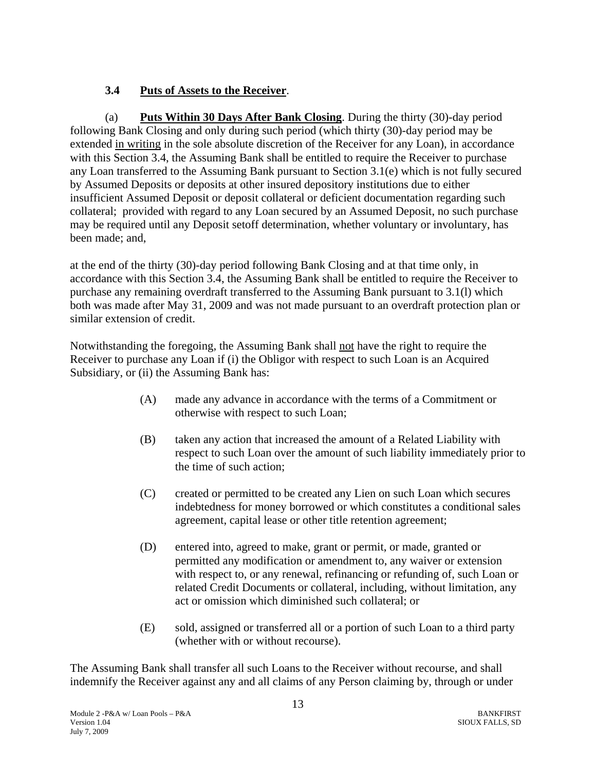## **3.4 Puts of Assets to the Receiver**.

<span id="page-16-0"></span>(a) **Puts Within 30 Days After Bank Closing**. During the thirty (30)-day period following Bank Closing and only during such period (which thirty (30)-day period may be extended in writing in the sole absolute discretion of the Receiver for any Loan), in accordance with this Section 3.4, the Assuming Bank shall be entitled to require the Receiver to purchase any Loan transferred to the Assuming Bank pursuant to Section 3.1(e) which is not fully secured by Assumed Deposits or deposits at other insured depository institutions due to either insufficient Assumed Deposit or deposit collateral or deficient documentation regarding such collateral; provided with regard to any Loan secured by an Assumed Deposit, no such purchase may be required until any Deposit setoff determination, whether voluntary or involuntary, has been made; and,

at the end of the thirty (30)-day period following Bank Closing and at that time only, in accordance with this Section 3.4, the Assuming Bank shall be entitled to require the Receiver to purchase any remaining overdraft transferred to the Assuming Bank pursuant to 3.1(l) which both was made after May 31, 2009 and was not made pursuant to an overdraft protection plan or similar extension of credit.

Notwithstanding the foregoing, the Assuming Bank shall not have the right to require the Receiver to purchase any Loan if (i) the Obligor with respect to such Loan is an Acquired Subsidiary, or (ii) the Assuming Bank has:

- (A) made any advance in accordance with the terms of a Commitment or otherwise with respect to such Loan;
- (B) taken any action that increased the amount of a Related Liability with respect to such Loan over the amount of such liability immediately prior to the time of such action;
- (C) created or permitted to be created any Lien on such Loan which secures indebtedness for money borrowed or which constitutes a conditional sales agreement, capital lease or other title retention agreement;
- (D) entered into, agreed to make, grant or permit, or made, granted or permitted any modification or amendment to, any waiver or extension with respect to, or any renewal, refinancing or refunding of, such Loan or related Credit Documents or collateral, including, without limitation, any act or omission which diminished such collateral; or
- (E) sold, assigned or transferred all or a portion of such Loan to a third party (whether with or without recourse).

The Assuming Bank shall transfer all such Loans to the Receiver without recourse, and shall indemnify the Receiver against any and all claims of any Person claiming by, through or under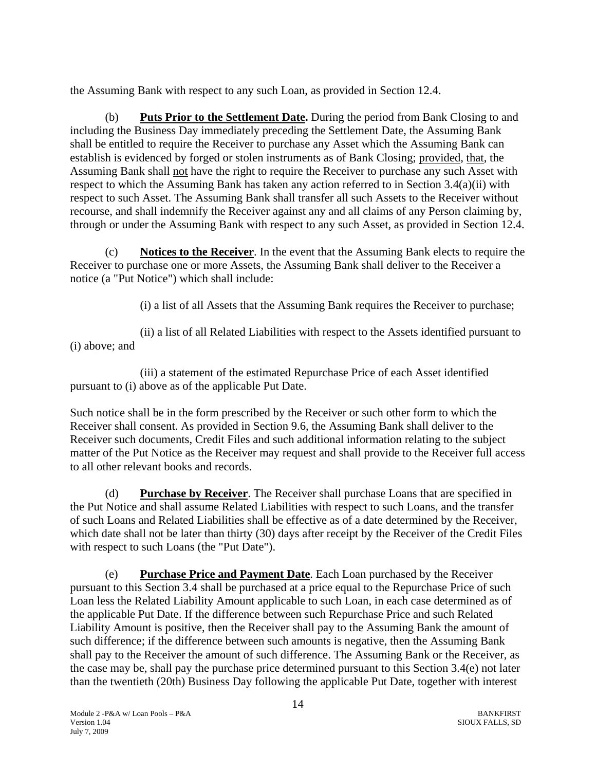the Assuming Bank with respect to any such Loan, as provided in Section 12.4.

(b) **Puts Prior to the Settlement Date.** During the period from Bank Closing to and including the Business Day immediately preceding the Settlement Date, the Assuming Bank shall be entitled to require the Receiver to purchase any Asset which the Assuming Bank can establish is evidenced by forged or stolen instruments as of Bank Closing; provided, that, the Assuming Bank shall not have the right to require the Receiver to purchase any such Asset with respect to which the Assuming Bank has taken any action referred to in Section 3.4(a)(ii) with respect to such Asset. The Assuming Bank shall transfer all such Assets to the Receiver without recourse, and shall indemnify the Receiver against any and all claims of any Person claiming by, through or under the Assuming Bank with respect to any such Asset, as provided in Section 12.4.

(c) **Notices to the Receiver**. In the event that the Assuming Bank elects to require the Receiver to purchase one or more Assets, the Assuming Bank shall deliver to the Receiver a notice (a "Put Notice") which shall include:

(i) a list of all Assets that the Assuming Bank requires the Receiver to purchase;

(ii) a list of all Related Liabilities with respect to the Assets identified pursuant to (i) above; and

(iii) a statement of the estimated Repurchase Price of each Asset identified pursuant to (i) above as of the applicable Put Date.

Such notice shall be in the form prescribed by the Receiver or such other form to which the Receiver shall consent. As provided in Section 9.6, the Assuming Bank shall deliver to the Receiver such documents, Credit Files and such additional information relating to the subject matter of the Put Notice as the Receiver may request and shall provide to the Receiver full access to all other relevant books and records.

(d) **Purchase by Receiver**. The Receiver shall purchase Loans that are specified in the Put Notice and shall assume Related Liabilities with respect to such Loans, and the transfer of such Loans and Related Liabilities shall be effective as of a date determined by the Receiver, which date shall not be later than thirty (30) days after receipt by the Receiver of the Credit Files with respect to such Loans (the "Put Date").

(e) **Purchase Price and Payment Date**. Each Loan purchased by the Receiver pursuant to this Section 3.4 shall be purchased at a price equal to the Repurchase Price of such Loan less the Related Liability Amount applicable to such Loan, in each case determined as of the applicable Put Date. If the difference between such Repurchase Price and such Related Liability Amount is positive, then the Receiver shall pay to the Assuming Bank the amount of such difference; if the difference between such amounts is negative, then the Assuming Bank shall pay to the Receiver the amount of such difference. The Assuming Bank or the Receiver, as the case may be, shall pay the purchase price determined pursuant to this Section 3.4(e) not later than the twentieth (20th) Business Day following the applicable Put Date, together with interest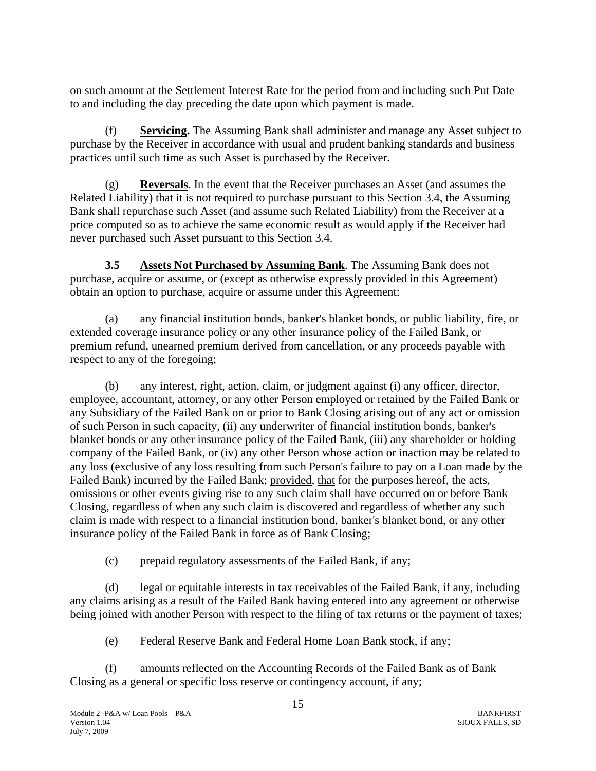<span id="page-18-0"></span>on such amount at the Settlement Interest Rate for the period from and including such Put Date to and including the day preceding the date upon which payment is made.

(f) **Servicing.** The Assuming Bank shall administer and manage any Asset subject to purchase by the Receiver in accordance with usual and prudent banking standards and business practices until such time as such Asset is purchased by the Receiver.

(g) **Reversals**. In the event that the Receiver purchases an Asset (and assumes the Related Liability) that it is not required to purchase pursuant to this Section 3.4, the Assuming Bank shall repurchase such Asset (and assume such Related Liability) from the Receiver at a price computed so as to achieve the same economic result as would apply if the Receiver had never purchased such Asset pursuant to this Section 3.4.

**3.5 Assets Not Purchased by Assuming Bank**. The Assuming Bank does not purchase, acquire or assume, or (except as otherwise expressly provided in this Agreement) obtain an option to purchase, acquire or assume under this Agreement:

(a) any financial institution bonds, banker's blanket bonds, or public liability, fire, or extended coverage insurance policy or any other insurance policy of the Failed Bank, or premium refund, unearned premium derived from cancellation, or any proceeds payable with respect to any of the foregoing;

(b) any interest, right, action, claim, or judgment against (i) any officer, director, employee, accountant, attorney, or any other Person employed or retained by the Failed Bank or any Subsidiary of the Failed Bank on or prior to Bank Closing arising out of any act or omission of such Person in such capacity, (ii) any underwriter of financial institution bonds, banker's blanket bonds or any other insurance policy of the Failed Bank, (iii) any shareholder or holding company of the Failed Bank, or (iv) any other Person whose action or inaction may be related to any loss (exclusive of any loss resulting from such Person's failure to pay on a Loan made by the Failed Bank) incurred by the Failed Bank; provided, that for the purposes hereof, the acts, omissions or other events giving rise to any such claim shall have occurred on or before Bank Closing, regardless of when any such claim is discovered and regardless of whether any such claim is made with respect to a financial institution bond, banker's blanket bond, or any other insurance policy of the Failed Bank in force as of Bank Closing;

(c) prepaid regulatory assessments of the Failed Bank, if any;

(d) legal or equitable interests in tax receivables of the Failed Bank, if any, including any claims arising as a result of the Failed Bank having entered into any agreement or otherwise being joined with another Person with respect to the filing of tax returns or the payment of taxes;

(e) Federal Reserve Bank and Federal Home Loan Bank stock, if any;

(f) amounts reflected on the Accounting Records of the Failed Bank as of Bank Closing as a general or specific loss reserve or contingency account, if any;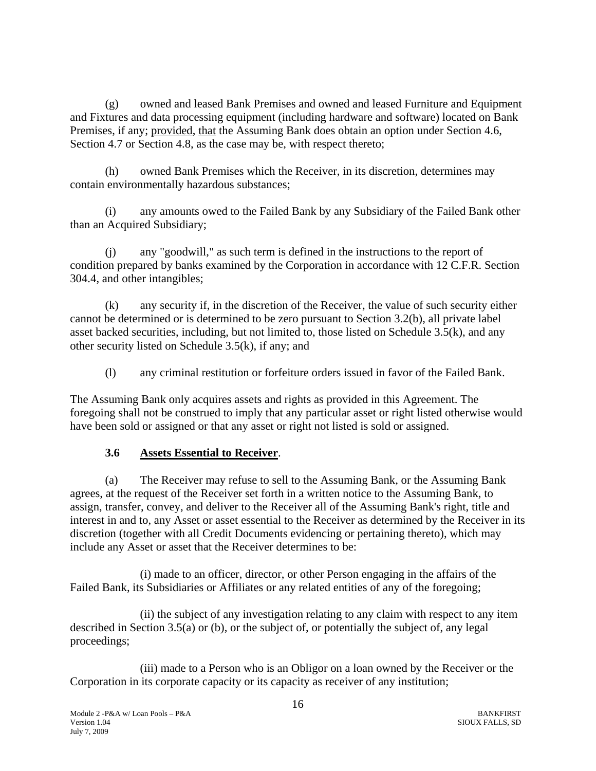<span id="page-19-0"></span>(g) owned and leased Bank Premises and owned and leased Furniture and Equipment and Fixtures and data processing equipment (including hardware and software) located on Bank Premises, if any; provided, that the Assuming Bank does obtain an option under Section 4.6, Section 4.7 or Section 4.8, as the case may be, with respect thereto;

(h) owned Bank Premises which the Receiver, in its discretion, determines may contain environmentally hazardous substances;

(i) any amounts owed to the Failed Bank by any Subsidiary of the Failed Bank other than an Acquired Subsidiary;

(j) any "goodwill," as such term is defined in the instructions to the report of condition prepared by banks examined by the Corporation in accordance with 12 C.F.R. Section 304.4, and other intangibles;

(k) any security if, in the discretion of the Receiver, the value of such security either cannot be determined or is determined to be zero pursuant to Section 3.2(b), all private label asset backed securities, including, but not limited to, those listed on Schedule 3.5(k), and any other security listed on Schedule 3.5(k), if any; and

(l) any criminal restitution or forfeiture orders issued in favor of the Failed Bank.

The Assuming Bank only acquires assets and rights as provided in this Agreement. The foregoing shall not be construed to imply that any particular asset or right listed otherwise would have been sold or assigned or that any asset or right not listed is sold or assigned.

## **3.6 Assets Essential to Receiver**.

(a) The Receiver may refuse to sell to the Assuming Bank, or the Assuming Bank agrees, at the request of the Receiver set forth in a written notice to the Assuming Bank, to assign, transfer, convey, and deliver to the Receiver all of the Assuming Bank's right, title and interest in and to, any Asset or asset essential to the Receiver as determined by the Receiver in its discretion (together with all Credit Documents evidencing or pertaining thereto), which may include any Asset or asset that the Receiver determines to be:

(i) made to an officer, director, or other Person engaging in the affairs of the Failed Bank, its Subsidiaries or Affiliates or any related entities of any of the foregoing;

(ii) the subject of any investigation relating to any claim with respect to any item described in Section 3.5(a) or (b), or the subject of, or potentially the subject of, any legal proceedings;

(iii) made to a Person who is an Obligor on a loan owned by the Receiver or the Corporation in its corporate capacity or its capacity as receiver of any institution;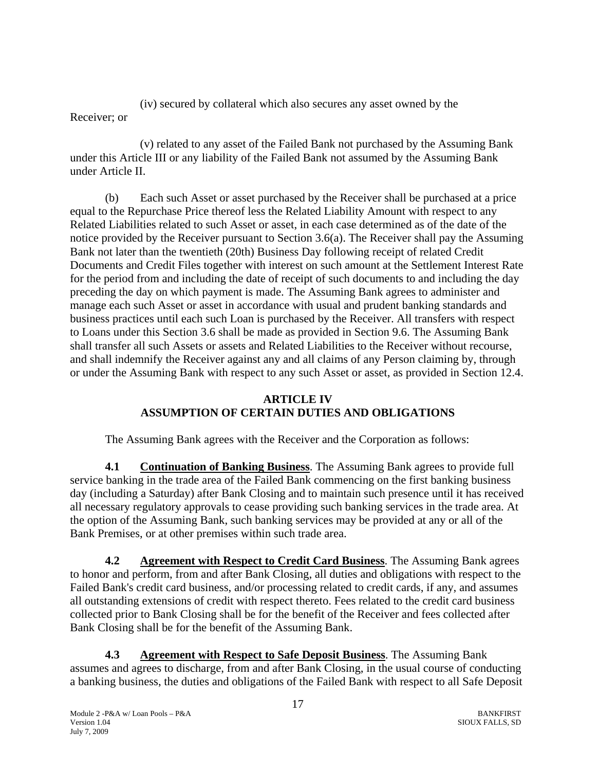<span id="page-20-0"></span>(iv) secured by collateral which also secures any asset owned by the Receiver; or

(v) related to any asset of the Failed Bank not purchased by the Assuming Bank under this Article III or any liability of the Failed Bank not assumed by the Assuming Bank under Article II.

(b) Each such Asset or asset purchased by the Receiver shall be purchased at a price equal to the Repurchase Price thereof less the Related Liability Amount with respect to any Related Liabilities related to such Asset or asset, in each case determined as of the date of the notice provided by the Receiver pursuant to Section 3.6(a). The Receiver shall pay the Assuming Bank not later than the twentieth (20th) Business Day following receipt of related Credit Documents and Credit Files together with interest on such amount at the Settlement Interest Rate for the period from and including the date of receipt of such documents to and including the day preceding the day on which payment is made. The Assuming Bank agrees to administer and manage each such Asset or asset in accordance with usual and prudent banking standards and business practices until each such Loan is purchased by the Receiver. All transfers with respect to Loans under this Section 3.6 shall be made as provided in Section 9.6. The Assuming Bank shall transfer all such Assets or assets and Related Liabilities to the Receiver without recourse, and shall indemnify the Receiver against any and all claims of any Person claiming by, through or under the Assuming Bank with respect to any such Asset or asset, as provided in Section 12.4.

## **ARTICLE IV ASSUMPTION OF CERTAIN DUTIES AND OBLIGATIONS**

The Assuming Bank agrees with the Receiver and the Corporation as follows:

**4.1 Continuation of Banking Business**. The Assuming Bank agrees to provide full service banking in the trade area of the Failed Bank commencing on the first banking business day (including a Saturday) after Bank Closing and to maintain such presence until it has received all necessary regulatory approvals to cease providing such banking services in the trade area. At the option of the Assuming Bank, such banking services may be provided at any or all of the Bank Premises, or at other premises within such trade area.

**4.2** Agreement with Respect to Credit Card Business. The Assuming Bank agrees to honor and perform, from and after Bank Closing, all duties and obligations with respect to the Failed Bank's credit card business, and/or processing related to credit cards, if any, and assumes all outstanding extensions of credit with respect thereto. Fees related to the credit card business collected prior to Bank Closing shall be for the benefit of the Receiver and fees collected after Bank Closing shall be for the benefit of the Assuming Bank.

**4.3 Agreement with Respect to Safe Deposit Business**. The Assuming Bank assumes and agrees to discharge, from and after Bank Closing, in the usual course of conducting a banking business, the duties and obligations of the Failed Bank with respect to all Safe Deposit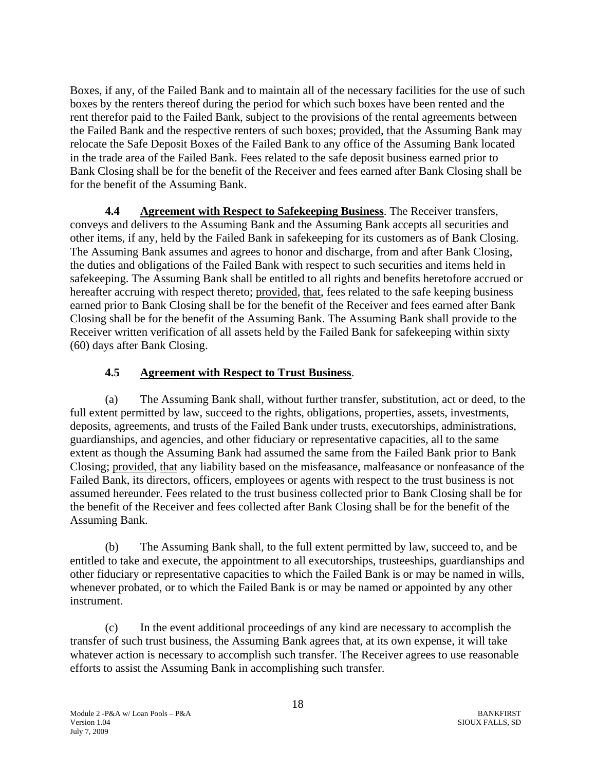<span id="page-21-0"></span>Boxes, if any, of the Failed Bank and to maintain all of the necessary facilities for the use of such boxes by the renters thereof during the period for which such boxes have been rented and the rent therefor paid to the Failed Bank, subject to the provisions of the rental agreements between the Failed Bank and the respective renters of such boxes; provided, that the Assuming Bank may relocate the Safe Deposit Boxes of the Failed Bank to any office of the Assuming Bank located in the trade area of the Failed Bank. Fees related to the safe deposit business earned prior to Bank Closing shall be for the benefit of the Receiver and fees earned after Bank Closing shall be for the benefit of the Assuming Bank.

**4.4** Agreement with Respect to Safekeeping Business. The Receiver transfers, conveys and delivers to the Assuming Bank and the Assuming Bank accepts all securities and other items, if any, held by the Failed Bank in safekeeping for its customers as of Bank Closing. The Assuming Bank assumes and agrees to honor and discharge, from and after Bank Closing, the duties and obligations of the Failed Bank with respect to such securities and items held in safekeeping. The Assuming Bank shall be entitled to all rights and benefits heretofore accrued or hereafter accruing with respect thereto; provided, that, fees related to the safe keeping business earned prior to Bank Closing shall be for the benefit of the Receiver and fees earned after Bank Closing shall be for the benefit of the Assuming Bank. The Assuming Bank shall provide to the Receiver written verification of all assets held by the Failed Bank for safekeeping within sixty (60) days after Bank Closing.

## **4.5 Agreement with Respect to Trust Business**.

(a) The Assuming Bank shall, without further transfer, substitution, act or deed, to the full extent permitted by law, succeed to the rights, obligations, properties, assets, investments, deposits, agreements, and trusts of the Failed Bank under trusts, executorships, administrations, guardianships, and agencies, and other fiduciary or representative capacities, all to the same extent as though the Assuming Bank had assumed the same from the Failed Bank prior to Bank Closing; provided, that any liability based on the misfeasance, malfeasance or nonfeasance of the Failed Bank, its directors, officers, employees or agents with respect to the trust business is not assumed hereunder. Fees related to the trust business collected prior to Bank Closing shall be for the benefit of the Receiver and fees collected after Bank Closing shall be for the benefit of the Assuming Bank.

(b) The Assuming Bank shall, to the full extent permitted by law, succeed to, and be entitled to take and execute, the appointment to all executorships, trusteeships, guardianships and other fiduciary or representative capacities to which the Failed Bank is or may be named in wills, whenever probated, or to which the Failed Bank is or may be named or appointed by any other instrument.

(c) In the event additional proceedings of any kind are necessary to accomplish the transfer of such trust business, the Assuming Bank agrees that, at its own expense, it will take whatever action is necessary to accomplish such transfer. The Receiver agrees to use reasonable efforts to assist the Assuming Bank in accomplishing such transfer.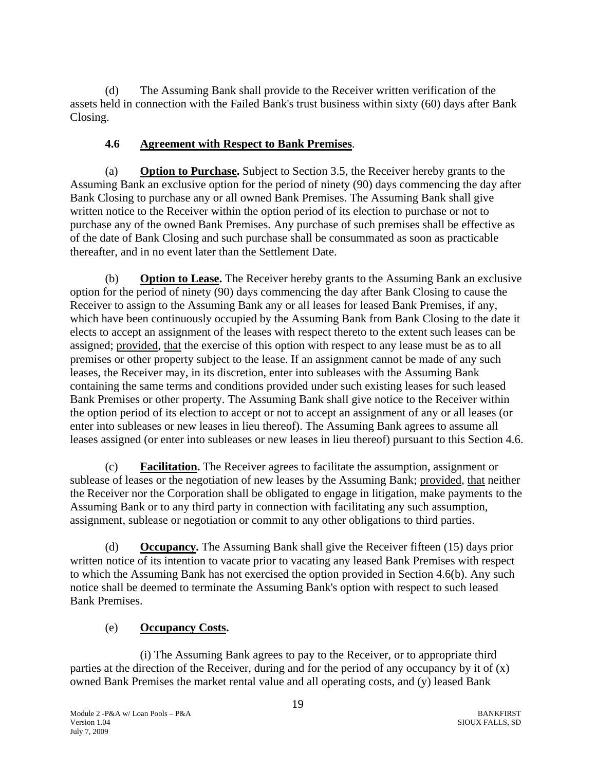<span id="page-22-0"></span>(d) The Assuming Bank shall provide to the Receiver written verification of the assets held in connection with the Failed Bank's trust business within sixty (60) days after Bank Closing.

## **4.6 Agreement with Respect to Bank Premises**.

(a) **Option to Purchase.** Subject to Section 3.5, the Receiver hereby grants to the Assuming Bank an exclusive option for the period of ninety (90) days commencing the day after Bank Closing to purchase any or all owned Bank Premises. The Assuming Bank shall give written notice to the Receiver within the option period of its election to purchase or not to purchase any of the owned Bank Premises. Any purchase of such premises shall be effective as of the date of Bank Closing and such purchase shall be consummated as soon as practicable thereafter, and in no event later than the Settlement Date.

(b) **Option to Lease.** The Receiver hereby grants to the Assuming Bank an exclusive option for the period of ninety (90) days commencing the day after Bank Closing to cause the Receiver to assign to the Assuming Bank any or all leases for leased Bank Premises, if any, which have been continuously occupied by the Assuming Bank from Bank Closing to the date it elects to accept an assignment of the leases with respect thereto to the extent such leases can be assigned; provided, that the exercise of this option with respect to any lease must be as to all premises or other property subject to the lease. If an assignment cannot be made of any such leases, the Receiver may, in its discretion, enter into subleases with the Assuming Bank containing the same terms and conditions provided under such existing leases for such leased Bank Premises or other property. The Assuming Bank shall give notice to the Receiver within the option period of its election to accept or not to accept an assignment of any or all leases (or enter into subleases or new leases in lieu thereof). The Assuming Bank agrees to assume all leases assigned (or enter into subleases or new leases in lieu thereof) pursuant to this Section 4.6.

(c) **Facilitation.** The Receiver agrees to facilitate the assumption, assignment or sublease of leases or the negotiation of new leases by the Assuming Bank; provided, that neither the Receiver nor the Corporation shall be obligated to engage in litigation, make payments to the Assuming Bank or to any third party in connection with facilitating any such assumption, assignment, sublease or negotiation or commit to any other obligations to third parties.

(d) **Occupancy.** The Assuming Bank shall give the Receiver fifteen (15) days prior written notice of its intention to vacate prior to vacating any leased Bank Premises with respect to which the Assuming Bank has not exercised the option provided in Section 4.6(b). Any such notice shall be deemed to terminate the Assuming Bank's option with respect to such leased Bank Premises.

## (e) **Occupancy Costs.**

(i) The Assuming Bank agrees to pay to the Receiver, or to appropriate third parties at the direction of the Receiver, during and for the period of any occupancy by it of (x) owned Bank Premises the market rental value and all operating costs, and (y) leased Bank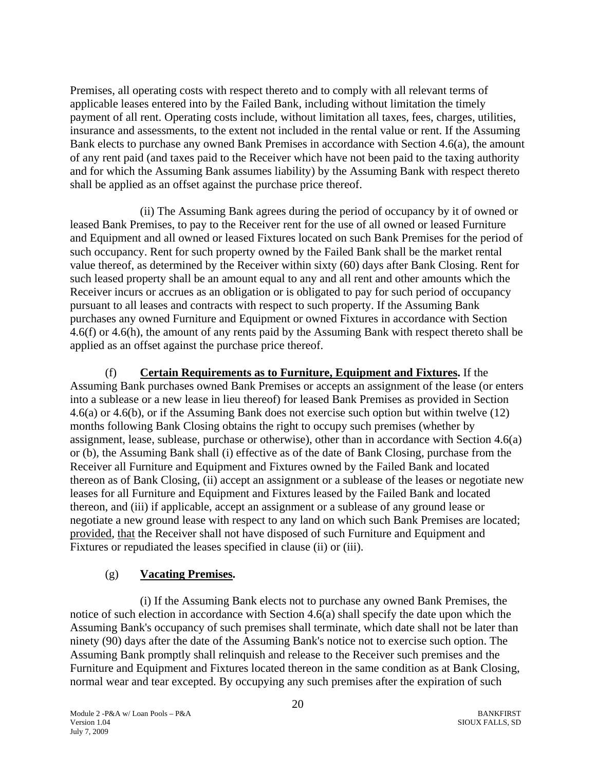Premises, all operating costs with respect thereto and to comply with all relevant terms of applicable leases entered into by the Failed Bank, including without limitation the timely payment of all rent. Operating costs include, without limitation all taxes, fees, charges, utilities, insurance and assessments, to the extent not included in the rental value or rent. If the Assuming Bank elects to purchase any owned Bank Premises in accordance with Section 4.6(a), the amount of any rent paid (and taxes paid to the Receiver which have not been paid to the taxing authority and for which the Assuming Bank assumes liability) by the Assuming Bank with respect thereto shall be applied as an offset against the purchase price thereof.

(ii) The Assuming Bank agrees during the period of occupancy by it of owned or leased Bank Premises, to pay to the Receiver rent for the use of all owned or leased Furniture and Equipment and all owned or leased Fixtures located on such Bank Premises for the period of such occupancy. Rent for such property owned by the Failed Bank shall be the market rental value thereof, as determined by the Receiver within sixty (60) days after Bank Closing. Rent for such leased property shall be an amount equal to any and all rent and other amounts which the Receiver incurs or accrues as an obligation or is obligated to pay for such period of occupancy pursuant to all leases and contracts with respect to such property. If the Assuming Bank purchases any owned Furniture and Equipment or owned Fixtures in accordance with Section 4.6(f) or 4.6(h), the amount of any rents paid by the Assuming Bank with respect thereto shall be applied as an offset against the purchase price thereof.

(f) **Certain Requirements as to Furniture, Equipment and Fixtures.** If the Assuming Bank purchases owned Bank Premises or accepts an assignment of the lease (or enters into a sublease or a new lease in lieu thereof) for leased Bank Premises as provided in Section 4.6(a) or 4.6(b), or if the Assuming Bank does not exercise such option but within twelve (12) months following Bank Closing obtains the right to occupy such premises (whether by assignment, lease, sublease, purchase or otherwise), other than in accordance with Section 4.6(a) or (b), the Assuming Bank shall (i) effective as of the date of Bank Closing, purchase from the Receiver all Furniture and Equipment and Fixtures owned by the Failed Bank and located thereon as of Bank Closing, (ii) accept an assignment or a sublease of the leases or negotiate new leases for all Furniture and Equipment and Fixtures leased by the Failed Bank and located thereon, and (iii) if applicable, accept an assignment or a sublease of any ground lease or negotiate a new ground lease with respect to any land on which such Bank Premises are located; provided, that the Receiver shall not have disposed of such Furniture and Equipment and Fixtures or repudiated the leases specified in clause (ii) or (iii).

## (g) **Vacating Premises.**

(i) If the Assuming Bank elects not to purchase any owned Bank Premises, the notice of such election in accordance with Section 4.6(a) shall specify the date upon which the Assuming Bank's occupancy of such premises shall terminate, which date shall not be later than ninety (90) days after the date of the Assuming Bank's notice not to exercise such option. The Assuming Bank promptly shall relinquish and release to the Receiver such premises and the Furniture and Equipment and Fixtures located thereon in the same condition as at Bank Closing, normal wear and tear excepted. By occupying any such premises after the expiration of such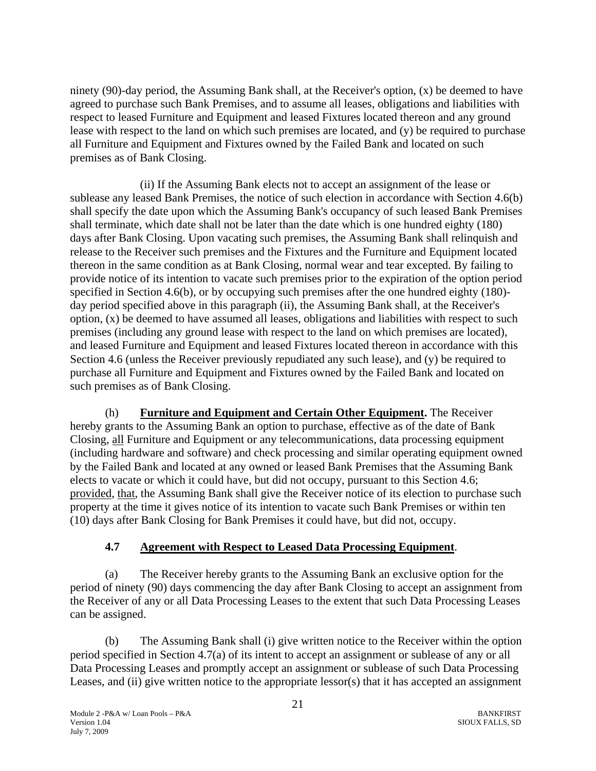<span id="page-24-0"></span>ninety (90)-day period, the Assuming Bank shall, at the Receiver's option, (x) be deemed to have agreed to purchase such Bank Premises, and to assume all leases, obligations and liabilities with respect to leased Furniture and Equipment and leased Fixtures located thereon and any ground lease with respect to the land on which such premises are located, and (y) be required to purchase all Furniture and Equipment and Fixtures owned by the Failed Bank and located on such premises as of Bank Closing.

(ii) If the Assuming Bank elects not to accept an assignment of the lease or sublease any leased Bank Premises, the notice of such election in accordance with Section 4.6(b) shall specify the date upon which the Assuming Bank's occupancy of such leased Bank Premises shall terminate, which date shall not be later than the date which is one hundred eighty (180) days after Bank Closing. Upon vacating such premises, the Assuming Bank shall relinquish and release to the Receiver such premises and the Fixtures and the Furniture and Equipment located thereon in the same condition as at Bank Closing, normal wear and tear excepted. By failing to provide notice of its intention to vacate such premises prior to the expiration of the option period specified in Section 4.6(b), or by occupying such premises after the one hundred eighty (180) day period specified above in this paragraph (ii), the Assuming Bank shall, at the Receiver's option, (x) be deemed to have assumed all leases, obligations and liabilities with respect to such premises (including any ground lease with respect to the land on which premises are located), and leased Furniture and Equipment and leased Fixtures located thereon in accordance with this Section 4.6 (unless the Receiver previously repudiated any such lease), and (y) be required to purchase all Furniture and Equipment and Fixtures owned by the Failed Bank and located on such premises as of Bank Closing.

(h) **Furniture and Equipment and Certain Other Equipment.** The Receiver hereby grants to the Assuming Bank an option to purchase, effective as of the date of Bank Closing, all Furniture and Equipment or any telecommunications, data processing equipment (including hardware and software) and check processing and similar operating equipment owned by the Failed Bank and located at any owned or leased Bank Premises that the Assuming Bank elects to vacate or which it could have, but did not occupy, pursuant to this Section 4.6; provided, that, the Assuming Bank shall give the Receiver notice of its election to purchase such property at the time it gives notice of its intention to vacate such Bank Premises or within ten (10) days after Bank Closing for Bank Premises it could have, but did not, occupy.

# **4.7 Agreement with Respect to Leased Data Processing Equipment**.

(a) The Receiver hereby grants to the Assuming Bank an exclusive option for the period of ninety (90) days commencing the day after Bank Closing to accept an assignment from the Receiver of any or all Data Processing Leases to the extent that such Data Processing Leases can be assigned.

(b) The Assuming Bank shall (i) give written notice to the Receiver within the option period specified in Section 4.7(a) of its intent to accept an assignment or sublease of any or all Data Processing Leases and promptly accept an assignment or sublease of such Data Processing Leases, and (ii) give written notice to the appropriate lessor(s) that it has accepted an assignment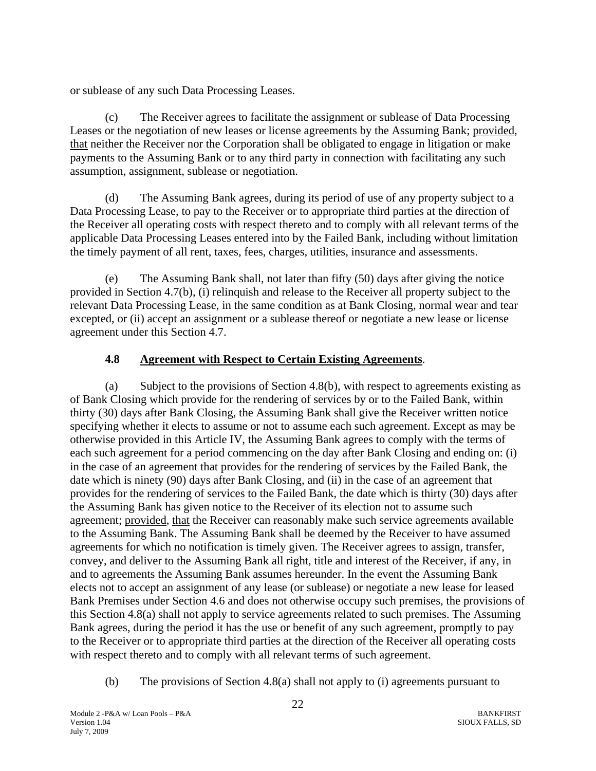<span id="page-25-0"></span>or sublease of any such Data Processing Leases.

(c) The Receiver agrees to facilitate the assignment or sublease of Data Processing Leases or the negotiation of new leases or license agreements by the Assuming Bank; provided, that neither the Receiver nor the Corporation shall be obligated to engage in litigation or make payments to the Assuming Bank or to any third party in connection with facilitating any such assumption, assignment, sublease or negotiation.

(d) The Assuming Bank agrees, during its period of use of any property subject to a Data Processing Lease, to pay to the Receiver or to appropriate third parties at the direction of the Receiver all operating costs with respect thereto and to comply with all relevant terms of the applicable Data Processing Leases entered into by the Failed Bank, including without limitation the timely payment of all rent, taxes, fees, charges, utilities, insurance and assessments.

(e) The Assuming Bank shall, not later than fifty (50) days after giving the notice provided in Section 4.7(b), (i) relinquish and release to the Receiver all property subject to the relevant Data Processing Lease, in the same condition as at Bank Closing, normal wear and tear excepted, or (ii) accept an assignment or a sublease thereof or negotiate a new lease or license agreement under this Section 4.7.

## **4.8 Agreement with Respect to Certain Existing Agreements**.

(a) Subject to the provisions of Section 4.8(b), with respect to agreements existing as of Bank Closing which provide for the rendering of services by or to the Failed Bank, within thirty (30) days after Bank Closing, the Assuming Bank shall give the Receiver written notice specifying whether it elects to assume or not to assume each such agreement. Except as may be otherwise provided in this Article IV, the Assuming Bank agrees to comply with the terms of each such agreement for a period commencing on the day after Bank Closing and ending on: (i) in the case of an agreement that provides for the rendering of services by the Failed Bank, the date which is ninety (90) days after Bank Closing, and (ii) in the case of an agreement that provides for the rendering of services to the Failed Bank, the date which is thirty (30) days after the Assuming Bank has given notice to the Receiver of its election not to assume such agreement; provided, that the Receiver can reasonably make such service agreements available to the Assuming Bank. The Assuming Bank shall be deemed by the Receiver to have assumed agreements for which no notification is timely given. The Receiver agrees to assign, transfer, convey, and deliver to the Assuming Bank all right, title and interest of the Receiver, if any, in and to agreements the Assuming Bank assumes hereunder. In the event the Assuming Bank elects not to accept an assignment of any lease (or sublease) or negotiate a new lease for leased Bank Premises under Section 4.6 and does not otherwise occupy such premises, the provisions of this Section 4.8(a) shall not apply to service agreements related to such premises. The Assuming Bank agrees, during the period it has the use or benefit of any such agreement, promptly to pay to the Receiver or to appropriate third parties at the direction of the Receiver all operating costs with respect thereto and to comply with all relevant terms of such agreement.

(b) The provisions of Section 4.8(a) shall not apply to (i) agreements pursuant to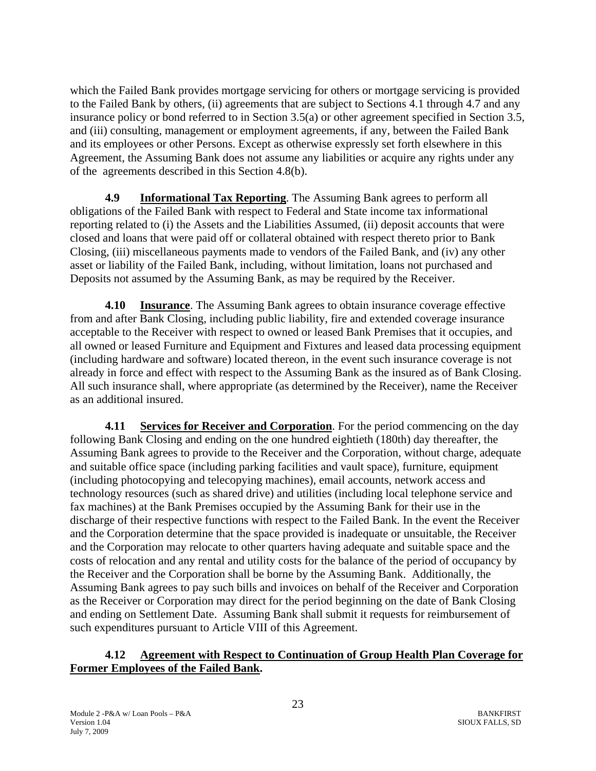<span id="page-26-0"></span>which the Failed Bank provides mortgage servicing for others or mortgage servicing is provided to the Failed Bank by others, (ii) agreements that are subject to Sections 4.1 through 4.7 and any insurance policy or bond referred to in Section 3.5(a) or other agreement specified in Section 3.5, and (iii) consulting, management or employment agreements, if any, between the Failed Bank and its employees or other Persons. Except as otherwise expressly set forth elsewhere in this Agreement, the Assuming Bank does not assume any liabilities or acquire any rights under any of the agreements described in this Section 4.8(b).

**4.9 Informational Tax Reporting**. The Assuming Bank agrees to perform all obligations of the Failed Bank with respect to Federal and State income tax informational reporting related to (i) the Assets and the Liabilities Assumed, (ii) deposit accounts that were closed and loans that were paid off or collateral obtained with respect thereto prior to Bank Closing, (iii) miscellaneous payments made to vendors of the Failed Bank, and (iv) any other asset or liability of the Failed Bank, including, without limitation, loans not purchased and Deposits not assumed by the Assuming Bank, as may be required by the Receiver.

**4.10 Insurance**. The Assuming Bank agrees to obtain insurance coverage effective from and after Bank Closing, including public liability, fire and extended coverage insurance acceptable to the Receiver with respect to owned or leased Bank Premises that it occupies, and all owned or leased Furniture and Equipment and Fixtures and leased data processing equipment (including hardware and software) located thereon, in the event such insurance coverage is not already in force and effect with respect to the Assuming Bank as the insured as of Bank Closing. All such insurance shall, where appropriate (as determined by the Receiver), name the Receiver as an additional insured.

**4.11 Services for Receiver and Corporation**. For the period commencing on the day following Bank Closing and ending on the one hundred eightieth (180th) day thereafter, the Assuming Bank agrees to provide to the Receiver and the Corporation, without charge, adequate and suitable office space (including parking facilities and vault space), furniture, equipment (including photocopying and telecopying machines), email accounts, network access and technology resources (such as shared drive) and utilities (including local telephone service and fax machines) at the Bank Premises occupied by the Assuming Bank for their use in the discharge of their respective functions with respect to the Failed Bank. In the event the Receiver and the Corporation determine that the space provided is inadequate or unsuitable, the Receiver and the Corporation may relocate to other quarters having adequate and suitable space and the costs of relocation and any rental and utility costs for the balance of the period of occupancy by the Receiver and the Corporation shall be borne by the Assuming Bank. Additionally, the Assuming Bank agrees to pay such bills and invoices on behalf of the Receiver and Corporation as the Receiver or Corporation may direct for the period beginning on the date of Bank Closing and ending on Settlement Date. Assuming Bank shall submit it requests for reimbursement of such expenditures pursuant to Article VIII of this Agreement.

### **4.12 Agreement with Respect to Continuation of Group Health Plan Coverage for Former Employees of the Failed Bank.**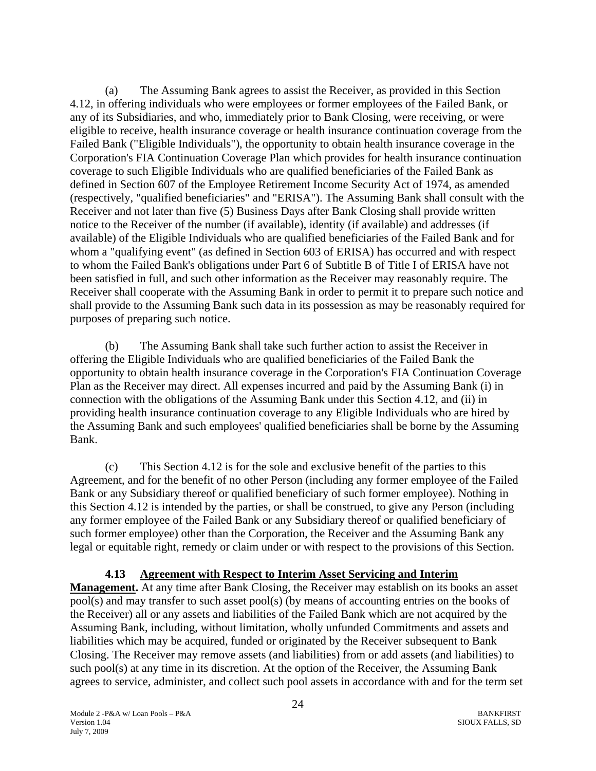<span id="page-27-0"></span>(a) The Assuming Bank agrees to assist the Receiver, as provided in this Section 4.12, in offering individuals who were employees or former employees of the Failed Bank, or any of its Subsidiaries, and who, immediately prior to Bank Closing, were receiving, or were eligible to receive, health insurance coverage or health insurance continuation coverage from the Failed Bank ("Eligible Individuals"), the opportunity to obtain health insurance coverage in the Corporation's FIA Continuation Coverage Plan which provides for health insurance continuation coverage to such Eligible Individuals who are qualified beneficiaries of the Failed Bank as defined in Section 607 of the Employee Retirement Income Security Act of 1974, as amended (respectively, "qualified beneficiaries" and "ERISA"). The Assuming Bank shall consult with the Receiver and not later than five (5) Business Days after Bank Closing shall provide written notice to the Receiver of the number (if available), identity (if available) and addresses (if available) of the Eligible Individuals who are qualified beneficiaries of the Failed Bank and for whom a "qualifying event" (as defined in Section 603 of ERISA) has occurred and with respect to whom the Failed Bank's obligations under Part 6 of Subtitle B of Title I of ERISA have not been satisfied in full, and such other information as the Receiver may reasonably require. The Receiver shall cooperate with the Assuming Bank in order to permit it to prepare such notice and shall provide to the Assuming Bank such data in its possession as may be reasonably required for purposes of preparing such notice.

(b) The Assuming Bank shall take such further action to assist the Receiver in offering the Eligible Individuals who are qualified beneficiaries of the Failed Bank the opportunity to obtain health insurance coverage in the Corporation's FIA Continuation Coverage Plan as the Receiver may direct. All expenses incurred and paid by the Assuming Bank (i) in connection with the obligations of the Assuming Bank under this Section 4.12, and (ii) in providing health insurance continuation coverage to any Eligible Individuals who are hired by the Assuming Bank and such employees' qualified beneficiaries shall be borne by the Assuming Bank.

(c) This Section 4.12 is for the sole and exclusive benefit of the parties to this Agreement, and for the benefit of no other Person (including any former employee of the Failed Bank or any Subsidiary thereof or qualified beneficiary of such former employee). Nothing in this Section 4.12 is intended by the parties, or shall be construed, to give any Person (including any former employee of the Failed Bank or any Subsidiary thereof or qualified beneficiary of such former employee) other than the Corporation, the Receiver and the Assuming Bank any legal or equitable right, remedy or claim under or with respect to the provisions of this Section.

### **4.13 Agreement with Respect to Interim Asset Servicing and Interim**

**Management.** At any time after Bank Closing, the Receiver may establish on its books an asset pool(s) and may transfer to such asset pool(s) (by means of accounting entries on the books of the Receiver) all or any assets and liabilities of the Failed Bank which are not acquired by the Assuming Bank, including, without limitation, wholly unfunded Commitments and assets and liabilities which may be acquired, funded or originated by the Receiver subsequent to Bank Closing. The Receiver may remove assets (and liabilities) from or add assets (and liabilities) to such pool(s) at any time in its discretion. At the option of the Receiver, the Assuming Bank agrees to service, administer, and collect such pool assets in accordance with and for the term set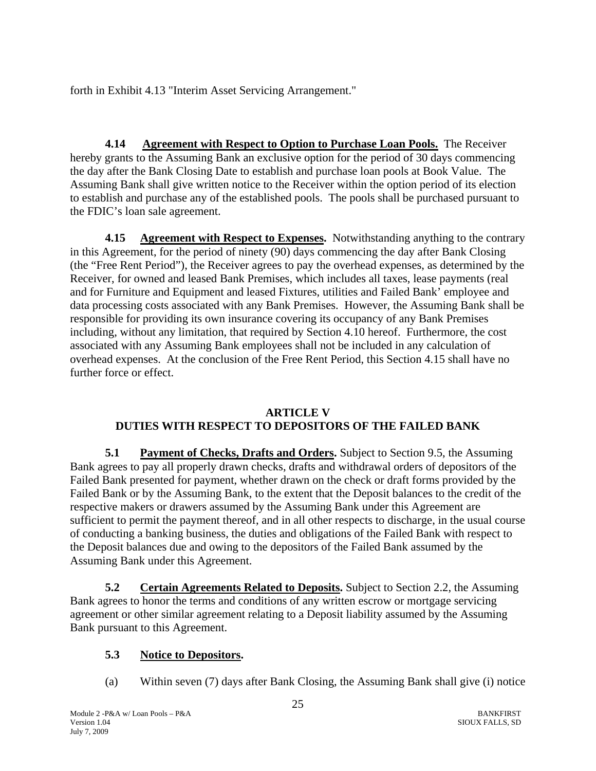<span id="page-28-0"></span>forth in Exhibit 4.13 "Interim Asset Servicing Arrangement."

 **Agreement with Respect to Option to Purchase Loan Pools.** The Receiver hereby grants to the Assuming Bank an exclusive option for the period of 30 days commencing the day after the Bank Closing Date to establish and purchase loan pools at Book Value. The Assuming Bank shall give written notice to the Receiver within the option period of its election to establish and purchase any of the established pools. The pools shall be purchased pursuant to the FDIC's loan sale agreement.

**4.15 Agreement with Respect to Expenses.** Notwithstanding anything to the contrary in this Agreement, for the period of ninety (90) days commencing the day after Bank Closing (the "Free Rent Period"), the Receiver agrees to pay the overhead expenses, as determined by the Receiver, for owned and leased Bank Premises, which includes all taxes, lease payments (real and for Furniture and Equipment and leased Fixtures, utilities and Failed Bank' employee and data processing costs associated with any Bank Premises. However, the Assuming Bank shall be responsible for providing its own insurance covering its occupancy of any Bank Premises including, without any limitation, that required by Section 4.10 hereof. Furthermore, the cost associated with any Assuming Bank employees shall not be included in any calculation of overhead expenses. At the conclusion of the Free Rent Period, this Section 4.15 shall have no further force or effect.

### **ARTICLE V DUTIES WITH RESPECT TO DEPOSITORS OF THE FAILED BANK**

**5.1 Payment of Checks, Drafts and Orders.** Subject to Section 9.5, the Assuming Bank agrees to pay all properly drawn checks, drafts and withdrawal orders of depositors of the Failed Bank presented for payment, whether drawn on the check or draft forms provided by the Failed Bank or by the Assuming Bank, to the extent that the Deposit balances to the credit of the respective makers or drawers assumed by the Assuming Bank under this Agreement are sufficient to permit the payment thereof, and in all other respects to discharge, in the usual course of conducting a banking business, the duties and obligations of the Failed Bank with respect to the Deposit balances due and owing to the depositors of the Failed Bank assumed by the Assuming Bank under this Agreement.

**5.2 Certain Agreements Related to Deposits.** Subject to Section 2.2, the Assuming Bank agrees to honor the terms and conditions of any written escrow or mortgage servicing agreement or other similar agreement relating to a Deposit liability assumed by the Assuming Bank pursuant to this Agreement.

## **5.3 Notice to Depositors.**

(a) Within seven (7) days after Bank Closing, the Assuming Bank shall give (i) notice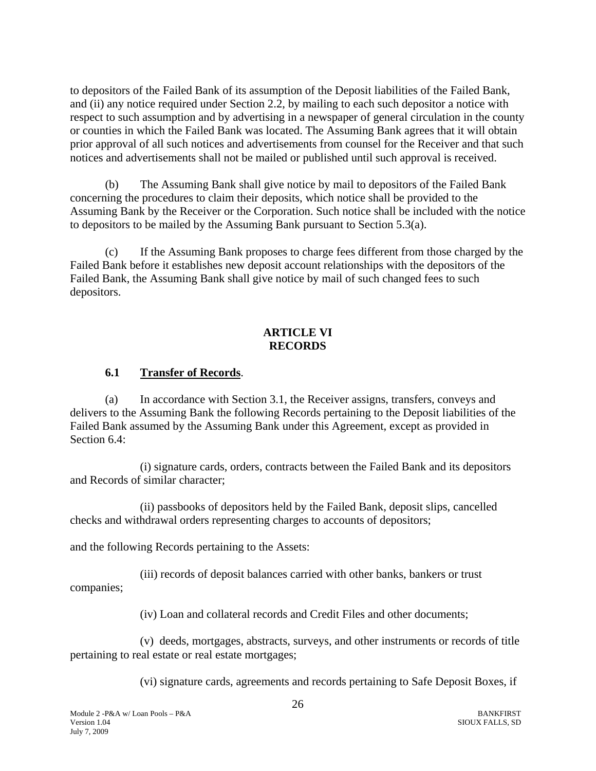<span id="page-29-0"></span>to depositors of the Failed Bank of its assumption of the Deposit liabilities of the Failed Bank, and (ii) any notice required under Section 2.2, by mailing to each such depositor a notice with respect to such assumption and by advertising in a newspaper of general circulation in the county or counties in which the Failed Bank was located. The Assuming Bank agrees that it will obtain prior approval of all such notices and advertisements from counsel for the Receiver and that such notices and advertisements shall not be mailed or published until such approval is received.

(b) The Assuming Bank shall give notice by mail to depositors of the Failed Bank concerning the procedures to claim their deposits, which notice shall be provided to the Assuming Bank by the Receiver or the Corporation. Such notice shall be included with the notice to depositors to be mailed by the Assuming Bank pursuant to Section 5.3(a).

(c) If the Assuming Bank proposes to charge fees different from those charged by the Failed Bank before it establishes new deposit account relationships with the depositors of the Failed Bank, the Assuming Bank shall give notice by mail of such changed fees to such depositors.

### **ARTICLE VI RECORDS**

## **6.1 Transfer of Records**.

(a) In accordance with Section 3.1, the Receiver assigns, transfers, conveys and delivers to the Assuming Bank the following Records pertaining to the Deposit liabilities of the Failed Bank assumed by the Assuming Bank under this Agreement, except as provided in Section 6.4:

(i) signature cards, orders, contracts between the Failed Bank and its depositors and Records of similar character;

(ii) passbooks of depositors held by the Failed Bank, deposit slips, cancelled checks and withdrawal orders representing charges to accounts of depositors;

and the following Records pertaining to the Assets:

(iii) records of deposit balances carried with other banks, bankers or trust companies;

(iv) Loan and collateral records and Credit Files and other documents;

(v) deeds, mortgages, abstracts, surveys, and other instruments or records of title pertaining to real estate or real estate mortgages;

(vi) signature cards, agreements and records pertaining to Safe Deposit Boxes, if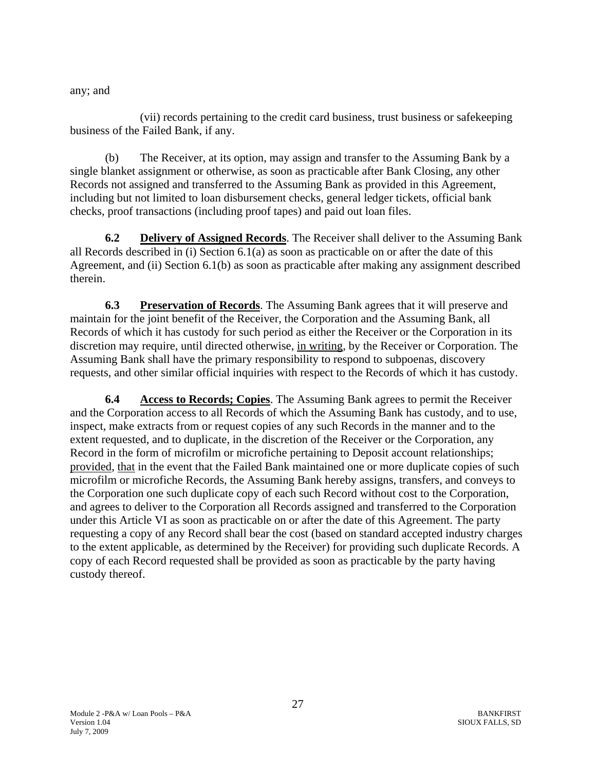<span id="page-30-0"></span>any; and

(vii) records pertaining to the credit card business, trust business or safekeeping business of the Failed Bank, if any.

(b) The Receiver, at its option, may assign and transfer to the Assuming Bank by a single blanket assignment or otherwise, as soon as practicable after Bank Closing, any other Records not assigned and transferred to the Assuming Bank as provided in this Agreement, including but not limited to loan disbursement checks, general ledger tickets, official bank checks, proof transactions (including proof tapes) and paid out loan files.

**6.2 Delivery of Assigned Records**. The Receiver shall deliver to the Assuming Bank all Records described in (i) Section 6.1(a) as soon as practicable on or after the date of this Agreement, and (ii) Section 6.1(b) as soon as practicable after making any assignment described therein.

**6.3 Preservation of Records**. The Assuming Bank agrees that it will preserve and maintain for the joint benefit of the Receiver, the Corporation and the Assuming Bank, all Records of which it has custody for such period as either the Receiver or the Corporation in its discretion may require, until directed otherwise, in writing, by the Receiver or Corporation. The Assuming Bank shall have the primary responsibility to respond to subpoenas, discovery requests, and other similar official inquiries with respect to the Records of which it has custody.

**6.4 Access to Records; Copies**. The Assuming Bank agrees to permit the Receiver and the Corporation access to all Records of which the Assuming Bank has custody, and to use, inspect, make extracts from or request copies of any such Records in the manner and to the extent requested, and to duplicate, in the discretion of the Receiver or the Corporation, any Record in the form of microfilm or microfiche pertaining to Deposit account relationships; provided, that in the event that the Failed Bank maintained one or more duplicate copies of such microfilm or microfiche Records, the Assuming Bank hereby assigns, transfers, and conveys to the Corporation one such duplicate copy of each such Record without cost to the Corporation, and agrees to deliver to the Corporation all Records assigned and transferred to the Corporation under this Article VI as soon as practicable on or after the date of this Agreement. The party requesting a copy of any Record shall bear the cost (based on standard accepted industry charges to the extent applicable, as determined by the Receiver) for providing such duplicate Records. A copy of each Record requested shall be provided as soon as practicable by the party having custody thereof.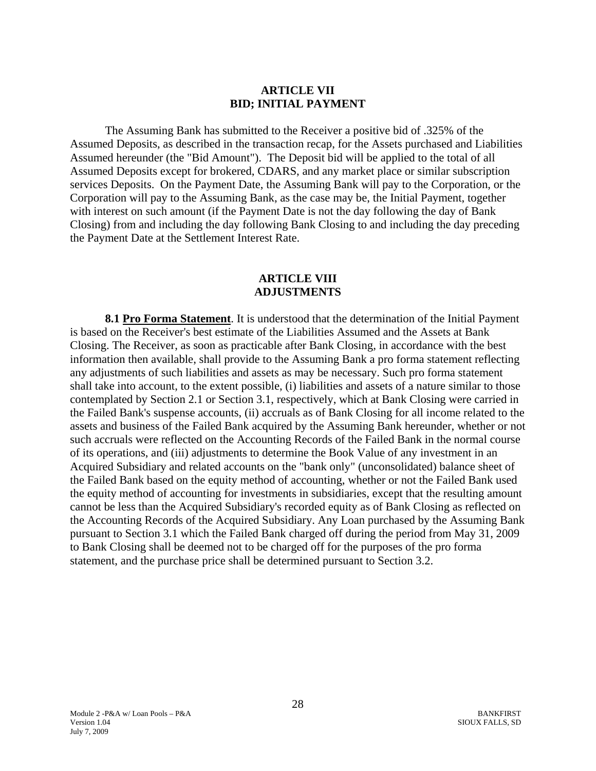#### **ARTICLE VII BID; INITIAL PAYMENT**

<span id="page-31-0"></span>The Assuming Bank has submitted to the Receiver a positive bid of .325% of the Assumed Deposits, as described in the transaction recap, for the Assets purchased and Liabilities Assumed hereunder (the "Bid Amount"). The Deposit bid will be applied to the total of all Assumed Deposits except for brokered, CDARS, and any market place or similar subscription services Deposits. On the Payment Date, the Assuming Bank will pay to the Corporation, or the Corporation will pay to the Assuming Bank, as the case may be, the Initial Payment, together with interest on such amount (if the Payment Date is not the day following the day of Bank Closing) from and including the day following Bank Closing to and including the day preceding the Payment Date at the Settlement Interest Rate.

#### **ARTICLE VIII ADJUSTMENTS**

**8.1 Pro Forma Statement**. It is understood that the determination of the Initial Payment is based on the Receiver's best estimate of the Liabilities Assumed and the Assets at Bank Closing. The Receiver, as soon as practicable after Bank Closing, in accordance with the best information then available, shall provide to the Assuming Bank a pro forma statement reflecting any adjustments of such liabilities and assets as may be necessary. Such pro forma statement shall take into account, to the extent possible, (i) liabilities and assets of a nature similar to those contemplated by Section 2.1 or Section 3.1, respectively, which at Bank Closing were carried in the Failed Bank's suspense accounts, (ii) accruals as of Bank Closing for all income related to the assets and business of the Failed Bank acquired by the Assuming Bank hereunder, whether or not such accruals were reflected on the Accounting Records of the Failed Bank in the normal course of its operations, and (iii) adjustments to determine the Book Value of any investment in an Acquired Subsidiary and related accounts on the "bank only" (unconsolidated) balance sheet of the Failed Bank based on the equity method of accounting, whether or not the Failed Bank used the equity method of accounting for investments in subsidiaries, except that the resulting amount cannot be less than the Acquired Subsidiary's recorded equity as of Bank Closing as reflected on the Accounting Records of the Acquired Subsidiary. Any Loan purchased by the Assuming Bank pursuant to Section 3.1 which the Failed Bank charged off during the period from May 31, 2009 to Bank Closing shall be deemed not to be charged off for the purposes of the pro forma statement, and the purchase price shall be determined pursuant to Section 3.2.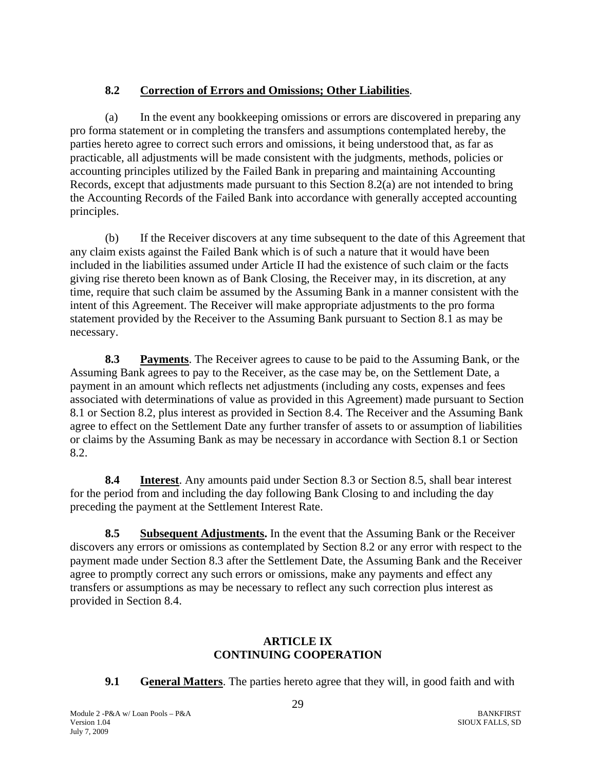# **8.2 Correction of Errors and Omissions; Other Liabilities**.

<span id="page-32-0"></span>(a) In the event any bookkeeping omissions or errors are discovered in preparing any pro forma statement or in completing the transfers and assumptions contemplated hereby, the parties hereto agree to correct such errors and omissions, it being understood that, as far as practicable, all adjustments will be made consistent with the judgments, methods, policies or accounting principles utilized by the Failed Bank in preparing and maintaining Accounting Records, except that adjustments made pursuant to this Section 8.2(a) are not intended to bring the Accounting Records of the Failed Bank into accordance with generally accepted accounting principles.

(b) If the Receiver discovers at any time subsequent to the date of this Agreement that any claim exists against the Failed Bank which is of such a nature that it would have been included in the liabilities assumed under Article II had the existence of such claim or the facts giving rise thereto been known as of Bank Closing, the Receiver may, in its discretion, at any time, require that such claim be assumed by the Assuming Bank in a manner consistent with the intent of this Agreement. The Receiver will make appropriate adjustments to the pro forma statement provided by the Receiver to the Assuming Bank pursuant to Section 8.1 as may be necessary.

**8.3 Payments**. The Receiver agrees to cause to be paid to the Assuming Bank, or the Assuming Bank agrees to pay to the Receiver, as the case may be, on the Settlement Date, a payment in an amount which reflects net adjustments (including any costs, expenses and fees associated with determinations of value as provided in this Agreement) made pursuant to Section 8.1 or Section 8.2, plus interest as provided in Section 8.4. The Receiver and the Assuming Bank agree to effect on the Settlement Date any further transfer of assets to or assumption of liabilities or claims by the Assuming Bank as may be necessary in accordance with Section 8.1 or Section 8.2.

**8.4 Interest**. Any amounts paid under Section 8.3 or Section 8.5, shall bear interest for the period from and including the day following Bank Closing to and including the day preceding the payment at the Settlement Interest Rate.

**8.5 Subsequent Adjustments.** In the event that the Assuming Bank or the Receiver discovers any errors or omissions as contemplated by Section 8.2 or any error with respect to the payment made under Section 8.3 after the Settlement Date, the Assuming Bank and the Receiver agree to promptly correct any such errors or omissions, make any payments and effect any transfers or assumptions as may be necessary to reflect any such correction plus interest as provided in Section 8.4.

### **ARTICLE IX CONTINUING COOPERATION**

**9.1** General Matters. The parties hereto agree that they will, in good faith and with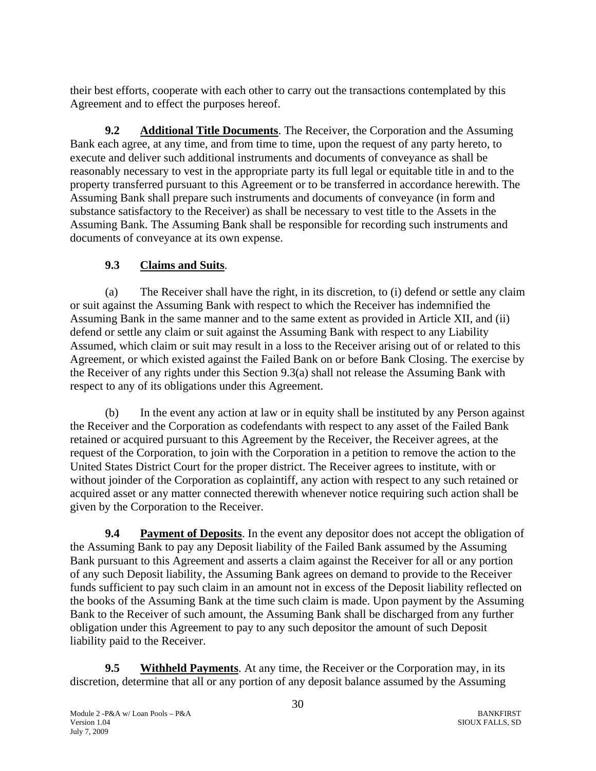<span id="page-33-0"></span>their best efforts, cooperate with each other to carry out the transactions contemplated by this Agreement and to effect the purposes hereof.

**9.2 Additional Title Documents**. The Receiver, the Corporation and the Assuming Bank each agree, at any time, and from time to time, upon the request of any party hereto, to execute and deliver such additional instruments and documents of conveyance as shall be reasonably necessary to vest in the appropriate party its full legal or equitable title in and to the property transferred pursuant to this Agreement or to be transferred in accordance herewith. The Assuming Bank shall prepare such instruments and documents of conveyance (in form and substance satisfactory to the Receiver) as shall be necessary to vest title to the Assets in the Assuming Bank. The Assuming Bank shall be responsible for recording such instruments and documents of conveyance at its own expense.

# **9.3 Claims and Suits**.

(a) The Receiver shall have the right, in its discretion, to (i) defend or settle any claim or suit against the Assuming Bank with respect to which the Receiver has indemnified the Assuming Bank in the same manner and to the same extent as provided in Article XII, and (ii) defend or settle any claim or suit against the Assuming Bank with respect to any Liability Assumed, which claim or suit may result in a loss to the Receiver arising out of or related to this Agreement, or which existed against the Failed Bank on or before Bank Closing. The exercise by the Receiver of any rights under this Section 9.3(a) shall not release the Assuming Bank with respect to any of its obligations under this Agreement.

(b) In the event any action at law or in equity shall be instituted by any Person against the Receiver and the Corporation as codefendants with respect to any asset of the Failed Bank retained or acquired pursuant to this Agreement by the Receiver, the Receiver agrees, at the request of the Corporation, to join with the Corporation in a petition to remove the action to the United States District Court for the proper district. The Receiver agrees to institute, with or without joinder of the Corporation as coplaintiff, any action with respect to any such retained or acquired asset or any matter connected therewith whenever notice requiring such action shall be given by the Corporation to the Receiver.

**9.4 Payment of Deposits**. In the event any depositor does not accept the obligation of the Assuming Bank to pay any Deposit liability of the Failed Bank assumed by the Assuming Bank pursuant to this Agreement and asserts a claim against the Receiver for all or any portion of any such Deposit liability, the Assuming Bank agrees on demand to provide to the Receiver funds sufficient to pay such claim in an amount not in excess of the Deposit liability reflected on the books of the Assuming Bank at the time such claim is made. Upon payment by the Assuming Bank to the Receiver of such amount, the Assuming Bank shall be discharged from any further obligation under this Agreement to pay to any such depositor the amount of such Deposit liability paid to the Receiver.

**9.5 Withheld Payments**. At any time, the Receiver or the Corporation may, in its discretion, determine that all or any portion of any deposit balance assumed by the Assuming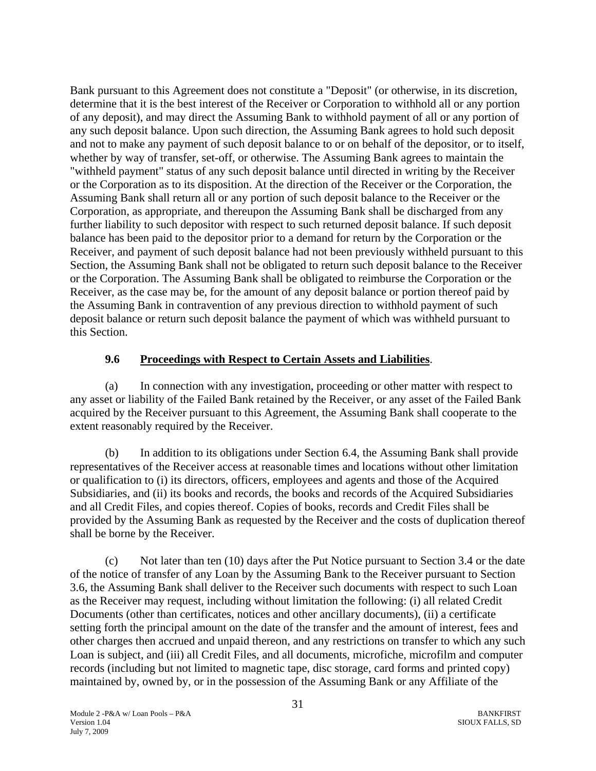<span id="page-34-0"></span>Bank pursuant to this Agreement does not constitute a "Deposit" (or otherwise, in its discretion, determine that it is the best interest of the Receiver or Corporation to withhold all or any portion of any deposit), and may direct the Assuming Bank to withhold payment of all or any portion of any such deposit balance. Upon such direction, the Assuming Bank agrees to hold such deposit and not to make any payment of such deposit balance to or on behalf of the depositor, or to itself, whether by way of transfer, set-off, or otherwise. The Assuming Bank agrees to maintain the "withheld payment" status of any such deposit balance until directed in writing by the Receiver or the Corporation as to its disposition. At the direction of the Receiver or the Corporation, the Assuming Bank shall return all or any portion of such deposit balance to the Receiver or the Corporation, as appropriate, and thereupon the Assuming Bank shall be discharged from any further liability to such depositor with respect to such returned deposit balance. If such deposit balance has been paid to the depositor prior to a demand for return by the Corporation or the Receiver, and payment of such deposit balance had not been previously withheld pursuant to this Section, the Assuming Bank shall not be obligated to return such deposit balance to the Receiver or the Corporation. The Assuming Bank shall be obligated to reimburse the Corporation or the Receiver, as the case may be, for the amount of any deposit balance or portion thereof paid by the Assuming Bank in contravention of any previous direction to withhold payment of such deposit balance or return such deposit balance the payment of which was withheld pursuant to this Section.

### **9.6 Proceedings with Respect to Certain Assets and Liabilities**.

(a) In connection with any investigation, proceeding or other matter with respect to any asset or liability of the Failed Bank retained by the Receiver, or any asset of the Failed Bank acquired by the Receiver pursuant to this Agreement, the Assuming Bank shall cooperate to the extent reasonably required by the Receiver.

(b) In addition to its obligations under Section 6.4, the Assuming Bank shall provide representatives of the Receiver access at reasonable times and locations without other limitation or qualification to (i) its directors, officers, employees and agents and those of the Acquired Subsidiaries, and (ii) its books and records, the books and records of the Acquired Subsidiaries and all Credit Files, and copies thereof. Copies of books, records and Credit Files shall be provided by the Assuming Bank as requested by the Receiver and the costs of duplication thereof shall be borne by the Receiver.

(c) Not later than ten (10) days after the Put Notice pursuant to Section 3.4 or the date of the notice of transfer of any Loan by the Assuming Bank to the Receiver pursuant to Section 3.6, the Assuming Bank shall deliver to the Receiver such documents with respect to such Loan as the Receiver may request, including without limitation the following: (i) all related Credit Documents (other than certificates, notices and other ancillary documents), (ii) a certificate setting forth the principal amount on the date of the transfer and the amount of interest, fees and other charges then accrued and unpaid thereon, and any restrictions on transfer to which any such Loan is subject, and (iii) all Credit Files, and all documents, microfiche, microfilm and computer records (including but not limited to magnetic tape, disc storage, card forms and printed copy) maintained by, owned by, or in the possession of the Assuming Bank or any Affiliate of the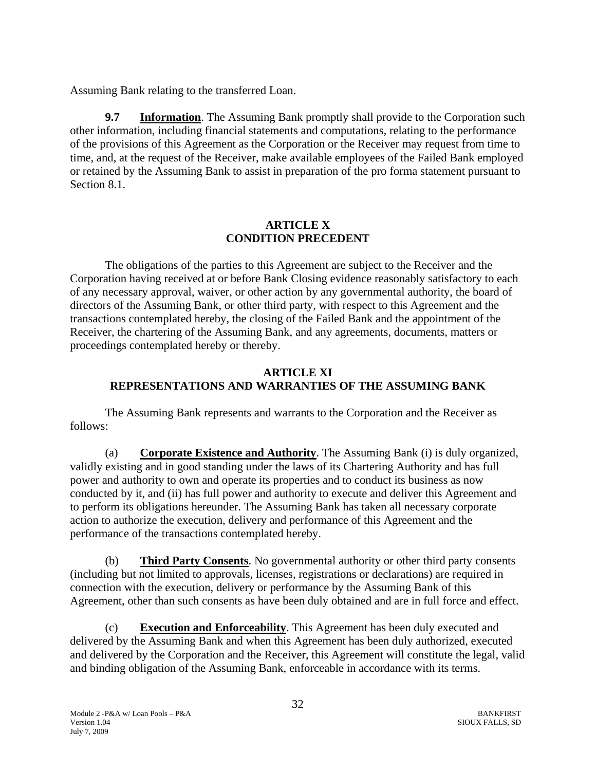<span id="page-35-0"></span>Assuming Bank relating to the transferred Loan.

**9.7** Information. The Assuming Bank promptly shall provide to the Corporation such other information, including financial statements and computations, relating to the performance of the provisions of this Agreement as the Corporation or the Receiver may request from time to time, and, at the request of the Receiver, make available employees of the Failed Bank employed or retained by the Assuming Bank to assist in preparation of the pro forma statement pursuant to Section 8.1.

### **ARTICLE X CONDITION PRECEDENT**

The obligations of the parties to this Agreement are subject to the Receiver and the Corporation having received at or before Bank Closing evidence reasonably satisfactory to each of any necessary approval, waiver, or other action by any governmental authority, the board of directors of the Assuming Bank, or other third party, with respect to this Agreement and the transactions contemplated hereby, the closing of the Failed Bank and the appointment of the Receiver, the chartering of the Assuming Bank, and any agreements, documents, matters or proceedings contemplated hereby or thereby.

### **ARTICLE XI REPRESENTATIONS AND WARRANTIES OF THE ASSUMING BANK**

The Assuming Bank represents and warrants to the Corporation and the Receiver as follows:

(a) **Corporate Existence and Authority**. The Assuming Bank (i) is duly organized, validly existing and in good standing under the laws of its Chartering Authority and has full power and authority to own and operate its properties and to conduct its business as now conducted by it, and (ii) has full power and authority to execute and deliver this Agreement and to perform its obligations hereunder. The Assuming Bank has taken all necessary corporate action to authorize the execution, delivery and performance of this Agreement and the performance of the transactions contemplated hereby.

(b) **Third Party Consents**. No governmental authority or other third party consents (including but not limited to approvals, licenses, registrations or declarations) are required in connection with the execution, delivery or performance by the Assuming Bank of this Agreement, other than such consents as have been duly obtained and are in full force and effect.

(c) **Execution and Enforceability**. This Agreement has been duly executed and delivered by the Assuming Bank and when this Agreement has been duly authorized, executed and delivered by the Corporation and the Receiver, this Agreement will constitute the legal, valid and binding obligation of the Assuming Bank, enforceable in accordance with its terms.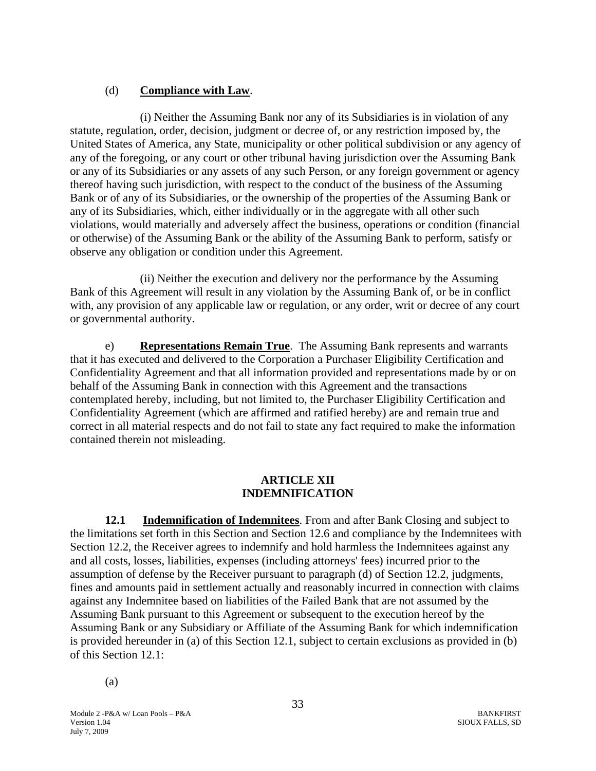### (d) **Compliance with Law**.

(i) Neither the Assuming Bank nor any of its Subsidiaries is in violation of any statute, regulation, order, decision, judgment or decree of, or any restriction imposed by, the United States of America, any State, municipality or other political subdivision or any agency of any of the foregoing, or any court or other tribunal having jurisdiction over the Assuming Bank or any of its Subsidiaries or any assets of any such Person, or any foreign government or agency thereof having such jurisdiction, with respect to the conduct of the business of the Assuming Bank or of any of its Subsidiaries, or the ownership of the properties of the Assuming Bank or any of its Subsidiaries, which, either individually or in the aggregate with all other such violations, would materially and adversely affect the business, operations or condition (financial or otherwise) of the Assuming Bank or the ability of the Assuming Bank to perform, satisfy or observe any obligation or condition under this Agreement.

(ii) Neither the execution and delivery nor the performance by the Assuming Bank of this Agreement will result in any violation by the Assuming Bank of, or be in conflict with, any provision of any applicable law or regulation, or any order, writ or decree of any court or governmental authority.

e) **Representations Remain True**. The Assuming Bank represents and warrants that it has executed and delivered to the Corporation a Purchaser Eligibility Certification and Confidentiality Agreement and that all information provided and representations made by or on behalf of the Assuming Bank in connection with this Agreement and the transactions contemplated hereby, including, but not limited to, the Purchaser Eligibility Certification and Confidentiality Agreement (which are affirmed and ratified hereby) are and remain true and correct in all material respects and do not fail to state any fact required to make the information contained therein not misleading.

### **ARTICLE XII INDEMNIFICATION**

**12.1 Indemnification of Indemnitees**. From and after Bank Closing and subject to the limitations set forth in this Section and Section 12.6 and compliance by the Indemnitees with Section 12.2, the Receiver agrees to indemnify and hold harmless the Indemnitees against any and all costs, losses, liabilities, expenses (including attorneys' fees) incurred prior to the assumption of defense by the Receiver pursuant to paragraph (d) of Section 12.2, judgments, fines and amounts paid in settlement actually and reasonably incurred in connection with claims against any Indemnitee based on liabilities of the Failed Bank that are not assumed by the Assuming Bank pursuant to this Agreement or subsequent to the execution hereof by the Assuming Bank or any Subsidiary or Affiliate of the Assuming Bank for which indemnification is provided hereunder in (a) of this Section 12.1, subject to certain exclusions as provided in (b) of this Section 12.1:

(a)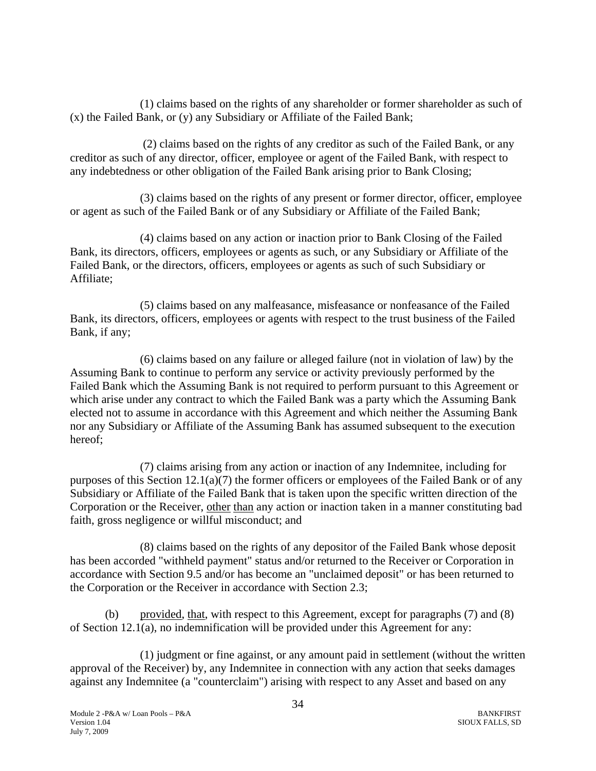(1) claims based on the rights of any shareholder or former shareholder as such of (x) the Failed Bank, or (y) any Subsidiary or Affiliate of the Failed Bank;

(2) claims based on the rights of any creditor as such of the Failed Bank, or any creditor as such of any director, officer, employee or agent of the Failed Bank, with respect to any indebtedness or other obligation of the Failed Bank arising prior to Bank Closing;

(3) claims based on the rights of any present or former director, officer, employee or agent as such of the Failed Bank or of any Subsidiary or Affiliate of the Failed Bank;

(4) claims based on any action or inaction prior to Bank Closing of the Failed Bank, its directors, officers, employees or agents as such, or any Subsidiary or Affiliate of the Failed Bank, or the directors, officers, employees or agents as such of such Subsidiary or Affiliate;

(5) claims based on any malfeasance, misfeasance or nonfeasance of the Failed Bank, its directors, officers, employees or agents with respect to the trust business of the Failed Bank, if any;

(6) claims based on any failure or alleged failure (not in violation of law) by the Assuming Bank to continue to perform any service or activity previously performed by the Failed Bank which the Assuming Bank is not required to perform pursuant to this Agreement or which arise under any contract to which the Failed Bank was a party which the Assuming Bank elected not to assume in accordance with this Agreement and which neither the Assuming Bank nor any Subsidiary or Affiliate of the Assuming Bank has assumed subsequent to the execution hereof;

(7) claims arising from any action or inaction of any Indemnitee, including for purposes of this Section 12.1(a)(7) the former officers or employees of the Failed Bank or of any Subsidiary or Affiliate of the Failed Bank that is taken upon the specific written direction of the Corporation or the Receiver, other than any action or inaction taken in a manner constituting bad faith, gross negligence or willful misconduct; and

(8) claims based on the rights of any depositor of the Failed Bank whose deposit has been accorded "withheld payment" status and/or returned to the Receiver or Corporation in accordance with Section 9.5 and/or has become an "unclaimed deposit" or has been returned to the Corporation or the Receiver in accordance with Section 2.3;

(b) provided, that, with respect to this Agreement, except for paragraphs (7) and (8) of Section 12.1(a), no indemnification will be provided under this Agreement for any:

(1) judgment or fine against, or any amount paid in settlement (without the written approval of the Receiver) by, any Indemnitee in connection with any action that seeks damages against any Indemnitee (a "counterclaim") arising with respect to any Asset and based on any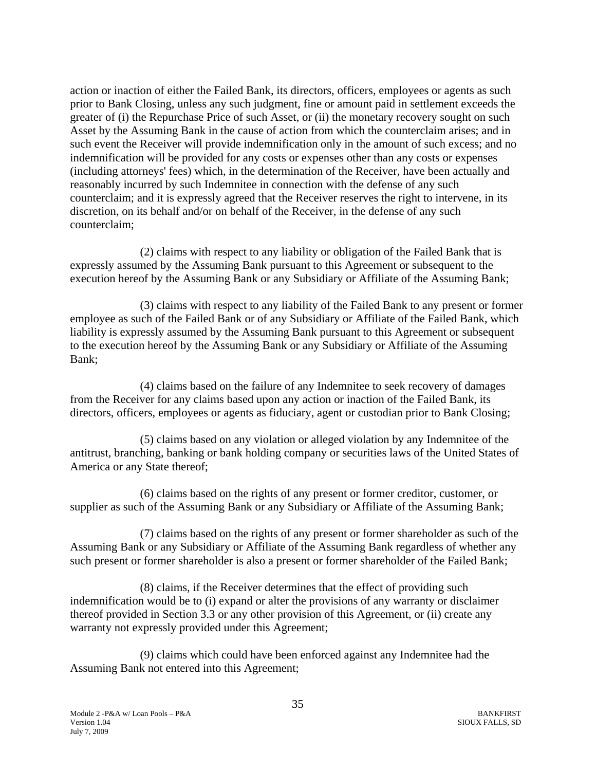action or inaction of either the Failed Bank, its directors, officers, employees or agents as such prior to Bank Closing, unless any such judgment, fine or amount paid in settlement exceeds the greater of (i) the Repurchase Price of such Asset, or (ii) the monetary recovery sought on such Asset by the Assuming Bank in the cause of action from which the counterclaim arises; and in such event the Receiver will provide indemnification only in the amount of such excess; and no indemnification will be provided for any costs or expenses other than any costs or expenses (including attorneys' fees) which, in the determination of the Receiver, have been actually and reasonably incurred by such Indemnitee in connection with the defense of any such counterclaim; and it is expressly agreed that the Receiver reserves the right to intervene, in its discretion, on its behalf and/or on behalf of the Receiver, in the defense of any such counterclaim;

(2) claims with respect to any liability or obligation of the Failed Bank that is expressly assumed by the Assuming Bank pursuant to this Agreement or subsequent to the execution hereof by the Assuming Bank or any Subsidiary or Affiliate of the Assuming Bank;

(3) claims with respect to any liability of the Failed Bank to any present or former employee as such of the Failed Bank or of any Subsidiary or Affiliate of the Failed Bank, which liability is expressly assumed by the Assuming Bank pursuant to this Agreement or subsequent to the execution hereof by the Assuming Bank or any Subsidiary or Affiliate of the Assuming Bank;

(4) claims based on the failure of any Indemnitee to seek recovery of damages from the Receiver for any claims based upon any action or inaction of the Failed Bank, its directors, officers, employees or agents as fiduciary, agent or custodian prior to Bank Closing;

(5) claims based on any violation or alleged violation by any Indemnitee of the antitrust, branching, banking or bank holding company or securities laws of the United States of America or any State thereof;

(6) claims based on the rights of any present or former creditor, customer, or supplier as such of the Assuming Bank or any Subsidiary or Affiliate of the Assuming Bank;

(7) claims based on the rights of any present or former shareholder as such of the Assuming Bank or any Subsidiary or Affiliate of the Assuming Bank regardless of whether any such present or former shareholder is also a present or former shareholder of the Failed Bank;

(8) claims, if the Receiver determines that the effect of providing such indemnification would be to (i) expand or alter the provisions of any warranty or disclaimer thereof provided in Section 3.3 or any other provision of this Agreement, or (ii) create any warranty not expressly provided under this Agreement;

(9) claims which could have been enforced against any Indemnitee had the Assuming Bank not entered into this Agreement;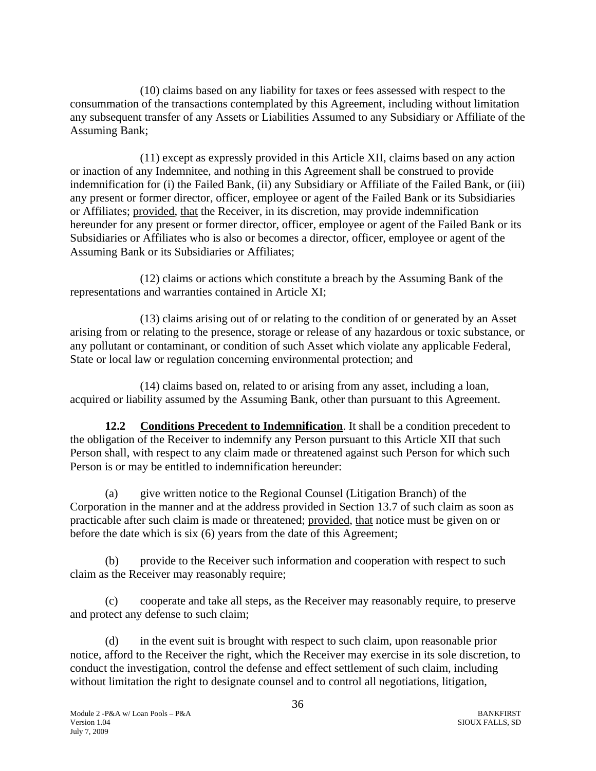(10) claims based on any liability for taxes or fees assessed with respect to the consummation of the transactions contemplated by this Agreement, including without limitation any subsequent transfer of any Assets or Liabilities Assumed to any Subsidiary or Affiliate of the Assuming Bank;

(11) except as expressly provided in this Article XII, claims based on any action or inaction of any Indemnitee, and nothing in this Agreement shall be construed to provide indemnification for (i) the Failed Bank, (ii) any Subsidiary or Affiliate of the Failed Bank, or (iii) any present or former director, officer, employee or agent of the Failed Bank or its Subsidiaries or Affiliates; provided, that the Receiver, in its discretion, may provide indemnification hereunder for any present or former director, officer, employee or agent of the Failed Bank or its Subsidiaries or Affiliates who is also or becomes a director, officer, employee or agent of the Assuming Bank or its Subsidiaries or Affiliates;

(12) claims or actions which constitute a breach by the Assuming Bank of the representations and warranties contained in Article XI;

(13) claims arising out of or relating to the condition of or generated by an Asset arising from or relating to the presence, storage or release of any hazardous or toxic substance, or any pollutant or contaminant, or condition of such Asset which violate any applicable Federal, State or local law or regulation concerning environmental protection; and

(14) claims based on, related to or arising from any asset, including a loan, acquired or liability assumed by the Assuming Bank, other than pursuant to this Agreement.

**12.2 Conditions Precedent to Indemnification**. It shall be a condition precedent to the obligation of the Receiver to indemnify any Person pursuant to this Article XII that such Person shall, with respect to any claim made or threatened against such Person for which such Person is or may be entitled to indemnification hereunder:

(a) give written notice to the Regional Counsel (Litigation Branch) of the Corporation in the manner and at the address provided in Section 13.7 of such claim as soon as practicable after such claim is made or threatened; provided, that notice must be given on or before the date which is six (6) years from the date of this Agreement;

(b) provide to the Receiver such information and cooperation with respect to such claim as the Receiver may reasonably require;

(c) cooperate and take all steps, as the Receiver may reasonably require, to preserve and protect any defense to such claim;

(d) in the event suit is brought with respect to such claim, upon reasonable prior notice, afford to the Receiver the right, which the Receiver may exercise in its sole discretion, to conduct the investigation, control the defense and effect settlement of such claim, including without limitation the right to designate counsel and to control all negotiations, litigation,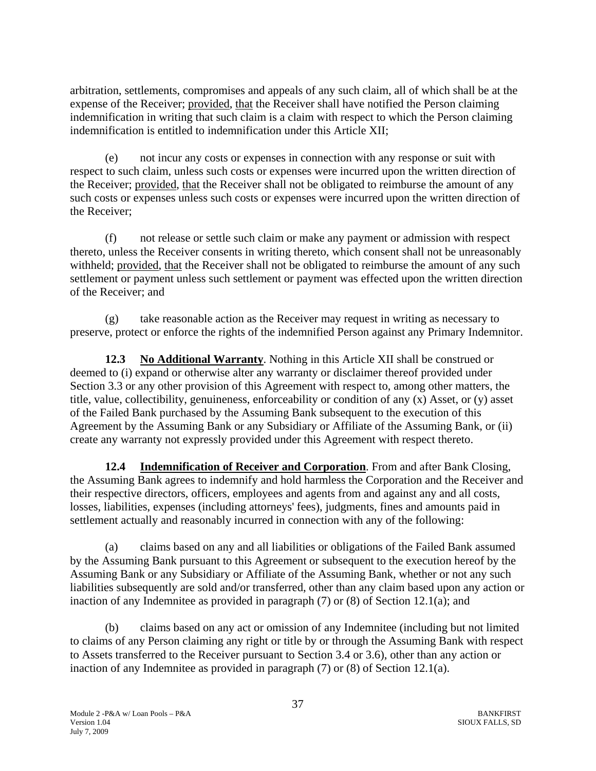arbitration, settlements, compromises and appeals of any such claim, all of which shall be at the expense of the Receiver; provided, that the Receiver shall have notified the Person claiming indemnification in writing that such claim is a claim with respect to which the Person claiming indemnification is entitled to indemnification under this Article XII;

(e) not incur any costs or expenses in connection with any response or suit with respect to such claim, unless such costs or expenses were incurred upon the written direction of the Receiver; provided, that the Receiver shall not be obligated to reimburse the amount of any such costs or expenses unless such costs or expenses were incurred upon the written direction of the Receiver;

(f) not release or settle such claim or make any payment or admission with respect thereto, unless the Receiver consents in writing thereto, which consent shall not be unreasonably withheld; provided, that the Receiver shall not be obligated to reimburse the amount of any such settlement or payment unless such settlement or payment was effected upon the written direction of the Receiver; and

(g) take reasonable action as the Receiver may request in writing as necessary to preserve, protect or enforce the rights of the indemnified Person against any Primary Indemnitor.

**12.3 No Additional Warranty**. Nothing in this Article XII shall be construed or deemed to (i) expand or otherwise alter any warranty or disclaimer thereof provided under Section 3.3 or any other provision of this Agreement with respect to, among other matters, the title, value, collectibility, genuineness, enforceability or condition of any (x) Asset, or (y) asset of the Failed Bank purchased by the Assuming Bank subsequent to the execution of this Agreement by the Assuming Bank or any Subsidiary or Affiliate of the Assuming Bank, or (ii) create any warranty not expressly provided under this Agreement with respect thereto.

**12.4 Indemnification of Receiver and Corporation**. From and after Bank Closing, the Assuming Bank agrees to indemnify and hold harmless the Corporation and the Receiver and their respective directors, officers, employees and agents from and against any and all costs, losses, liabilities, expenses (including attorneys' fees), judgments, fines and amounts paid in settlement actually and reasonably incurred in connection with any of the following:

(a) claims based on any and all liabilities or obligations of the Failed Bank assumed by the Assuming Bank pursuant to this Agreement or subsequent to the execution hereof by the Assuming Bank or any Subsidiary or Affiliate of the Assuming Bank, whether or not any such liabilities subsequently are sold and/or transferred, other than any claim based upon any action or inaction of any Indemnitee as provided in paragraph (7) or (8) of Section 12.1(a); and

(b) claims based on any act or omission of any Indemnitee (including but not limited to claims of any Person claiming any right or title by or through the Assuming Bank with respect to Assets transferred to the Receiver pursuant to Section 3.4 or 3.6), other than any action or inaction of any Indemnitee as provided in paragraph (7) or (8) of Section 12.1(a).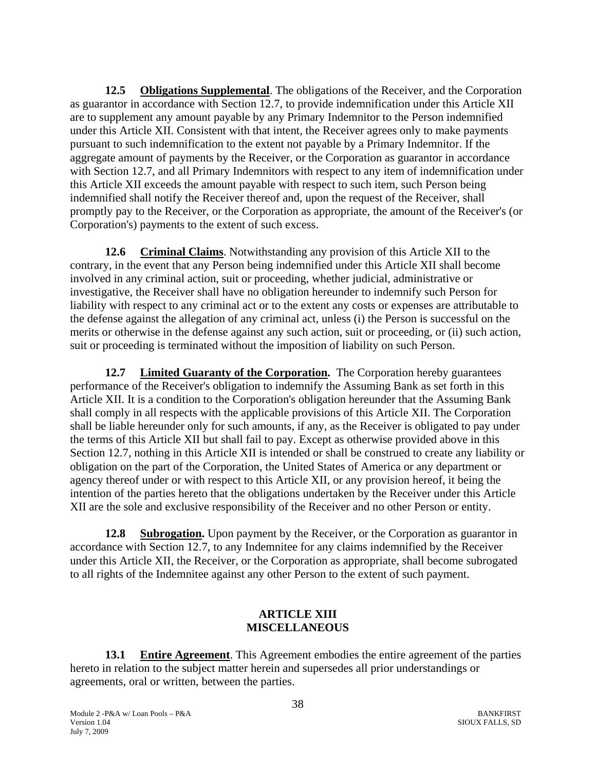**12.5 Obligations Supplemental**. The obligations of the Receiver, and the Corporation as guarantor in accordance with Section 12.7, to provide indemnification under this Article XII are to supplement any amount payable by any Primary Indemnitor to the Person indemnified under this Article XII. Consistent with that intent, the Receiver agrees only to make payments pursuant to such indemnification to the extent not payable by a Primary Indemnitor. If the aggregate amount of payments by the Receiver, or the Corporation as guarantor in accordance with Section 12.7, and all Primary Indemnitors with respect to any item of indemnification under this Article XII exceeds the amount payable with respect to such item, such Person being indemnified shall notify the Receiver thereof and, upon the request of the Receiver, shall promptly pay to the Receiver, or the Corporation as appropriate, the amount of the Receiver's (or Corporation's) payments to the extent of such excess.

**12.6 Criminal Claims**. Notwithstanding any provision of this Article XII to the contrary, in the event that any Person being indemnified under this Article XII shall become involved in any criminal action, suit or proceeding, whether judicial, administrative or investigative, the Receiver shall have no obligation hereunder to indemnify such Person for liability with respect to any criminal act or to the extent any costs or expenses are attributable to the defense against the allegation of any criminal act, unless (i) the Person is successful on the merits or otherwise in the defense against any such action, suit or proceeding, or (ii) such action, suit or proceeding is terminated without the imposition of liability on such Person.

**12.7** Limited Guaranty of the Corporation. The Corporation hereby guarantees performance of the Receiver's obligation to indemnify the Assuming Bank as set forth in this Article XII. It is a condition to the Corporation's obligation hereunder that the Assuming Bank shall comply in all respects with the applicable provisions of this Article XII. The Corporation shall be liable hereunder only for such amounts, if any, as the Receiver is obligated to pay under the terms of this Article XII but shall fail to pay. Except as otherwise provided above in this Section 12.7, nothing in this Article XII is intended or shall be construed to create any liability or obligation on the part of the Corporation, the United States of America or any department or agency thereof under or with respect to this Article XII, or any provision hereof, it being the intention of the parties hereto that the obligations undertaken by the Receiver under this Article XII are the sole and exclusive responsibility of the Receiver and no other Person or entity.

**12.8 Subrogation.** Upon payment by the Receiver, or the Corporation as guarantor in accordance with Section 12.7, to any Indemnitee for any claims indemnified by the Receiver under this Article XII, the Receiver, or the Corporation as appropriate, shall become subrogated to all rights of the Indemnitee against any other Person to the extent of such payment.

### **ARTICLE XIII MISCELLANEOUS**

**13.1 Entire Agreement**. This Agreement embodies the entire agreement of the parties hereto in relation to the subject matter herein and supersedes all prior understandings or agreements, oral or written, between the parties.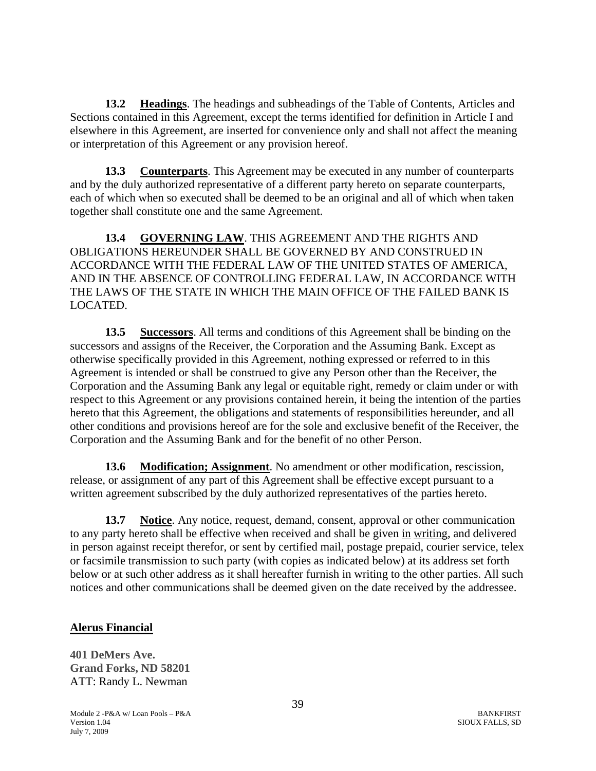**13.2 Headings**. The headings and subheadings of the Table of Contents, Articles and Sections contained in this Agreement, except the terms identified for definition in Article I and elsewhere in this Agreement, are inserted for convenience only and shall not affect the meaning or interpretation of this Agreement or any provision hereof.

**13.3** Counterparts. This Agreement may be executed in any number of counterparts and by the duly authorized representative of a different party hereto on separate counterparts, each of which when so executed shall be deemed to be an original and all of which when taken together shall constitute one and the same Agreement.

**13.4 GOVERNING LAW**. THIS AGREEMENT AND THE RIGHTS AND OBLIGATIONS HEREUNDER SHALL BE GOVERNED BY AND CONSTRUED IN ACCORDANCE WITH THE FEDERAL LAW OF THE UNITED STATES OF AMERICA, AND IN THE ABSENCE OF CONTROLLING FEDERAL LAW, IN ACCORDANCE WITH THE LAWS OF THE STATE IN WHICH THE MAIN OFFICE OF THE FAILED BANK IS LOCATED.

**13.5 Successors**. All terms and conditions of this Agreement shall be binding on the successors and assigns of the Receiver, the Corporation and the Assuming Bank. Except as otherwise specifically provided in this Agreement, nothing expressed or referred to in this Agreement is intended or shall be construed to give any Person other than the Receiver, the Corporation and the Assuming Bank any legal or equitable right, remedy or claim under or with respect to this Agreement or any provisions contained herein, it being the intention of the parties hereto that this Agreement, the obligations and statements of responsibilities hereunder, and all other conditions and provisions hereof are for the sole and exclusive benefit of the Receiver, the Corporation and the Assuming Bank and for the benefit of no other Person.

**13.6 Modification; Assignment**. No amendment or other modification, rescission, release, or assignment of any part of this Agreement shall be effective except pursuant to a written agreement subscribed by the duly authorized representatives of the parties hereto.

**13.7 Notice**. Any notice, request, demand, consent, approval or other communication to any party hereto shall be effective when received and shall be given in writing, and delivered in person against receipt therefor, or sent by certified mail, postage prepaid, courier service, telex or facsimile transmission to such party (with copies as indicated below) at its address set forth below or at such other address as it shall hereafter furnish in writing to the other parties. All such notices and other communications shall be deemed given on the date received by the addressee.

## **Alerus Financial**

**401 DeMers Ave. Grand Forks, ND 58201**  ATT: Randy L. Newman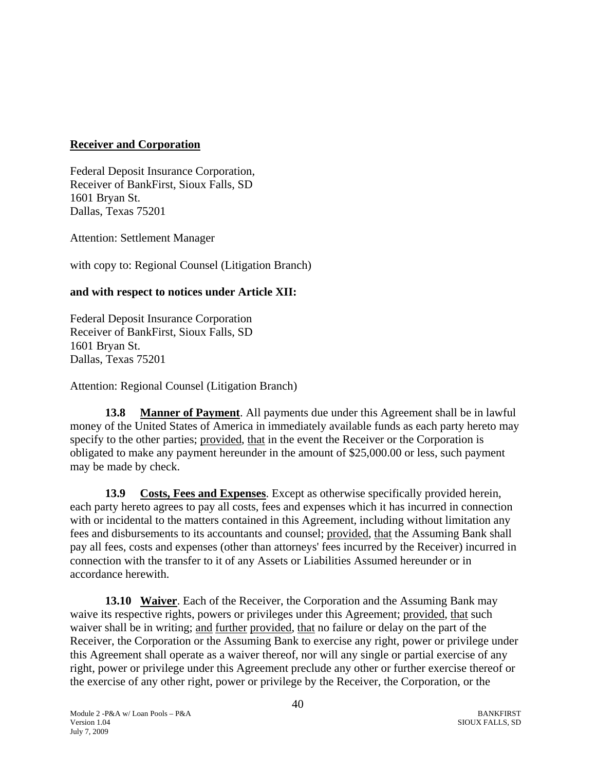## **Receiver and Corporation**

Federal Deposit Insurance Corporation, Receiver of BankFirst, Sioux Falls, SD 1601 Bryan St. Dallas, Texas 75201

Attention: Settlement Manager

with copy to: Regional Counsel (Litigation Branch)

## **and with respect to notices under Article XII:**

Federal Deposit Insurance Corporation Receiver of BankFirst, Sioux Falls, SD 1601 Bryan St. Dallas, Texas 75201

Attention: Regional Counsel (Litigation Branch)

**13.8 Manner of Payment**. All payments due under this Agreement shall be in lawful money of the United States of America in immediately available funds as each party hereto may specify to the other parties; provided, that in the event the Receiver or the Corporation is obligated to make any payment hereunder in the amount of \$25,000.00 or less, such payment may be made by check.

**13.9 Costs, Fees and Expenses**. Except as otherwise specifically provided herein, each party hereto agrees to pay all costs, fees and expenses which it has incurred in connection with or incidental to the matters contained in this Agreement, including without limitation any fees and disbursements to its accountants and counsel; provided, that the Assuming Bank shall pay all fees, costs and expenses (other than attorneys' fees incurred by the Receiver) incurred in connection with the transfer to it of any Assets or Liabilities Assumed hereunder or in accordance herewith.

**13.10 Waiver**. Each of the Receiver, the Corporation and the Assuming Bank may waive its respective rights, powers or privileges under this Agreement; provided, that such waiver shall be in writing; and further provided, that no failure or delay on the part of the Receiver, the Corporation or the Assuming Bank to exercise any right, power or privilege under this Agreement shall operate as a waiver thereof, nor will any single or partial exercise of any right, power or privilege under this Agreement preclude any other or further exercise thereof or the exercise of any other right, power or privilege by the Receiver, the Corporation, or the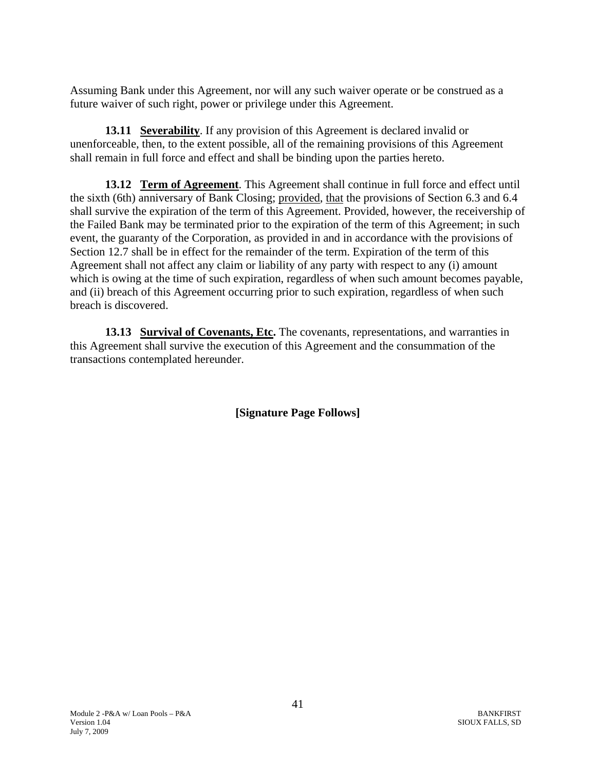Assuming Bank under this Agreement, nor will any such waiver operate or be construed as a future waiver of such right, power or privilege under this Agreement.

**13.11 Severability**. If any provision of this Agreement is declared invalid or unenforceable, then, to the extent possible, all of the remaining provisions of this Agreement shall remain in full force and effect and shall be binding upon the parties hereto.

**13.12 Term of Agreement**. This Agreement shall continue in full force and effect until the sixth (6th) anniversary of Bank Closing; provided, that the provisions of Section 6.3 and 6.4 shall survive the expiration of the term of this Agreement. Provided, however, the receivership of the Failed Bank may be terminated prior to the expiration of the term of this Agreement; in such event, the guaranty of the Corporation, as provided in and in accordance with the provisions of Section 12.7 shall be in effect for the remainder of the term. Expiration of the term of this Agreement shall not affect any claim or liability of any party with respect to any (i) amount which is owing at the time of such expiration, regardless of when such amount becomes payable, and (ii) breach of this Agreement occurring prior to such expiration, regardless of when such breach is discovered.

**13.13 Survival of Covenants, Etc.** The covenants, representations, and warranties in this Agreement shall survive the execution of this Agreement and the consummation of the transactions contemplated hereunder.

**[Signature Page Follows]**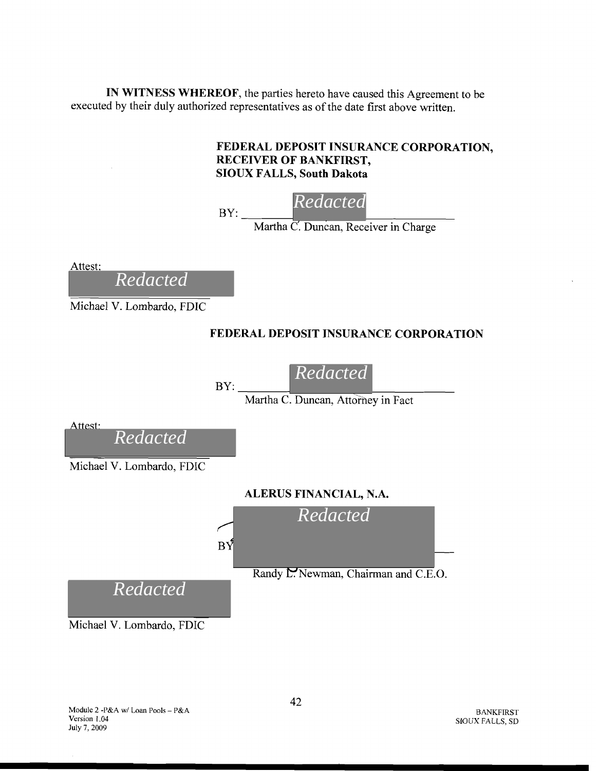**IN WITNESS WHEREOF,** the parties hereto have caused this Agreement to be executed by their duly authorized representatives as of the date first above written.

### **FEDERAL DEPOSIT INSURANCE CORPORATION, RECEIVER OF BANKFIRST, SIOUX FALLS, South Dakota**

BY: *Redacted*

Martha  $\overline{C}$ . Duncan, Receiver in Charge

Attest:

*Redacted*

Michael V. Lombardo, FDIC

## **FEDERAL DEPOSIT INSURANCE CORPORATION**



Michael V. Lombardo, FDIC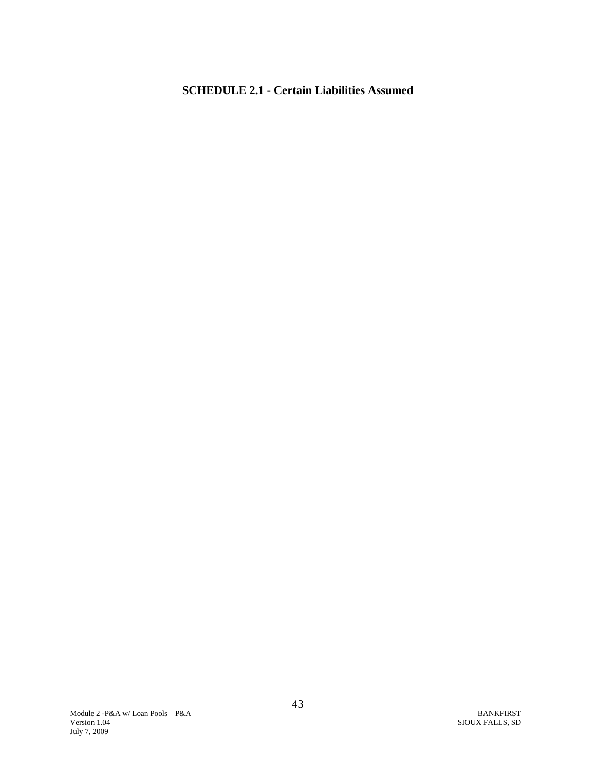# **SCHEDULE 2.1 - Certain Liabilities Assumed**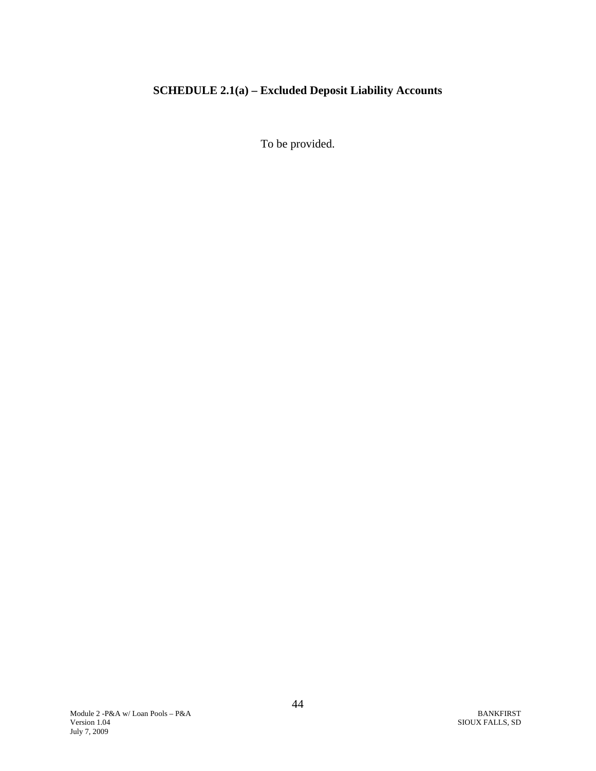## **SCHEDULE 2.1(a) – Excluded Deposit Liability Accounts**

To be provided.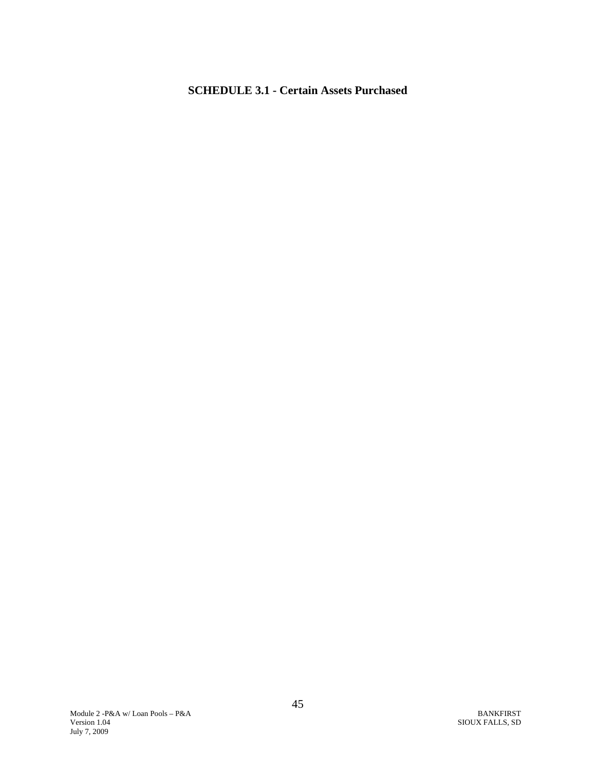## **SCHEDULE 3.1 - Certain Assets Purchased**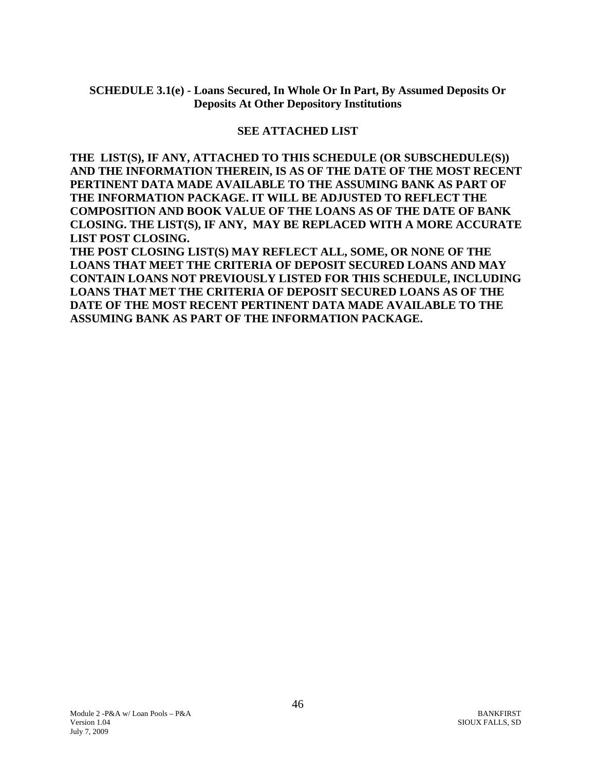**SCHEDULE 3.1(e) - Loans Secured, In Whole Or In Part, By Assumed Deposits Or Deposits At Other Depository Institutions** 

### **SEE ATTACHED LIST**

THE LIST(S), IF ANY, ATTACHED TO THIS SCHEDULE (OR SUBSCHEDULE(S)) **AND THE INFORMATION THEREIN, IS AS OF THE DATE OF THE MOST RECENT PERTINENT DATA MADE AVAILABLE TO THE ASSUMING BANK AS PART OF THE INFORMATION PACKAGE. IT WILL BE ADJUSTED TO REFLECT THE COMPOSITION AND BOOK VALUE OF THE LOANS AS OF THE DATE OF BANK CLOSING. THE LIST(S), IF ANY, MAY BE REPLACED WITH A MORE ACCURATE LIST POST CLOSING.** 

**THE POST CLOSING LIST(S) MAY REFLECT ALL, SOME, OR NONE OF THE LOANS THAT MEET THE CRITERIA OF DEPOSIT SECURED LOANS AND MAY CONTAIN LOANS NOT PREVIOUSLY LISTED FOR THIS SCHEDULE, INCLUDING LOANS THAT MET THE CRITERIA OF DEPOSIT SECURED LOANS AS OF THE DATE OF THE MOST RECENT PERTINENT DATA MADE AVAILABLE TO THE ASSUMING BANK AS PART OF THE INFORMATION PACKAGE.**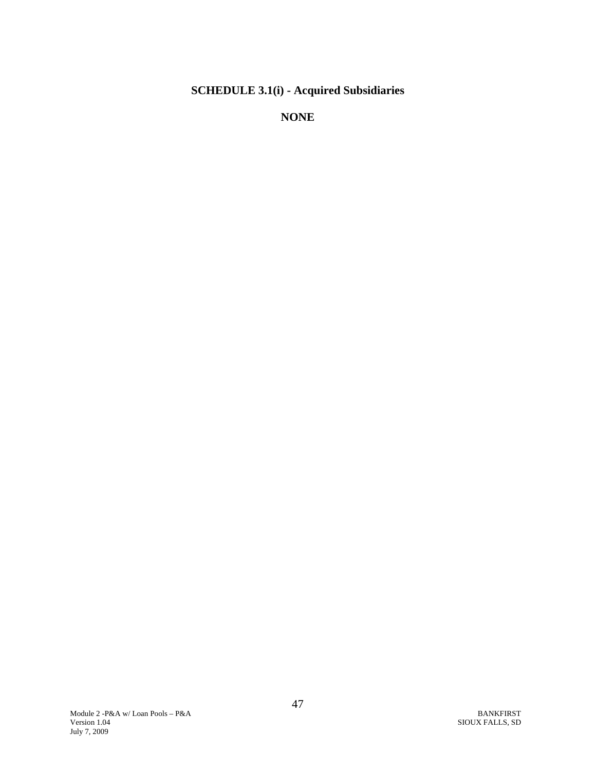**SCHEDULE 3.1(i) - Acquired Subsidiaries** 

**NONE** 

47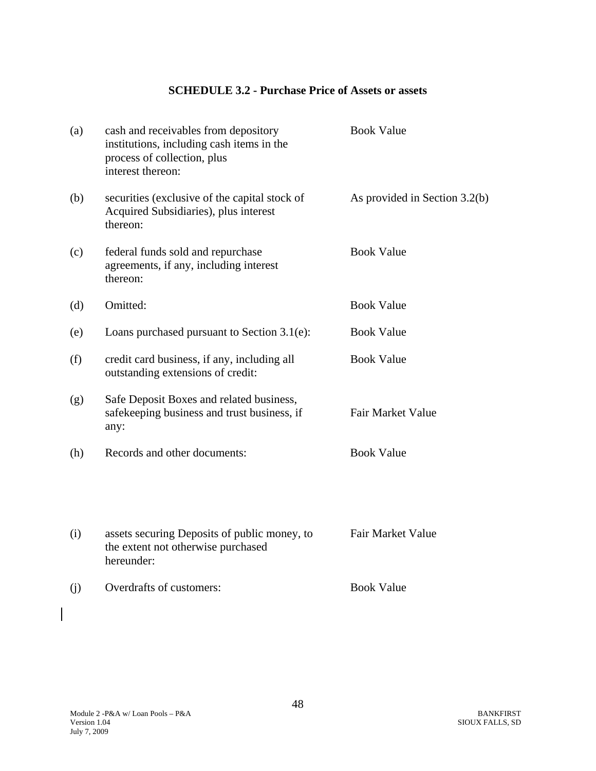## **SCHEDULE 3.2 - Purchase Price of Assets or assets**

| (a) | cash and receivables from depository<br>institutions, including cash items in the<br>process of collection, plus<br>interest thereon: | <b>Book Value</b>               |
|-----|---------------------------------------------------------------------------------------------------------------------------------------|---------------------------------|
| (b) | securities (exclusive of the capital stock of<br>Acquired Subsidiaries), plus interest<br>thereon:                                    | As provided in Section $3.2(b)$ |
| (c) | federal funds sold and repurchase<br>agreements, if any, including interest<br>thereon:                                               | <b>Book Value</b>               |
| (d) | Omitted:                                                                                                                              | <b>Book Value</b>               |
| (e) | Loans purchased pursuant to Section $3.1(e)$ :                                                                                        | <b>Book Value</b>               |
| (f) | credit card business, if any, including all<br>outstanding extensions of credit:                                                      | <b>Book Value</b>               |
| (g) | Safe Deposit Boxes and related business,<br>safekeeping business and trust business, if<br>any:                                       | Fair Market Value               |
| (h) | Records and other documents:                                                                                                          | <b>Book Value</b>               |
|     |                                                                                                                                       |                                 |
| (i) | assets securing Deposits of public money, to<br>the extent not otherwise purchased<br>hereunder:                                      | Fair Market Value               |
| (i) | Overdrafts of customers:                                                                                                              | <b>Book Value</b>               |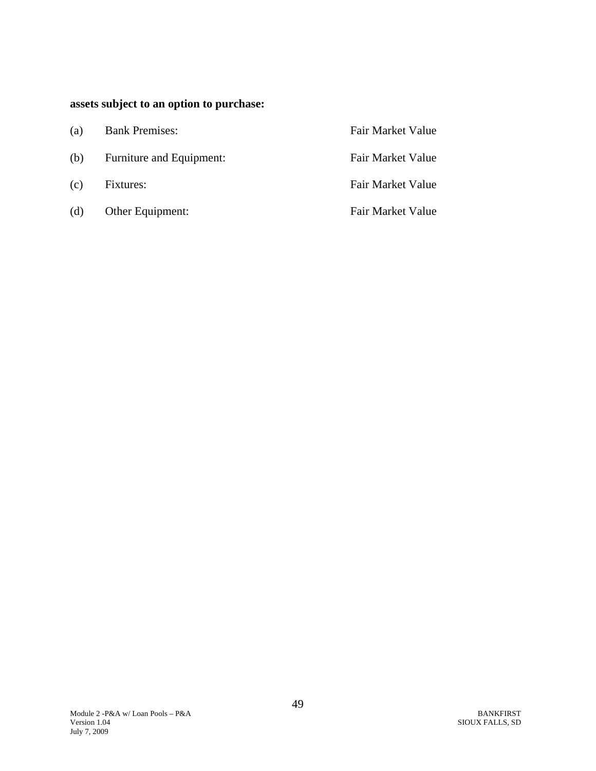# **assets subject to an option to purchase:**

| (a) | <b>Bank Premises:</b>    | Fair Market Value        |
|-----|--------------------------|--------------------------|
| (b) | Furniture and Equipment: | <b>Fair Market Value</b> |
| (c) | Fixtures:                | <b>Fair Market Value</b> |
| (d) | Other Equipment:         | Fair Market Value        |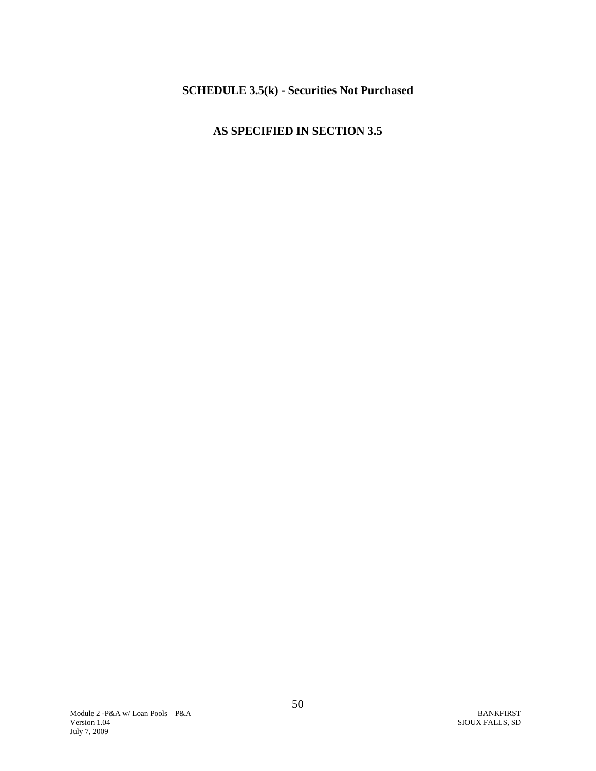## **SCHEDULE 3.5(k) - Securities Not Purchased**

# **AS SPECIFIED IN SECTION 3.5**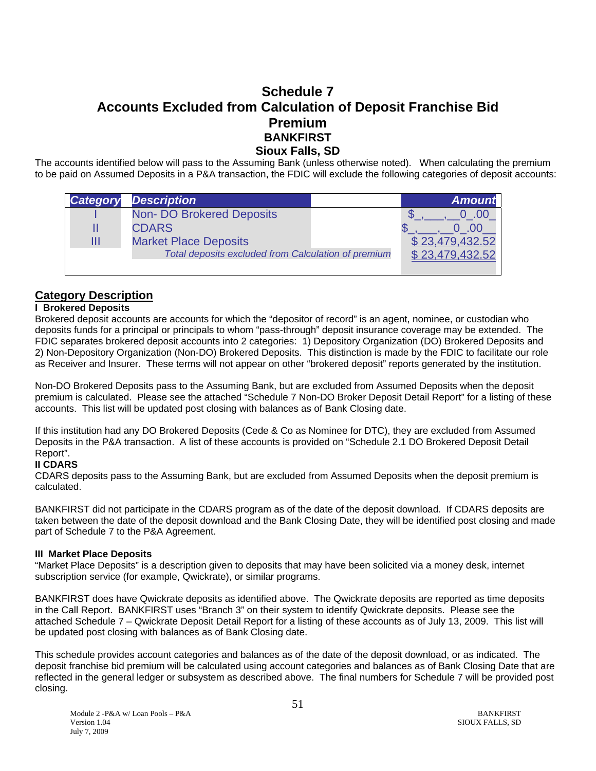## **Premium Schedule 7 Accounts Excluded from Calculation of Deposit Franchise Bid BANKFIRST Sioux Falls, SD**

The accounts identified below will pass to the Assuming Bank (unless otherwise noted). When calculating the premium to be paid on Assumed Deposits in a P&A transaction, the FDIC will exclude the following categories of deposit accounts:

| <b>Category</b> | <b>Description</b>                                  | <b>Amount</b>   |
|-----------------|-----------------------------------------------------|-----------------|
|                 | <b>Non-DO Brokered Deposits</b>                     | 00 <sup>1</sup> |
|                 | <b>CDARS</b>                                        | 0.00            |
| Ш               | <b>Market Place Deposits</b>                        | \$23,479,432.52 |
|                 | Total deposits excluded from Calculation of premium | \$23.479.432.52 |
|                 |                                                     |                 |

### **Category Description**

#### **I Brokered Deposits**

Brokered deposit accounts are accounts for which the "depositor of record" is an agent, nominee, or custodian who deposits funds for a principal or principals to whom "pass-through" deposit insurance coverage may be extended. The FDIC separates brokered deposit accounts into 2 categories: 1) Depository Organization (DO) Brokered Deposits and 2) Non-Depository Organization (Non-DO) Brokered Deposits. This distinction is made by the FDIC to facilitate our role as Receiver and Insurer. These terms will not appear on other "brokered deposit" reports generated by the institution.

Non-DO Brokered Deposits pass to the Assuming Bank, but are excluded from Assumed Deposits when the deposit premium is calculated. Please see the attached "Schedule 7 Non-DO Broker Deposit Detail Report" for a listing of these accounts. This list will be updated post closing with balances as of Bank Closing date.

If this institution had any DO Brokered Deposits (Cede & Co as Nominee for DTC), they are excluded from Assumed Deposits in the P&A transaction. A list of these accounts is provided on "Schedule 2.1 DO Brokered Deposit Detail Report".

#### **II CDARS**

CDARS deposits pass to the Assuming Bank, but are excluded from Assumed Deposits when the deposit premium is calculated.

BANKFIRST did not participate in the CDARS program as of the date of the deposit download. If CDARS deposits are taken between the date of the deposit download and the Bank Closing Date, they will be identified post closing and made part of Schedule 7 to the P&A Agreement.

#### **III Market Place Deposits**

"Market Place Deposits" is a description given to deposits that may have been solicited via a money desk, internet subscription service (for example, Qwickrate), or similar programs.

BANKFIRST does have Qwickrate deposits as identified above. The Qwickrate deposits are reported as time deposits in the Call Report. BANKFIRST uses "Branch 3" on their system to identify Qwickrate deposits. Please see the attached Schedule 7 – Qwickrate Deposit Detail Report for a listing of these accounts as of July 13, 2009. This list will be updated post closing with balances as of Bank Closing date.

This schedule provides account categories and balances as of the date of the deposit download, or as indicated. The deposit franchise bid premium will be calculated using account categories and balances as of Bank Closing Date that are reflected in the general ledger or subsystem as described above. The final numbers for Schedule 7 will be provided post closing.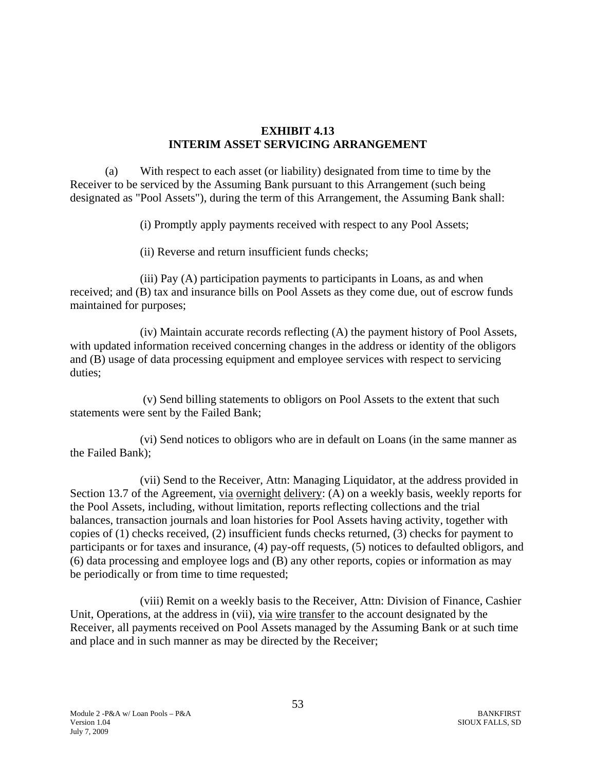## **EXHIBIT 4.13 INTERIM ASSET SERVICING ARRANGEMENT**

(a) With respect to each asset (or liability) designated from time to time by the Receiver to be serviced by the Assuming Bank pursuant to this Arrangement (such being designated as "Pool Assets"), during the term of this Arrangement, the Assuming Bank shall:

(i) Promptly apply payments received with respect to any Pool Assets;

(ii) Reverse and return insufficient funds checks;

(iii) Pay (A) participation payments to participants in Loans, as and when received; and (B) tax and insurance bills on Pool Assets as they come due, out of escrow funds maintained for purposes;

(iv) Maintain accurate records reflecting (A) the payment history of Pool Assets, with updated information received concerning changes in the address or identity of the obligors and (B) usage of data processing equipment and employee services with respect to servicing duties;

 (v) Send billing statements to obligors on Pool Assets to the extent that such statements were sent by the Failed Bank;

(vi) Send notices to obligors who are in default on Loans (in the same manner as the Failed Bank);

(vii) Send to the Receiver, Attn: Managing Liquidator, at the address provided in Section 13.7 of the Agreement, via overnight delivery: (A) on a weekly basis, weekly reports for the Pool Assets, including, without limitation, reports reflecting collections and the trial balances, transaction journals and loan histories for Pool Assets having activity, together with copies of (1) checks received, (2) insufficient funds checks returned, (3) checks for payment to participants or for taxes and insurance, (4) pay-off requests, (5) notices to defaulted obligors, and (6) data processing and employee logs and (B) any other reports, copies or information as may be periodically or from time to time requested;

(viii) Remit on a weekly basis to the Receiver, Attn: Division of Finance, Cashier Unit, Operations, at the address in (vii), via wire transfer to the account designated by the Receiver, all payments received on Pool Assets managed by the Assuming Bank or at such time and place and in such manner as may be directed by the Receiver;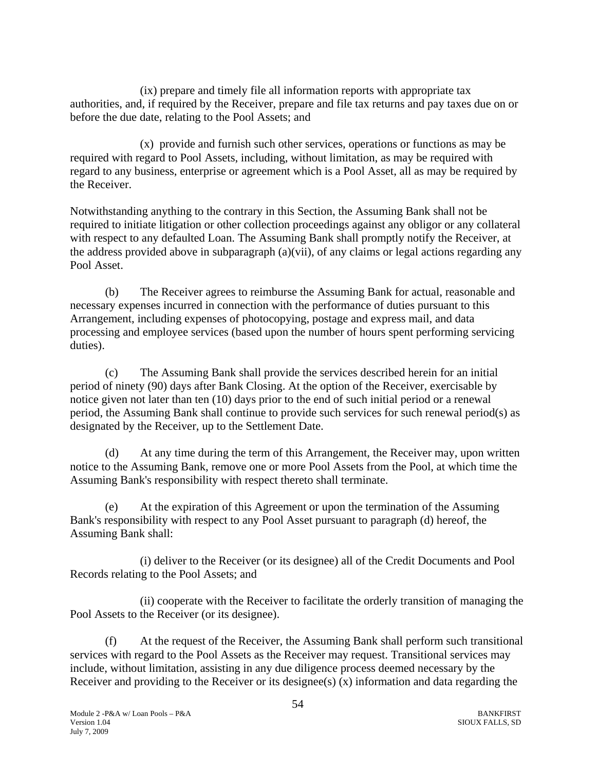(ix) prepare and timely file all information reports with appropriate tax authorities, and, if required by the Receiver, prepare and file tax returns and pay taxes due on or before the due date, relating to the Pool Assets; and

(x) provide and furnish such other services, operations or functions as may be required with regard to Pool Assets, including, without limitation, as may be required with regard to any business, enterprise or agreement which is a Pool Asset, all as may be required by the Receiver.

Notwithstanding anything to the contrary in this Section, the Assuming Bank shall not be required to initiate litigation or other collection proceedings against any obligor or any collateral with respect to any defaulted Loan. The Assuming Bank shall promptly notify the Receiver, at the address provided above in subparagraph (a)(vii), of any claims or legal actions regarding any Pool Asset.

(b) The Receiver agrees to reimburse the Assuming Bank for actual, reasonable and necessary expenses incurred in connection with the performance of duties pursuant to this Arrangement, including expenses of photocopying, postage and express mail, and data processing and employee services (based upon the number of hours spent performing servicing duties).

(c) The Assuming Bank shall provide the services described herein for an initial period of ninety (90) days after Bank Closing. At the option of the Receiver, exercisable by notice given not later than ten (10) days prior to the end of such initial period or a renewal period, the Assuming Bank shall continue to provide such services for such renewal period(s) as designated by the Receiver, up to the Settlement Date.

(d) At any time during the term of this Arrangement, the Receiver may, upon written notice to the Assuming Bank, remove one or more Pool Assets from the Pool, at which time the Assuming Bank's responsibility with respect thereto shall terminate.

(e) At the expiration of this Agreement or upon the termination of the Assuming Bank's responsibility with respect to any Pool Asset pursuant to paragraph (d) hereof, the Assuming Bank shall:

(i) deliver to the Receiver (or its designee) all of the Credit Documents and Pool Records relating to the Pool Assets; and

(ii) cooperate with the Receiver to facilitate the orderly transition of managing the Pool Assets to the Receiver (or its designee).

(f) At the request of the Receiver, the Assuming Bank shall perform such transitional services with regard to the Pool Assets as the Receiver may request. Transitional services may include, without limitation, assisting in any due diligence process deemed necessary by the Receiver and providing to the Receiver or its designee(s) (x) information and data regarding the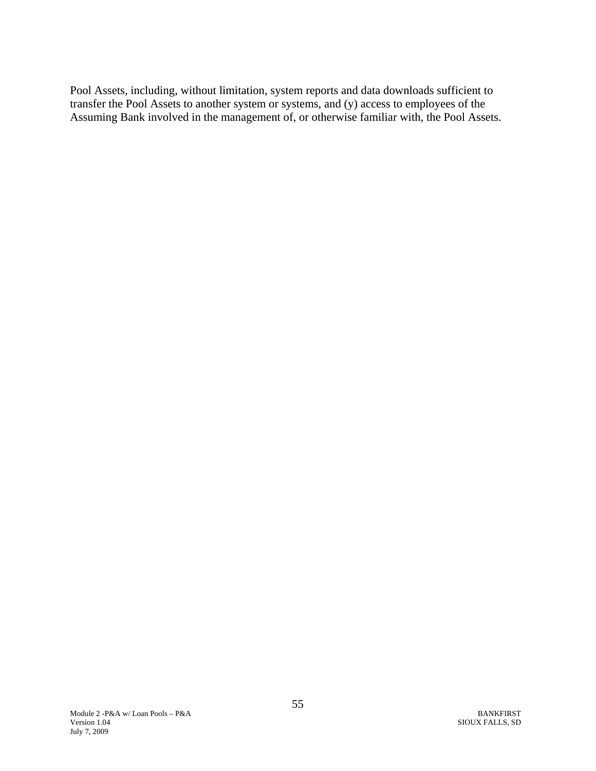Pool Assets, including, without limitation, system reports and data downloads sufficient to transfer the Pool Assets to another system or systems, and (y) access to employees of the Assuming Bank involved in the management of, or otherwise familiar with, the Pool Assets.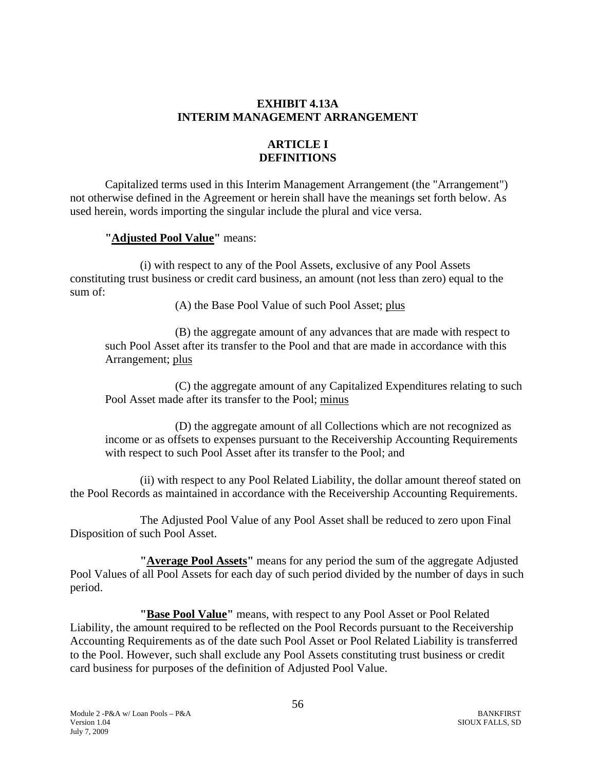### **EXHIBIT 4.13A INTERIM MANAGEMENT ARRANGEMENT**

### **ARTICLE I DEFINITIONS**

Capitalized terms used in this Interim Management Arrangement (the "Arrangement") not otherwise defined in the Agreement or herein shall have the meanings set forth below. As used herein, words importing the singular include the plural and vice versa.

## **"Adjusted Pool Value"** means:

(i) with respect to any of the Pool Assets, exclusive of any Pool Assets constituting trust business or credit card business, an amount (not less than zero) equal to the sum of:

(A) the Base Pool Value of such Pool Asset; plus

(B) the aggregate amount of any advances that are made with respect to such Pool Asset after its transfer to the Pool and that are made in accordance with this Arrangement; plus

(C) the aggregate amount of any Capitalized Expenditures relating to such Pool Asset made after its transfer to the Pool; minus

(D) the aggregate amount of all Collections which are not recognized as income or as offsets to expenses pursuant to the Receivership Accounting Requirements with respect to such Pool Asset after its transfer to the Pool; and

(ii) with respect to any Pool Related Liability, the dollar amount thereof stated on the Pool Records as maintained in accordance with the Receivership Accounting Requirements.

The Adjusted Pool Value of any Pool Asset shall be reduced to zero upon Final Disposition of such Pool Asset.

**"Average Pool Assets"** means for any period the sum of the aggregate Adjusted Pool Values of all Pool Assets for each day of such period divided by the number of days in such period.

**"Base Pool Value"** means, with respect to any Pool Asset or Pool Related Liability, the amount required to be reflected on the Pool Records pursuant to the Receivership Accounting Requirements as of the date such Pool Asset or Pool Related Liability is transferred to the Pool. However, such shall exclude any Pool Assets constituting trust business or credit card business for purposes of the definition of Adjusted Pool Value.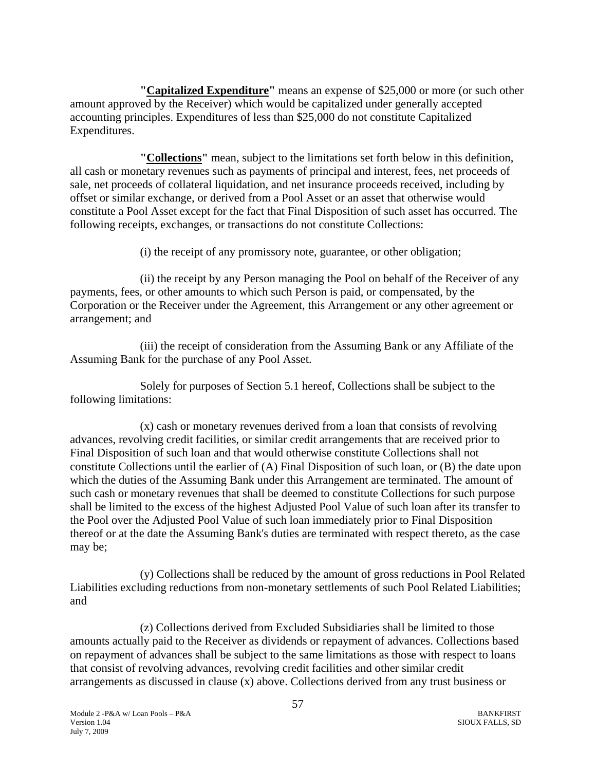**"Capitalized Expenditure"** means an expense of \$25,000 or more (or such other amount approved by the Receiver) which would be capitalized under generally accepted accounting principles. Expenditures of less than \$25,000 do not constitute Capitalized Expenditures.

**"Collections"** mean, subject to the limitations set forth below in this definition, all cash or monetary revenues such as payments of principal and interest, fees, net proceeds of sale, net proceeds of collateral liquidation, and net insurance proceeds received, including by offset or similar exchange, or derived from a Pool Asset or an asset that otherwise would constitute a Pool Asset except for the fact that Final Disposition of such asset has occurred. The following receipts, exchanges, or transactions do not constitute Collections:

(i) the receipt of any promissory note, guarantee, or other obligation;

(ii) the receipt by any Person managing the Pool on behalf of the Receiver of any payments, fees, or other amounts to which such Person is paid, or compensated, by the Corporation or the Receiver under the Agreement, this Arrangement or any other agreement or arrangement; and

(iii) the receipt of consideration from the Assuming Bank or any Affiliate of the Assuming Bank for the purchase of any Pool Asset.

Solely for purposes of Section 5.1 hereof, Collections shall be subject to the following limitations:

(x) cash or monetary revenues derived from a loan that consists of revolving advances, revolving credit facilities, or similar credit arrangements that are received prior to Final Disposition of such loan and that would otherwise constitute Collections shall not constitute Collections until the earlier of (A) Final Disposition of such loan, or (B) the date upon which the duties of the Assuming Bank under this Arrangement are terminated. The amount of such cash or monetary revenues that shall be deemed to constitute Collections for such purpose shall be limited to the excess of the highest Adjusted Pool Value of such loan after its transfer to the Pool over the Adjusted Pool Value of such loan immediately prior to Final Disposition thereof or at the date the Assuming Bank's duties are terminated with respect thereto, as the case may be;

(y) Collections shall be reduced by the amount of gross reductions in Pool Related Liabilities excluding reductions from non-monetary settlements of such Pool Related Liabilities; and

(z) Collections derived from Excluded Subsidiaries shall be limited to those amounts actually paid to the Receiver as dividends or repayment of advances. Collections based on repayment of advances shall be subject to the same limitations as those with respect to loans that consist of revolving advances, revolving credit facilities and other similar credit arrangements as discussed in clause (x) above. Collections derived from any trust business or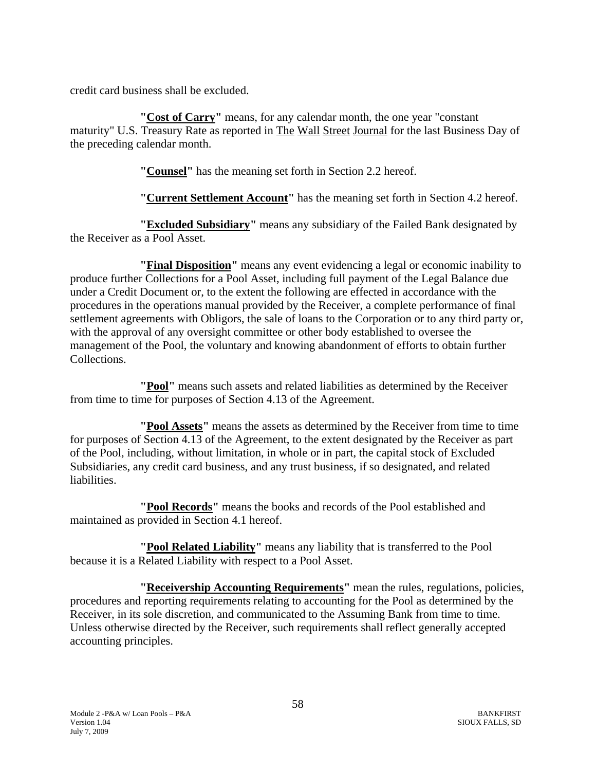credit card business shall be excluded.

**"Cost of Carry"** means, for any calendar month, the one year "constant maturity" U.S. Treasury Rate as reported in The Wall Street Journal for the last Business Day of the preceding calendar month.

**"Counsel"** has the meaning set forth in Section 2.2 hereof.

**"Current Settlement Account"** has the meaning set forth in Section 4.2 hereof.

**"Excluded Subsidiary"** means any subsidiary of the Failed Bank designated by the Receiver as a Pool Asset.

**"Final Disposition"** means any event evidencing a legal or economic inability to produce further Collections for a Pool Asset, including full payment of the Legal Balance due under a Credit Document or, to the extent the following are effected in accordance with the procedures in the operations manual provided by the Receiver, a complete performance of final settlement agreements with Obligors, the sale of loans to the Corporation or to any third party or, with the approval of any oversight committee or other body established to oversee the management of the Pool, the voluntary and knowing abandonment of efforts to obtain further Collections.

**"Pool"** means such assets and related liabilities as determined by the Receiver from time to time for purposes of Section 4.13 of the Agreement.

**"Pool Assets"** means the assets as determined by the Receiver from time to time for purposes of Section 4.13 of the Agreement, to the extent designated by the Receiver as part of the Pool, including, without limitation, in whole or in part, the capital stock of Excluded Subsidiaries, any credit card business, and any trust business, if so designated, and related liabilities.

**"Pool Records"** means the books and records of the Pool established and maintained as provided in Section 4.1 hereof.

**"Pool Related Liability"** means any liability that is transferred to the Pool because it is a Related Liability with respect to a Pool Asset.

**"Receivership Accounting Requirements"** mean the rules, regulations, policies, procedures and reporting requirements relating to accounting for the Pool as determined by the Receiver, in its sole discretion, and communicated to the Assuming Bank from time to time. Unless otherwise directed by the Receiver, such requirements shall reflect generally accepted accounting principles.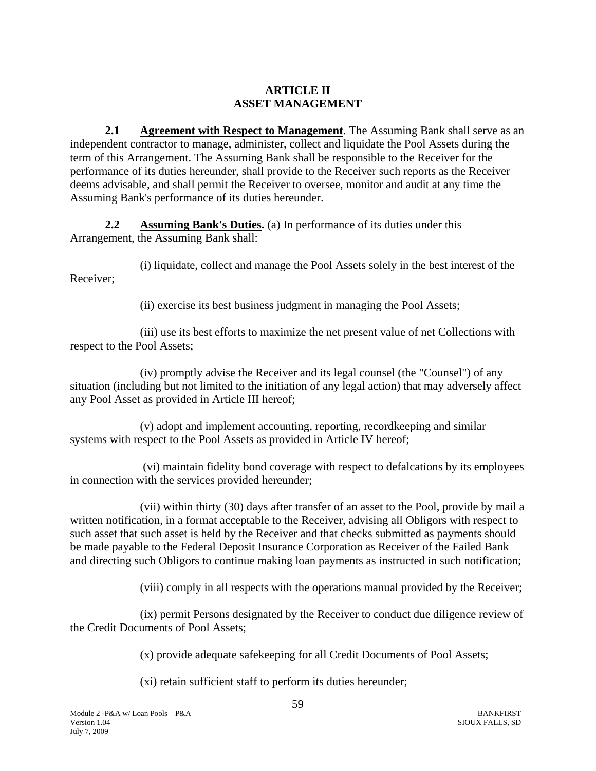### **ARTICLE II ASSET MANAGEMENT**

**2.1** Agreement with Respect to Management. The Assuming Bank shall serve as an independent contractor to manage, administer, collect and liquidate the Pool Assets during the term of this Arrangement. The Assuming Bank shall be responsible to the Receiver for the performance of its duties hereunder, shall provide to the Receiver such reports as the Receiver deems advisable, and shall permit the Receiver to oversee, monitor and audit at any time the Assuming Bank's performance of its duties hereunder.

**2.2** Assuming Bank's Duties. (a) In performance of its duties under this Arrangement, the Assuming Bank shall:

(i) liquidate, collect and manage the Pool Assets solely in the best interest of the Receiver;

(ii) exercise its best business judgment in managing the Pool Assets;

(iii) use its best efforts to maximize the net present value of net Collections with respect to the Pool Assets;

(iv) promptly advise the Receiver and its legal counsel (the "Counsel") of any situation (including but not limited to the initiation of any legal action) that may adversely affect any Pool Asset as provided in Article III hereof;

(v) adopt and implement accounting, reporting, recordkeeping and similar systems with respect to the Pool Assets as provided in Article IV hereof;

(vi) maintain fidelity bond coverage with respect to defalcations by its employees in connection with the services provided hereunder;

(vii) within thirty (30) days after transfer of an asset to the Pool, provide by mail a written notification, in a format acceptable to the Receiver, advising all Obligors with respect to such asset that such asset is held by the Receiver and that checks submitted as payments should be made payable to the Federal Deposit Insurance Corporation as Receiver of the Failed Bank and directing such Obligors to continue making loan payments as instructed in such notification;

(viii) comply in all respects with the operations manual provided by the Receiver;

(ix) permit Persons designated by the Receiver to conduct due diligence review of the Credit Documents of Pool Assets;

(x) provide adequate safekeeping for all Credit Documents of Pool Assets;

(xi) retain sufficient staff to perform its duties hereunder;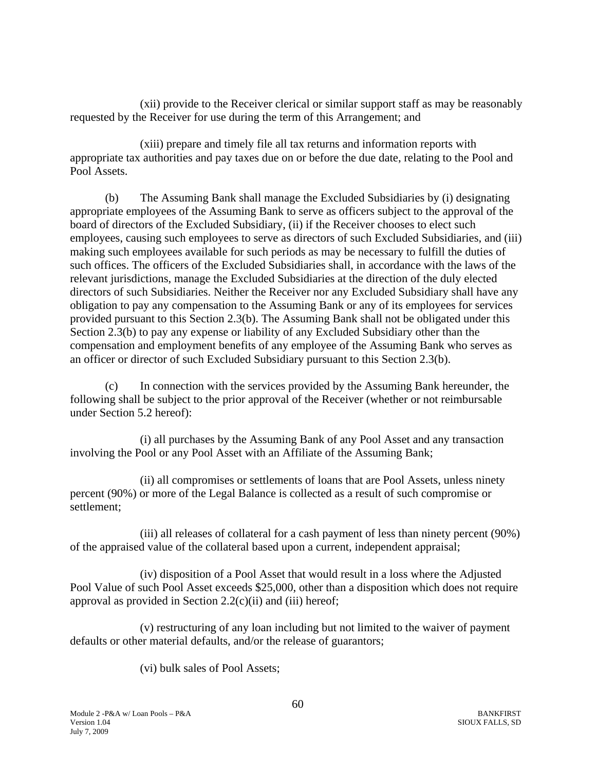(xii) provide to the Receiver clerical or similar support staff as may be reasonably requested by the Receiver for use during the term of this Arrangement; and

(xiii) prepare and timely file all tax returns and information reports with appropriate tax authorities and pay taxes due on or before the due date, relating to the Pool and Pool Assets.

(b) The Assuming Bank shall manage the Excluded Subsidiaries by (i) designating appropriate employees of the Assuming Bank to serve as officers subject to the approval of the board of directors of the Excluded Subsidiary, (ii) if the Receiver chooses to elect such employees, causing such employees to serve as directors of such Excluded Subsidiaries, and (iii) making such employees available for such periods as may be necessary to fulfill the duties of such offices. The officers of the Excluded Subsidiaries shall, in accordance with the laws of the relevant jurisdictions, manage the Excluded Subsidiaries at the direction of the duly elected directors of such Subsidiaries. Neither the Receiver nor any Excluded Subsidiary shall have any obligation to pay any compensation to the Assuming Bank or any of its employees for services provided pursuant to this Section 2.3(b). The Assuming Bank shall not be obligated under this Section 2.3(b) to pay any expense or liability of any Excluded Subsidiary other than the compensation and employment benefits of any employee of the Assuming Bank who serves as an officer or director of such Excluded Subsidiary pursuant to this Section 2.3(b).

(c) In connection with the services provided by the Assuming Bank hereunder, the following shall be subject to the prior approval of the Receiver (whether or not reimbursable under Section 5.2 hereof):

(i) all purchases by the Assuming Bank of any Pool Asset and any transaction involving the Pool or any Pool Asset with an Affiliate of the Assuming Bank;

(ii) all compromises or settlements of loans that are Pool Assets, unless ninety percent (90%) or more of the Legal Balance is collected as a result of such compromise or settlement;

(iii) all releases of collateral for a cash payment of less than ninety percent (90%) of the appraised value of the collateral based upon a current, independent appraisal;

(iv) disposition of a Pool Asset that would result in a loss where the Adjusted Pool Value of such Pool Asset exceeds \$25,000, other than a disposition which does not require approval as provided in Section  $2.2(c)(ii)$  and (iii) hereof;

(v) restructuring of any loan including but not limited to the waiver of payment defaults or other material defaults, and/or the release of guarantors;

(vi) bulk sales of Pool Assets;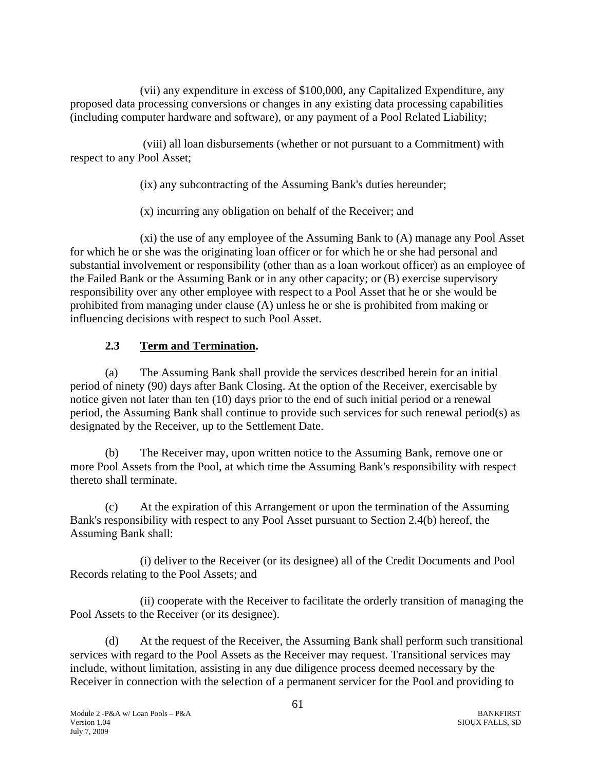(vii) any expenditure in excess of \$100,000, any Capitalized Expenditure, any proposed data processing conversions or changes in any existing data processing capabilities (including computer hardware and software), or any payment of a Pool Related Liability;

(viii) all loan disbursements (whether or not pursuant to a Commitment) with respect to any Pool Asset;

(ix) any subcontracting of the Assuming Bank's duties hereunder;

(x) incurring any obligation on behalf of the Receiver; and

(xi) the use of any employee of the Assuming Bank to (A) manage any Pool Asset for which he or she was the originating loan officer or for which he or she had personal and substantial involvement or responsibility (other than as a loan workout officer) as an employee of the Failed Bank or the Assuming Bank or in any other capacity; or (B) exercise supervisory responsibility over any other employee with respect to a Pool Asset that he or she would be prohibited from managing under clause (A) unless he or she is prohibited from making or influencing decisions with respect to such Pool Asset.

# **2.3 Term and Termination.**

(a) The Assuming Bank shall provide the services described herein for an initial period of ninety (90) days after Bank Closing. At the option of the Receiver, exercisable by notice given not later than ten (10) days prior to the end of such initial period or a renewal period, the Assuming Bank shall continue to provide such services for such renewal period(s) as designated by the Receiver, up to the Settlement Date.

(b) The Receiver may, upon written notice to the Assuming Bank, remove one or more Pool Assets from the Pool, at which time the Assuming Bank's responsibility with respect thereto shall terminate.

(c) At the expiration of this Arrangement or upon the termination of the Assuming Bank's responsibility with respect to any Pool Asset pursuant to Section 2.4(b) hereof, the Assuming Bank shall:

(i) deliver to the Receiver (or its designee) all of the Credit Documents and Pool Records relating to the Pool Assets; and

(ii) cooperate with the Receiver to facilitate the orderly transition of managing the Pool Assets to the Receiver (or its designee).

(d) At the request of the Receiver, the Assuming Bank shall perform such transitional services with regard to the Pool Assets as the Receiver may request. Transitional services may include, without limitation, assisting in any due diligence process deemed necessary by the Receiver in connection with the selection of a permanent servicer for the Pool and providing to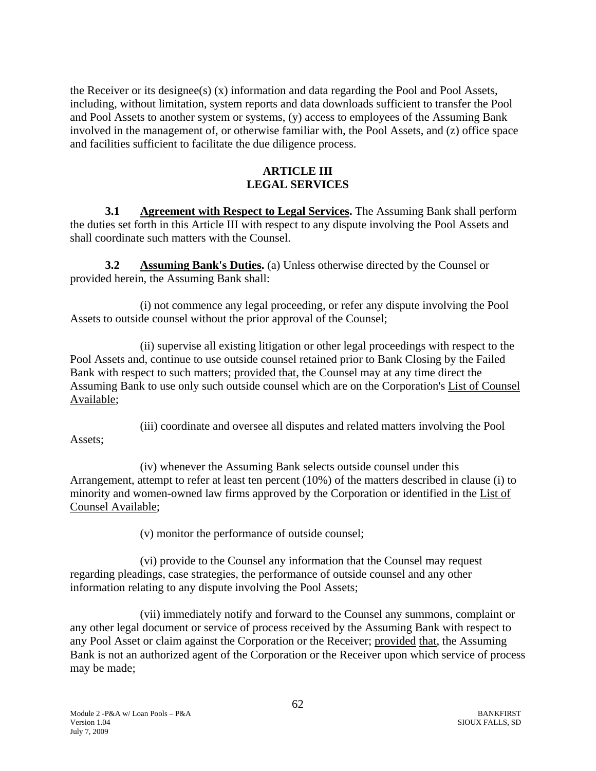the Receiver or its designee(s) (x) information and data regarding the Pool and Pool Assets, including, without limitation, system reports and data downloads sufficient to transfer the Pool and Pool Assets to another system or systems, (y) access to employees of the Assuming Bank involved in the management of, or otherwise familiar with, the Pool Assets, and (z) office space and facilities sufficient to facilitate the due diligence process.

## **ARTICLE III LEGAL SERVICES**

**3.1** Agreement with Respect to Legal Services. The Assuming Bank shall perform the duties set forth in this Article III with respect to any dispute involving the Pool Assets and shall coordinate such matters with the Counsel.

**3.2** Assuming Bank's Duties. (a) Unless otherwise directed by the Counsel or provided herein, the Assuming Bank shall:

(i) not commence any legal proceeding, or refer any dispute involving the Pool Assets to outside counsel without the prior approval of the Counsel;

(ii) supervise all existing litigation or other legal proceedings with respect to the Pool Assets and, continue to use outside counsel retained prior to Bank Closing by the Failed Bank with respect to such matters; provided that, the Counsel may at any time direct the Assuming Bank to use only such outside counsel which are on the Corporation's List of Counsel Available;

(iii) coordinate and oversee all disputes and related matters involving the Pool

Assets;

(iv) whenever the Assuming Bank selects outside counsel under this Arrangement, attempt to refer at least ten percent (10%) of the matters described in clause (i) to minority and women-owned law firms approved by the Corporation or identified in the List of Counsel Available;

(v) monitor the performance of outside counsel;

(vi) provide to the Counsel any information that the Counsel may request regarding pleadings, case strategies, the performance of outside counsel and any other information relating to any dispute involving the Pool Assets;

(vii) immediately notify and forward to the Counsel any summons, complaint or any other legal document or service of process received by the Assuming Bank with respect to any Pool Asset or claim against the Corporation or the Receiver; provided that, the Assuming Bank is not an authorized agent of the Corporation or the Receiver upon which service of process may be made;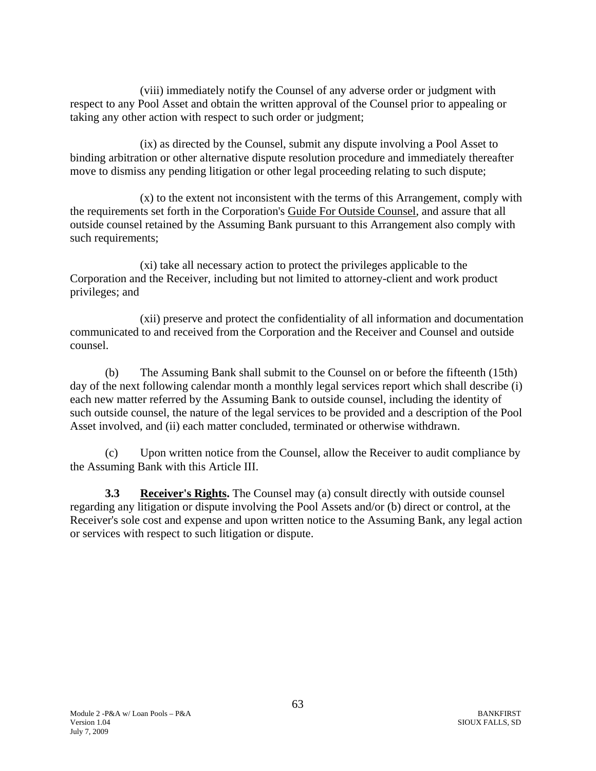(viii) immediately notify the Counsel of any adverse order or judgment with respect to any Pool Asset and obtain the written approval of the Counsel prior to appealing or taking any other action with respect to such order or judgment;

(ix) as directed by the Counsel, submit any dispute involving a Pool Asset to binding arbitration or other alternative dispute resolution procedure and immediately thereafter move to dismiss any pending litigation or other legal proceeding relating to such dispute;

(x) to the extent not inconsistent with the terms of this Arrangement, comply with the requirements set forth in the Corporation's Guide For Outside Counsel, and assure that all outside counsel retained by the Assuming Bank pursuant to this Arrangement also comply with such requirements;

(xi) take all necessary action to protect the privileges applicable to the Corporation and the Receiver, including but not limited to attorney-client and work product privileges; and

(xii) preserve and protect the confidentiality of all information and documentation communicated to and received from the Corporation and the Receiver and Counsel and outside counsel.

(b) The Assuming Bank shall submit to the Counsel on or before the fifteenth (15th) day of the next following calendar month a monthly legal services report which shall describe (i) each new matter referred by the Assuming Bank to outside counsel, including the identity of such outside counsel, the nature of the legal services to be provided and a description of the Pool Asset involved, and (ii) each matter concluded, terminated or otherwise withdrawn.

 the Assuming Bank with this Article III. (c) Upon written notice from the Counsel, allow the Receiver to audit compliance by

 **3.3 Receiver's Rights.** The Counsel may (a) consult directly with outside counsel regarding any litigation or dispute involving the Pool Assets and/or (b) direct or control, at the Receiver's sole cost and expense and upon written notice to the Assuming Bank, any legal action or services with respect to such litigation or dispute.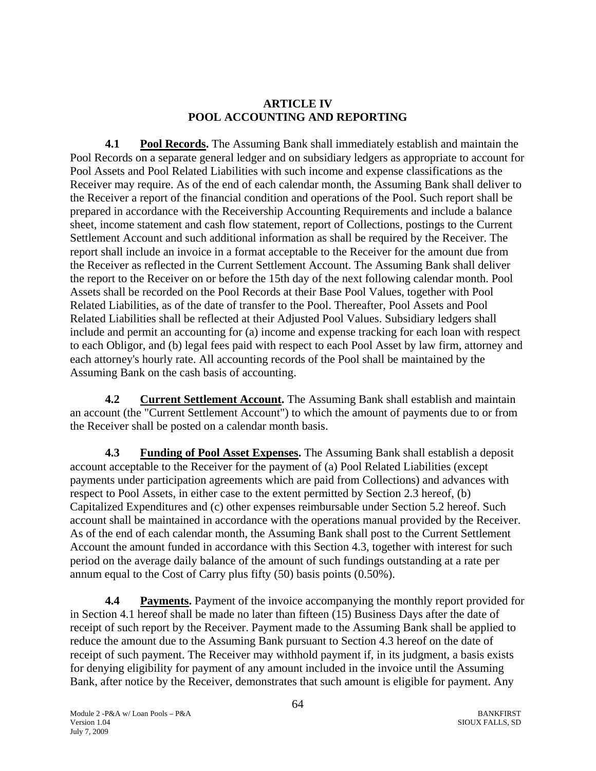### **ARTICLE IV POOL ACCOUNTING AND REPORTING**

**4.1** Pool Records. The Assuming Bank shall immediately establish and maintain the Pool Records on a separate general ledger and on subsidiary ledgers as appropriate to account for Pool Assets and Pool Related Liabilities with such income and expense classifications as the Receiver may require. As of the end of each calendar month, the Assuming Bank shall deliver to the Receiver a report of the financial condition and operations of the Pool. Such report shall be prepared in accordance with the Receivership Accounting Requirements and include a balance sheet, income statement and cash flow statement, report of Collections, postings to the Current Settlement Account and such additional information as shall be required by the Receiver. The report shall include an invoice in a format acceptable to the Receiver for the amount due from the Receiver as reflected in the Current Settlement Account. The Assuming Bank shall deliver the report to the Receiver on or before the 15th day of the next following calendar month. Pool Assets shall be recorded on the Pool Records at their Base Pool Values, together with Pool Related Liabilities, as of the date of transfer to the Pool. Thereafter, Pool Assets and Pool Related Liabilities shall be reflected at their Adjusted Pool Values. Subsidiary ledgers shall include and permit an accounting for (a) income and expense tracking for each loan with respect to each Obligor, and (b) legal fees paid with respect to each Pool Asset by law firm, attorney and each attorney's hourly rate. All accounting records of the Pool shall be maintained by the Assuming Bank on the cash basis of accounting.

**4.2 Current Settlement Account.** The Assuming Bank shall establish and maintain an account (the "Current Settlement Account") to which the amount of payments due to or from the Receiver shall be posted on a calendar month basis.

**4.3 Funding of Pool Asset Expenses.** The Assuming Bank shall establish a deposit account acceptable to the Receiver for the payment of (a) Pool Related Liabilities (except payments under participation agreements which are paid from Collections) and advances with respect to Pool Assets, in either case to the extent permitted by Section 2.3 hereof, (b) Capitalized Expenditures and (c) other expenses reimbursable under Section 5.2 hereof. Such account shall be maintained in accordance with the operations manual provided by the Receiver. As of the end of each calendar month, the Assuming Bank shall post to the Current Settlement Account the amount funded in accordance with this Section 4.3, together with interest for such period on the average daily balance of the amount of such fundings outstanding at a rate per annum equal to the Cost of Carry plus fifty (50) basis points (0.50%).

**4.4 Payments.** Payment of the invoice accompanying the monthly report provided for in Section 4.1 hereof shall be made no later than fifteen (15) Business Days after the date of receipt of such report by the Receiver. Payment made to the Assuming Bank shall be applied to reduce the amount due to the Assuming Bank pursuant to Section 4.3 hereof on the date of receipt of such payment. The Receiver may withhold payment if, in its judgment, a basis exists for denying eligibility for payment of any amount included in the invoice until the Assuming Bank, after notice by the Receiver, demonstrates that such amount is eligible for payment. Any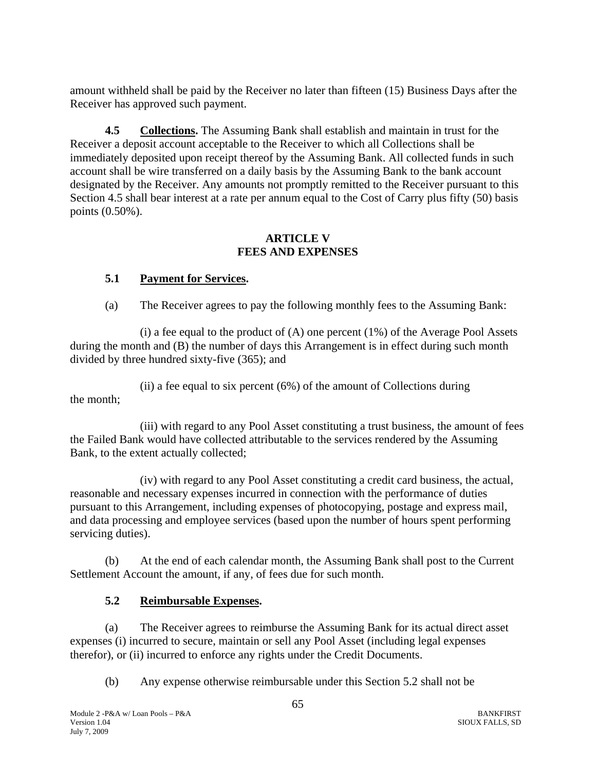amount withheld shall be paid by the Receiver no later than fifteen (15) Business Days after the Receiver has approved such payment.

**4.5 Collections.** The Assuming Bank shall establish and maintain in trust for the Receiver a deposit account acceptable to the Receiver to which all Collections shall be immediately deposited upon receipt thereof by the Assuming Bank. All collected funds in such account shall be wire transferred on a daily basis by the Assuming Bank to the bank account designated by the Receiver. Any amounts not promptly remitted to the Receiver pursuant to this Section 4.5 shall bear interest at a rate per annum equal to the Cost of Carry plus fifty (50) basis points (0.50%).

### **ARTICLE V FEES AND EXPENSES**

## **5.1 Payment for Services.**

(a) The Receiver agrees to pay the following monthly fees to the Assuming Bank:

(i) a fee equal to the product of  $(A)$  one percent  $(1%)$  of the Average Pool Assets during the month and (B) the number of days this Arrangement is in effect during such month divided by three hundred sixty-five (365); and

(ii) a fee equal to six percent (6%) of the amount of Collections during the month;

(iii) with regard to any Pool Asset constituting a trust business, the amount of fees the Failed Bank would have collected attributable to the services rendered by the Assuming Bank, to the extent actually collected;

(iv) with regard to any Pool Asset constituting a credit card business, the actual, reasonable and necessary expenses incurred in connection with the performance of duties pursuant to this Arrangement, including expenses of photocopying, postage and express mail, and data processing and employee services (based upon the number of hours spent performing servicing duties).

(b) At the end of each calendar month, the Assuming Bank shall post to the Current Settlement Account the amount, if any, of fees due for such month.

# **5.2 Reimbursable Expenses.**

(a) The Receiver agrees to reimburse the Assuming Bank for its actual direct asset expenses (i) incurred to secure, maintain or sell any Pool Asset (including legal expenses therefor), or (ii) incurred to enforce any rights under the Credit Documents.

(b) Any expense otherwise reimbursable under this Section 5.2 shall not be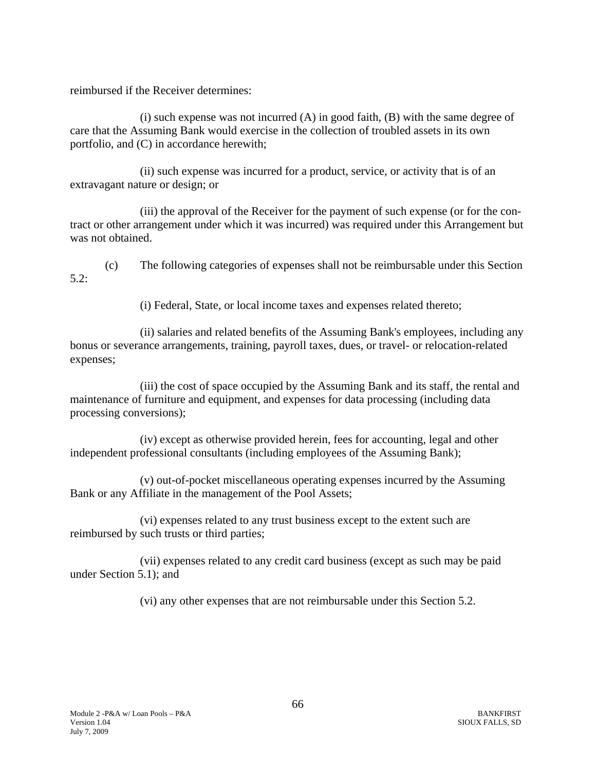reimbursed if the Receiver determines:

 $(i)$  such expense was not incurred  $(A)$  in good faith,  $(B)$  with the same degree of care that the Assuming Bank would exercise in the collection of troubled assets in its own portfolio, and (C) in accordance herewith;

(ii) such expense was incurred for a product, service, or activity that is of an extravagant nature or design; or

(iii) the approval of the Receiver for the payment of such expense (or for the contract or other arrangement under which it was incurred) was required under this Arrangement but was not obtained.

(c) The following categories of expenses shall not be reimbursable under this Section 5.2:

(i) Federal, State, or local income taxes and expenses related thereto;

(ii) salaries and related benefits of the Assuming Bank's employees, including any bonus or severance arrangements, training, payroll taxes, dues, or travel- or relocation-related expenses;

(iii) the cost of space occupied by the Assuming Bank and its staff, the rental and maintenance of furniture and equipment, and expenses for data processing (including data processing conversions);

(iv) except as otherwise provided herein, fees for accounting, legal and other independent professional consultants (including employees of the Assuming Bank);

(v) out-of-pocket miscellaneous operating expenses incurred by the Assuming Bank or any Affiliate in the management of the Pool Assets;

(vi) expenses related to any trust business except to the extent such are reimbursed by such trusts or third parties;

(vii) expenses related to any credit card business (except as such may be paid under Section 5.1); and

(vi) any other expenses that are not reimbursable under this Section 5.2.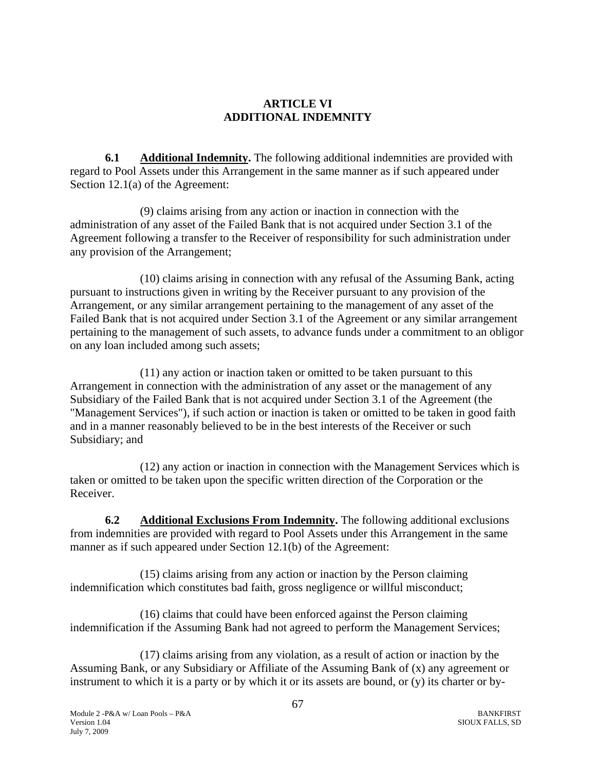### **ARTICLE VI ADDITIONAL INDEMNITY**

Section 12.1(a) of the Agreement: **6.1** Additional Indemnity. The following additional indemnities are provided with regard to Pool Assets under this Arrangement in the same manner as if such appeared under

 $(9)$  claims arising from any action or inaction in connection with the administration of any asset of the Failed Bank that is not acquired under Section 3.1 of the Agreement following a transfer to the Receiver of responsibility for such administration under any provision of the Arrangement;

(10) claims arising in connection with any refusal of the Assuming Bank, acting pursuant to instructions given in writing by the Receiver pursuant to any provision of the Arrangement, or any similar arrangement pertaining to the management of any asset of the Failed Bank that is not acquired under Section 3.1 of the Agreement or any similar arrangement pertaining to the management of such assets, to advance funds under a commitment to an obligor on any loan included among such assets;

(11) any action or inaction taken or omitted to be taken pursuant to this Arrangement in connection with the administration of any asset or the management of any Subsidiary of the Failed Bank that is not acquired under Section 3.1 of the Agreement (the "Management Services"), if such action or inaction is taken or omitted to be taken in good faith and in a manner reasonably believed to be in the best interests of the Receiver or such Subsidiary; and

(12) any action or inaction in connection with the Management Services which is taken or omitted to be taken upon the specific written direction of the Corporation or the Receiver.

manner as if such appeared under Section 12.1(b) of the Agreement: **6.2 Additional Exclusions From Indemnity.** The following additional exclusions from indemnities are provided with regard to Pool Assets under this Arrangement in the same

 $(15)$  claims arising from any action or inaction by the Person claiming indemnification which constitutes bad faith, gross negligence or willful misconduct;

(16) claims that could have been enforced against the Person claiming indemnification if the Assuming Bank had not agreed to perform the Management Services;

(17) claims arising from any violation, as a result of action or inaction by the Assuming Bank, or any Subsidiary or Affiliate of the Assuming Bank of (x) any agreement or instrument to which it is a party or by which it or its assets are bound, or (y) its charter or by